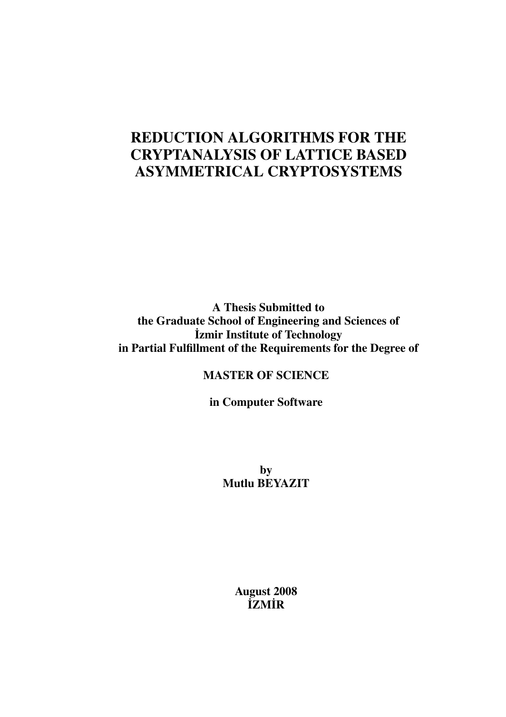# REDUCTION ALGORITHMS FOR THE CRYPTANALYSIS OF LATTICE BASED ASYMMETRICAL CRYPTOSYSTEMS

A Thesis Submitted to the Graduate School of Engineering and Sciences of ˙Izmir Institute of Technology in Partial Fulfillment of the Requirements for the Degree of

MASTER OF SCIENCE

in Computer Software

by Mutlu BEYAZIT

> August 2008 ˙IZM˙IR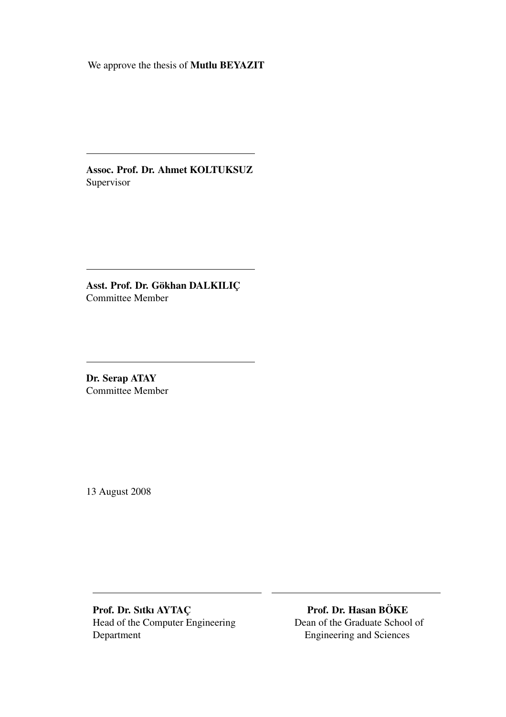We approve the thesis of Mutlu BEYAZIT

Assoc. Prof. Dr. Ahmet KOLTUKSUZ Supervisor

Asst. Prof. Dr. Gökhan DALKILIÇ Committee Member

Dr. Serap ATAY Committee Member

13 August 2008

Prof. Dr. Sıtkı AYTAC¸ Prof. Dr. Hasan BOKE ¨ Head of the Computer Engineering Dean of the Graduate School of Department Engineering and Sciences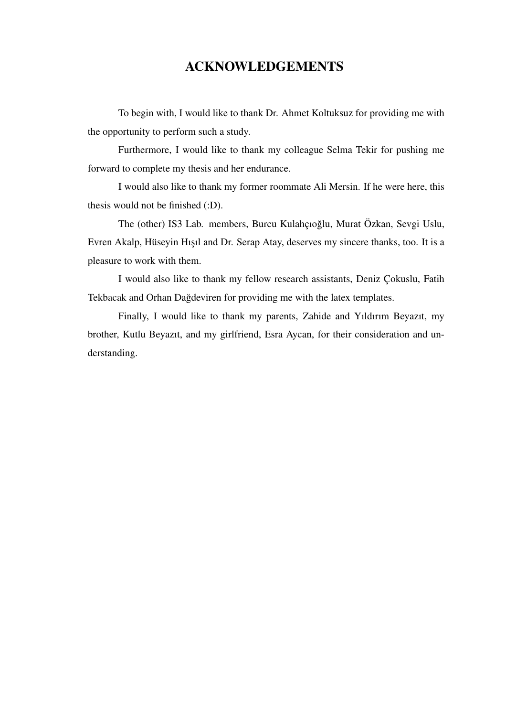# ACKNOWLEDGEMENTS

To begin with, I would like to thank Dr. Ahmet Koltuksuz for providing me with the opportunity to perform such a study.

Furthermore, I would like to thank my colleague Selma Tekir for pushing me forward to complete my thesis and her endurance.

I would also like to thank my former roommate Ali Mersin. If he were here, this thesis would not be finished (:D).

The (other) IS3 Lab. members, Burcu Kulahçıoğlu, Murat Özkan, Sevgi Uslu, Evren Akalp, Hüseyin Hışıl and Dr. Serap Atay, deserves my sincere thanks, too. It is a pleasure to work with them.

I would also like to thank my fellow research assistants, Deniz Cokuslu, Fatih Tekbacak and Orhan Dağdeviren for providing me with the latex templates.

Finally, I would like to thank my parents, Zahide and Yıldırım Beyazıt, my brother, Kutlu Beyazıt, and my girlfriend, Esra Aycan, for their consideration and understanding.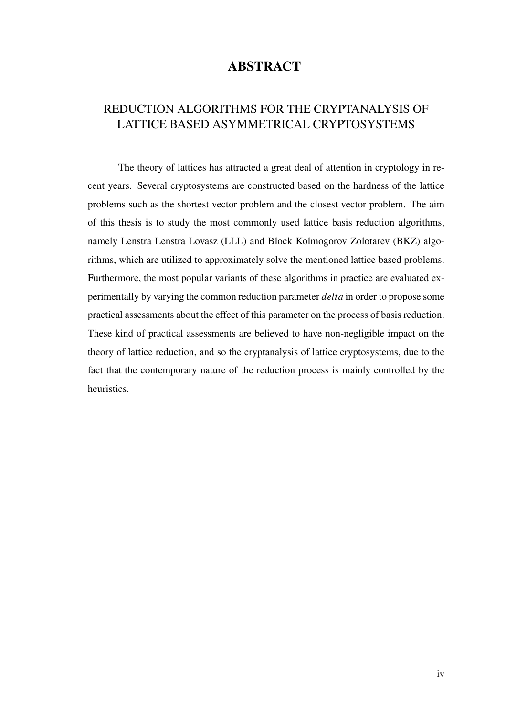# **ABSTRACT**

# REDUCTION ALGORITHMS FOR THE CRYPTANALYSIS OF LATTICE BASED ASYMMETRICAL CRYPTOSYSTEMS

The theory of lattices has attracted a great deal of attention in cryptology in recent years. Several cryptosystems are constructed based on the hardness of the lattice problems such as the shortest vector problem and the closest vector problem. The aim of this thesis is to study the most commonly used lattice basis reduction algorithms, namely Lenstra Lenstra Lovasz (LLL) and Block Kolmogorov Zolotarev (BKZ) algorithms, which are utilized to approximately solve the mentioned lattice based problems. Furthermore, the most popular variants of these algorithms in practice are evaluated experimentally by varying the common reduction parameter *delta* in order to propose some practical assessments about the effect of this parameter on the process of basis reduction. These kind of practical assessments are believed to have non-negligible impact on the theory of lattice reduction, and so the cryptanalysis of lattice cryptosystems, due to the fact that the contemporary nature of the reduction process is mainly controlled by the heuristics.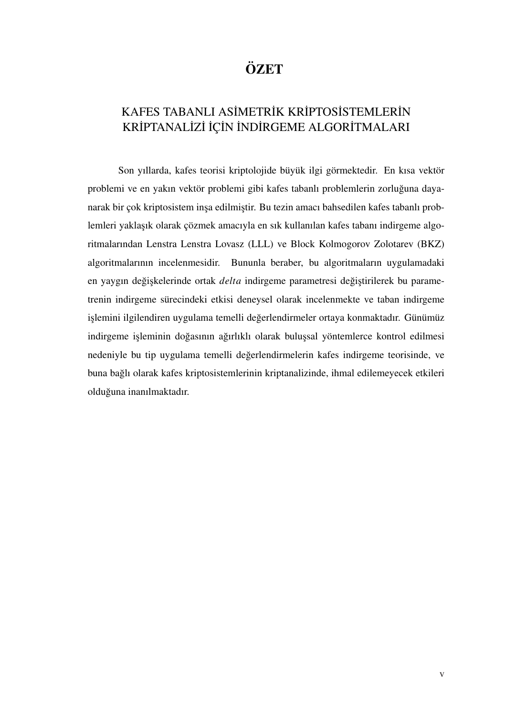# ÖZET

# KAFES TABANLI ASİMETRİK KRİPTOSİSTEMLERİN KRİPTANALİZİ İÇİN İNDİRGEME ALGORİTMALARI

Son yıllarda, kafes teorisi kriptolojide büyük ilgi görmektedir. En kısa vektör problemi ve en yakın vektör problemi gibi kafes tabanlı problemlerin zorluğuna dayanarak bir çok kriptosistem inşa edilmiştir. Bu tezin amacı bahsedilen kafes tabanlı problemleri yaklaşık olarak çözmek amacıyla en sık kullanılan kafes tabanı indirgeme algoritmalarından Lenstra Lenstra Lovasz (LLL) ve Block Kolmogorov Zolotarev (BKZ) algoritmalarının incelenmesidir. Bununla beraber, bu algoritmaların uygulamadaki en yaygın değişkelerinde ortak *delta* indirgeme parametresi değiştirilerek bu parametrenin indirgeme sürecindeki etkisi deneysel olarak incelenmekte ve taban indirgeme işlemini ilgilendiren uygulama temelli değerlendirmeler ortaya konmaktadır. Günümüz indirgeme işleminin doğasının ağırlıklı olarak buluşsal yöntemlerce kontrol edilmesi nedeniyle bu tip uygulama temelli değerlendirmelerin kafes indirgeme teorisinde, ve buna baglı olarak kafes kriptosistemlerinin kriptanalizinde, ihmal edilemeyecek etkileri ˘ olduğuna inanılmaktadır.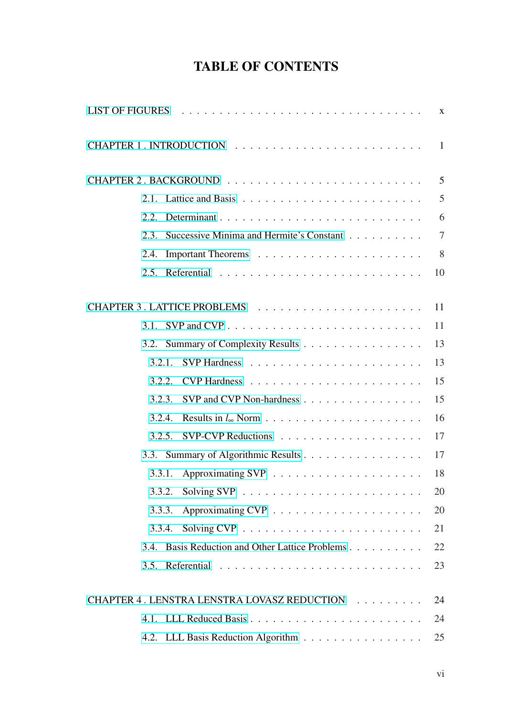# TABLE OF CONTENTS

| $\mathbf{X}$                                               |
|------------------------------------------------------------|
|                                                            |
| 5                                                          |
| 5                                                          |
| 6<br>2.2.                                                  |
| $\tau$<br>2.3.<br>Successive Minima and Hermite's Constant |
| 8<br>2.4.                                                  |
| 10                                                         |
|                                                            |
| 11                                                         |
| 11                                                         |
| 13<br>3.2. Summary of Complexity Results                   |
| 13<br>3.2.1.                                               |
| 15<br>3.2.2.                                               |
| 15<br>SVP and CVP Non-hardness<br>3.2.3.                   |
| 16<br>3.2.4.                                               |
| 17<br>3.2.5.                                               |
| 3.3. Summary of Algorithmic Results<br>17                  |
| 18<br>3.3.1.                                               |
| 20<br>3.3.2.                                               |
| 20<br>3.3.3.                                               |
| 21<br>3.3.4.                                               |
| 22<br>3.4. Basis Reduction and Other Lattice Problems      |
| 23                                                         |
| CHAPTER 4. LENSTRA LENSTRA LOVASZ REDUCTION<br>24          |
| 24                                                         |
| 25<br>4.2. LLL Basis Reduction Algorithm                   |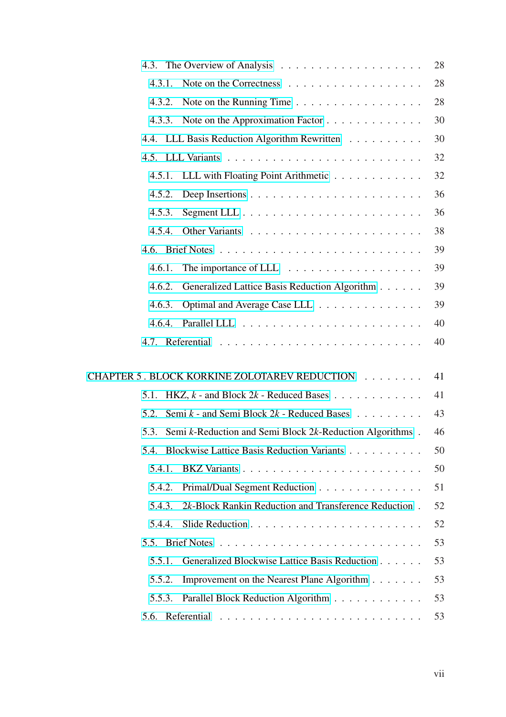|                                                                       | 28 |
|-----------------------------------------------------------------------|----|
| 4.3.1.<br>Note on the Correctness                                     | 28 |
| Note on the Running Time<br>4.3.2.                                    | 28 |
| Note on the Approximation Factor<br>4.3.3.                            | 30 |
| 4.4. LLL Basis Reduction Algorithm Rewritten                          | 30 |
|                                                                       | 32 |
| LLL with Floating Point Arithmetic<br>4.5.1.                          | 32 |
| 4.5.2.                                                                | 36 |
| 4.5.3.                                                                | 36 |
| 4.5.4.                                                                | 38 |
|                                                                       | 39 |
| The importance of LLL $\dots \dots \dots \dots \dots \dots$<br>4.6.1. | 39 |
| Generalized Lattice Basis Reduction Algorithm<br>4.6.2.               | 39 |
| Optimal and Average Case LLL<br>4.6.3.                                | 39 |
| 4.6.4.                                                                | 40 |
|                                                                       | 40 |
| CHAPTER 5 . BLOCK KORKINE ZOLOTAREV REDUCTION                         | 41 |
| HKZ, $k$ - and Block $2k$ - Reduced Bases<br>5.1.                     | 41 |
| Semi $k$ - and Semi Block $2k$ - Reduced Bases<br>5.2.                | 43 |
| Semi k-Reduction and Semi Block 2k-Reduction Algorithms.<br>5.3.      | 46 |
| 5.4. Blockwise Lattice Basis Reduction Variants                       | 50 |
| 5.4.1.                                                                | 50 |
| 5.4.2.<br>Primal/Dual Segment Reduction                               | 51 |
| 2k-Block Rankin Reduction and Transference Reduction.<br>5.4.3.       | 52 |
| 5.4.4.                                                                | 52 |
|                                                                       | 53 |
| Generalized Blockwise Lattice Basis Reduction<br>5.5.1.               | 53 |
| Improvement on the Nearest Plane Algorithm<br>5.5.2.                  | 53 |
| Parallel Block Reduction Algorithm<br>5.5.3.                          | 53 |
|                                                                       | 53 |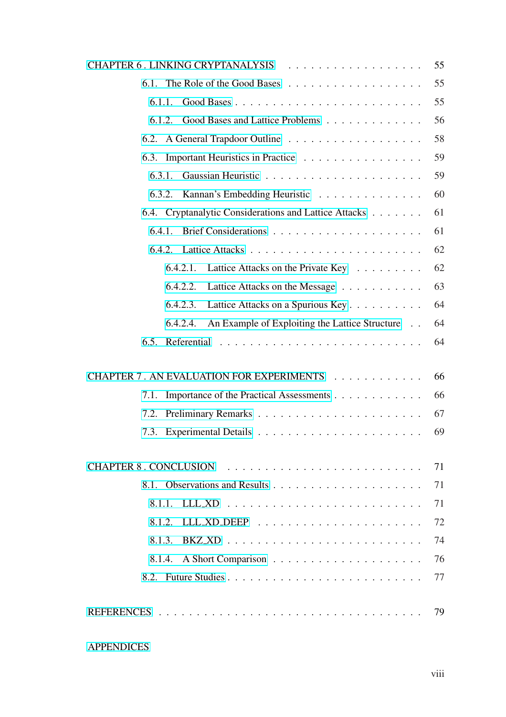|                                                            | 55 |
|------------------------------------------------------------|----|
|                                                            | 55 |
| 6.1.1.                                                     | 55 |
| Good Bases and Lattice Problems<br>6.1.2.                  | 56 |
|                                                            | 58 |
| 6.3. Important Heuristics in Practice                      | 59 |
| 6.3.1.                                                     | 59 |
| Kannan's Embedding Heuristic<br>6.3.2.                     | 60 |
| 6.4. Cryptanalytic Considerations and Lattice Attacks      | 61 |
| 6.4.1.                                                     | 61 |
|                                                            | 62 |
| 6.4.2.1.<br>Lattice Attacks on the Private Key             | 62 |
| 6.4.2.2.<br>Lattice Attacks on the Message                 | 63 |
| 6.4.2.3.<br>Lattice Attacks on a Spurious Key              | 64 |
| An Example of Exploiting the Lattice Structure<br>6.4.2.4. | 64 |
| 6.5.                                                       | 64 |
| CHAPTER 7. AN EVALUATION FOR EXPERIMENTS                   | 66 |
| Importance of the Practical Assessments<br>7.1.            | 66 |
| 7.2.                                                       | 67 |
| 7.3.                                                       | 69 |
|                                                            | 71 |
|                                                            | 71 |
| 8.1.1.                                                     | 71 |
| 8.1.2.                                                     | 72 |
| 8.1.3.                                                     | 74 |
| A Short Comparison<br>8.1.4.                               | 76 |
|                                                            | 77 |
|                                                            | 79 |

[APPENDICES](#page-87-0)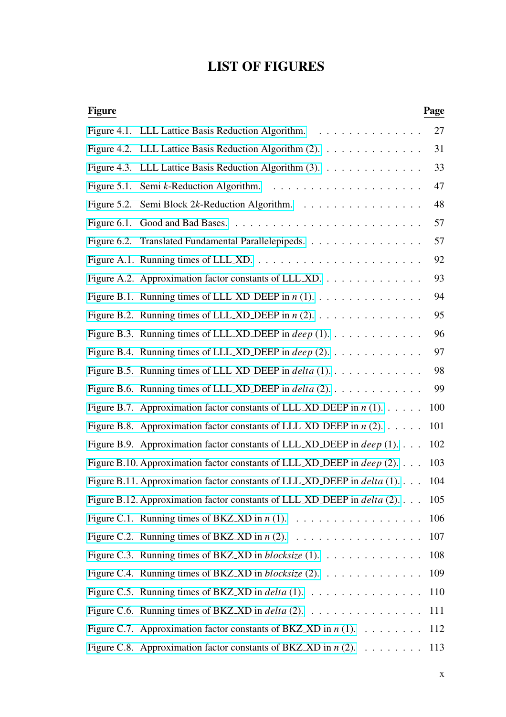# LIST OF FIGURES

<span id="page-9-0"></span>

| <b>Figure</b> |                                                                                              | Page |
|---------------|----------------------------------------------------------------------------------------------|------|
|               | Figure 4.1. LLL Lattice Basis Reduction Algorithm.                                           | 27   |
|               | Figure 4.2. LLL Lattice Basis Reduction Algorithm (2).                                       | 31   |
|               | Figure 4.3. LLL Lattice Basis Reduction Algorithm (3).                                       | 33   |
|               |                                                                                              | 47   |
|               | Figure 5.2. Semi Block 2k-Reduction Algorithm.                                               | 48   |
|               |                                                                                              | 57   |
|               | Figure 6.2. Translated Fundamental Parallelepipeds.                                          | 57   |
|               |                                                                                              | 92   |
|               | Figure A.2. Approximation factor constants of LLL_XD.                                        | 93   |
|               | Figure B.1. Running times of LLL_XD_DEEP in $n(1)$ .                                         | 94   |
|               | Figure B.2. Running times of LLL_XD_DEEP in $n$ (2).                                         | 95   |
|               | Figure B.3. Running times of LLL_XD_DEEP in <i>deep</i> (1). $\dots \dots \dots \dots$       | 96   |
|               | Figure B.4. Running times of LLL_XD_DEEP in <i>deep</i> (2).                                 | 97   |
|               | Figure B.5. Running times of LLL_XD_DEEP in $delta(1)$                                       | 98   |
|               | Figure B.6. Running times of LLL_XD_DEEP in $delta(2)$                                       | 99   |
|               | Figure B.7. Approximation factor constants of LLL XD DEEP in $n(1)$                          | 100  |
|               | Figure B.8. Approximation factor constants of LLL XD DEEP in $n(2)$                          | 101  |
|               | Figure B.9. Approximation factor constants of LLL_XD_DEEP in $deep(1)$                       | 102  |
|               | Figure B.10. Approximation factor constants of LLL_XD_DEEP in <i>deep</i> (2).               | 103  |
|               | Figure B.11. Approximation factor constants of LLL_XD_DEEP in delta (1).                     | 104  |
|               | Figure B.12. Approximation factor constants of LLL_XD_DEEP in <i>delta</i> (2).              | 105  |
|               |                                                                                              | 106  |
|               |                                                                                              |      |
|               | Figure C.3. Running times of BKZ_XD in <i>blocksize</i> (1). $\dots \dots \dots \dots \dots$ | 108  |
|               | Figure C.4. Running times of BKZ_XD in <i>blocksize</i> (2). $\dots \dots \dots \dots \dots$ | 109  |
|               | Figure C.5. Running times of BKZ_XD in $delta(1)$ . 110                                      |      |
|               | Figure C.6. Running times of BKZ_XD in <i>delta</i> (2). 111                                 |      |
|               | Figure C.7. Approximation factor constants of BKZ_XD in $n(1)$ .                             | 112  |
|               | Figure C.8. Approximation factor constants of BKZ_XD in $n(2)$ . 113                         |      |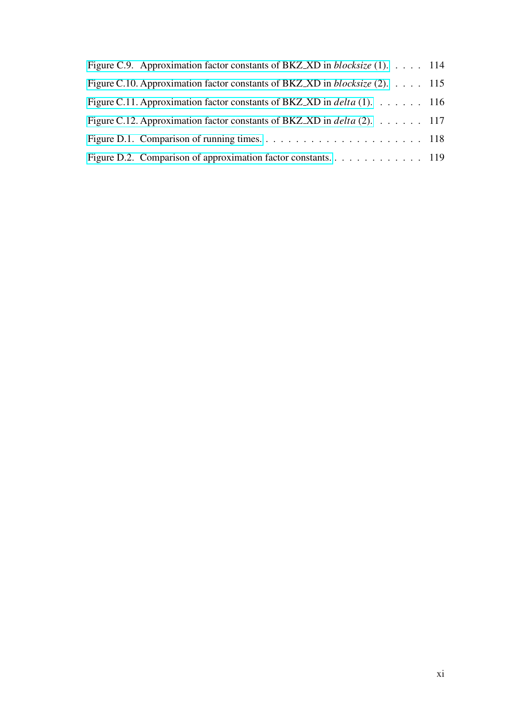| Figure C.9. Approximation factor constants of BKZ_XD in <i>blocksize</i> (1). 114            |  |
|----------------------------------------------------------------------------------------------|--|
| Figure C.10. Approximation factor constants of BKZ_XD in <i>blocksize</i> (2). $\dots$ . 115 |  |
| Figure C.11. Approximation factor constants of BKZ_XD in <i>delta</i> (1). $\dots$ 116       |  |
| Figure C.12. Approximation factor constants of BKZ_XD in delta (2). $\dots$ 117              |  |
|                                                                                              |  |
|                                                                                              |  |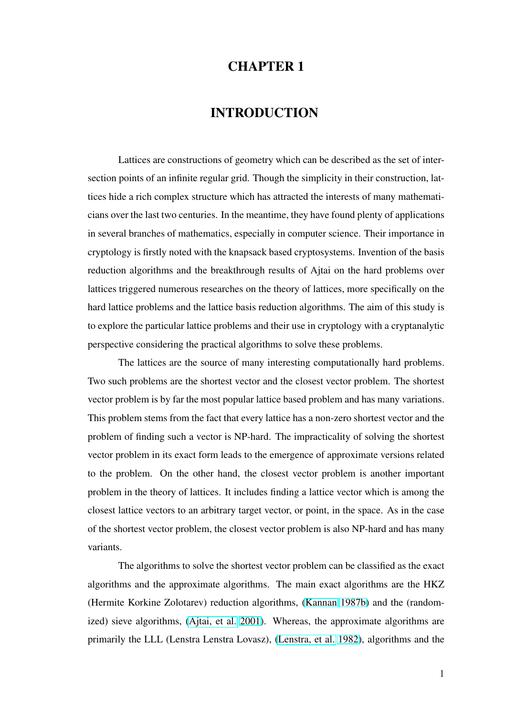# CHAPTER 1

# INTRODUCTION

<span id="page-11-0"></span>Lattices are constructions of geometry which can be described as the set of intersection points of an infinite regular grid. Though the simplicity in their construction, lattices hide a rich complex structure which has attracted the interests of many mathematicians over the last two centuries. In the meantime, they have found plenty of applications in several branches of mathematics, especially in computer science. Their importance in cryptology is firstly noted with the knapsack based cryptosystems. Invention of the basis reduction algorithms and the breakthrough results of Ajtai on the hard problems over lattices triggered numerous researches on the theory of lattices, more specifically on the hard lattice problems and the lattice basis reduction algorithms. The aim of this study is to explore the particular lattice problems and their use in cryptology with a cryptanalytic perspective considering the practical algorithms to solve these problems.

The lattices are the source of many interesting computationally hard problems. Two such problems are the shortest vector and the closest vector problem. The shortest vector problem is by far the most popular lattice based problem and has many variations. This problem stems from the fact that every lattice has a non-zero shortest vector and the problem of finding such a vector is NP-hard. The impracticality of solving the shortest vector problem in its exact form leads to the emergence of approximate versions related to the problem. On the other hand, the closest vector problem is another important problem in the theory of lattices. It includes finding a lattice vector which is among the closest lattice vectors to an arbitrary target vector, or point, in the space. As in the case of the shortest vector problem, the closest vector problem is also NP-hard and has many variants.

The algorithms to solve the shortest vector problem can be classified as the exact algorithms and the approximate algorithms. The main exact algorithms are the HKZ (Hermite Korkine Zolotarev) reduction algorithms, (Kannan 1987b) and the (randomized) sieve algorithms, (Ajtai, et al. 2001). Whereas, the approximate algorithms are primarily the LLL (Lenstra Lenstra Lovasz), (Lenstr[a, et al.](#page-95-0) [1982\),](#page-95-0) algorithms and the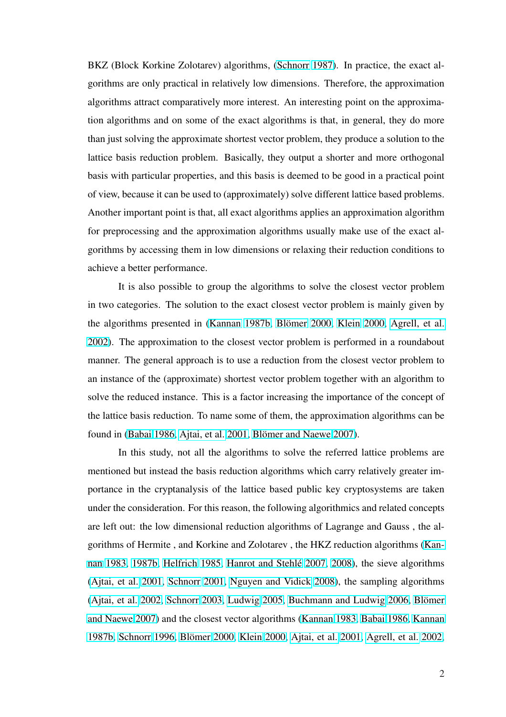BKZ (Block Korkine Zolotarev) algorithms, (Schnorr 1987). In practice, the exact algorithms are only practical in relatively low dimensions. Therefore, the approximation algorithms attract comparatively more interes[t. An interestin](#page-100-0)g point on the approximation algorithms and on some of the exact algorithms is that, in general, they do more than just solving the approximate shortest vector problem, they produce a solution to the lattice basis reduction problem. Basically, they output a shorter and more orthogonal basis with particular properties, and this basis is deemed to be good in a practical point of view, because it can be used to (approximately) solve different lattice based problems. Another important point is that, all exact algorithms applies an approximation algorithm for preprocessing and the approximation algorithms usually make use of the exact algorithms by accessing them in low dimensions or relaxing their reduction conditions to achieve a better performance.

It is also possible to group the algorithms to solve the closest vector problem in two categories. The solution to the exact closest vector problem is mainly given by the algorithms presented in (Kannan 1987b, Blömer 2000, Klein 2000, Agrell, et al. 2002). The approximation to the closest vector problem is performed in a roundabout manner. The general approa[ch is to use a red](#page-95-0)[uction from th](#page-90-0)[e closest vec](#page-96-0)t[or problem to](#page-89-0) [an ins](#page-89-0)tance of the (approximate) shortest vector problem together with an algorithm to solve the reduced instance. This is a factor increasing the importance of the concept of the lattice basis reduction. To name some of them, the approximation algorithms can be found in (Babai 1986, Ajtai, et al. 2001, Blömer and Naewe 2007).

In this study, not all the algorithms to solve the referred lattice problems are mentione[d but instead the basis reducti](#page-90-0)[on algorithms which carry](#page-91-0) relatively greater importance in the cryptanalysis of the lattice based public key cryptosystems are taken under the consideration. For this reason, the following algorithmics and related concepts are left out: the low dimensional reduction algorithms of Lagrange and Gauss , the algorithms of Hermite , and Korkine and Zolotarev , the HKZ reduction algorithms (Kannan 1983, 1987b, Helfrich 1985, Hanrot and Stehle´ 2007, 2008), the sieve algorithms (Ajtai, et al. 2001, Schnorr 2001, Nguyen and Vidick 2008), the sampling algor[ithms](#page-95-0) [\(Ajtai, et](#page-95-0) al. [2002](#page-95-0), [Schnorr](#page-95-0) [2003](#page-95-0), [Ludwig](#page-94-0) 2005, Bu[chmann and](#page-94-0) Ludwig 2006, Blömer [and Naewe](#page-90-0) 2[007\) a](#page-90-0)[nd the closest v](#page-100-0)[ector algorithms \(Kannan](#page-98-0) 1983, Babai 1986, Kannan [1987b,](#page-90-0) Schn[orr](#page-90-0) 1996, Blömer 2000, [Klein](#page-97-0) [2000](#page-97-0), [Ajtai, et al.](#page-91-0) 2001, Agre[ll, et a](#page-91-0)l. [2002,](#page-91-0)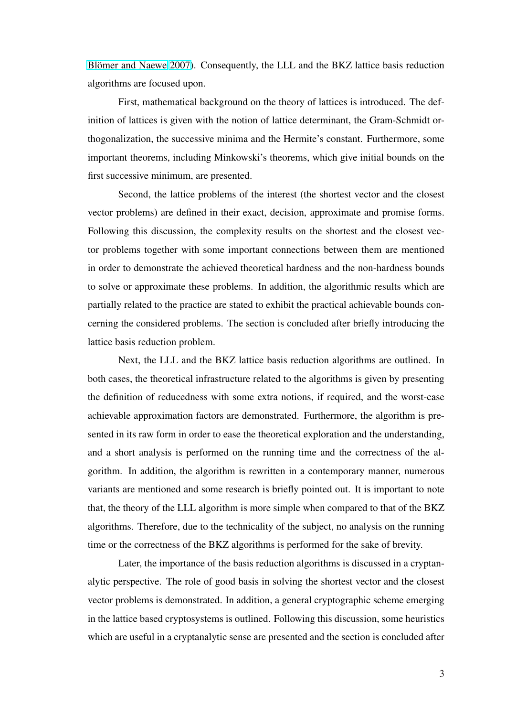Blömer and Naewe 2007). Consequently, the LLL and the BKZ lattice basis reduction algorithms are focused upon.

[First, mathematica](#page-91-0)l background on the theory of lattices is introduced. The definition of lattices is given with the notion of lattice determinant, the Gram-Schmidt orthogonalization, the successive minima and the Hermite's constant. Furthermore, some important theorems, including Minkowski's theorems, which give initial bounds on the first successive minimum, are presented.

Second, the lattice problems of the interest (the shortest vector and the closest vector problems) are defined in their exact, decision, approximate and promise forms. Following this discussion, the complexity results on the shortest and the closest vector problems together with some important connections between them are mentioned in order to demonstrate the achieved theoretical hardness and the non-hardness bounds to solve or approximate these problems. In addition, the algorithmic results which are partially related to the practice are stated to exhibit the practical achievable bounds concerning the considered problems. The section is concluded after briefly introducing the lattice basis reduction problem.

Next, the LLL and the BKZ lattice basis reduction algorithms are outlined. In both cases, the theoretical infrastructure related to the algorithms is given by presenting the definition of reducedness with some extra notions, if required, and the worst-case achievable approximation factors are demonstrated. Furthermore, the algorithm is presented in its raw form in order to ease the theoretical exploration and the understanding, and a short analysis is performed on the running time and the correctness of the algorithm. In addition, the algorithm is rewritten in a contemporary manner, numerous variants are mentioned and some research is briefly pointed out. It is important to note that, the theory of the LLL algorithm is more simple when compared to that of the BKZ algorithms. Therefore, due to the technicality of the subject, no analysis on the running time or the correctness of the BKZ algorithms is performed for the sake of brevity.

Later, the importance of the basis reduction algorithms is discussed in a cryptanalytic perspective. The role of good basis in solving the shortest vector and the closest vector problems is demonstrated. In addition, a general cryptographic scheme emerging in the lattice based cryptosystems is outlined. Following this discussion, some heuristics which are useful in a cryptanalytic sense are presented and the section is concluded after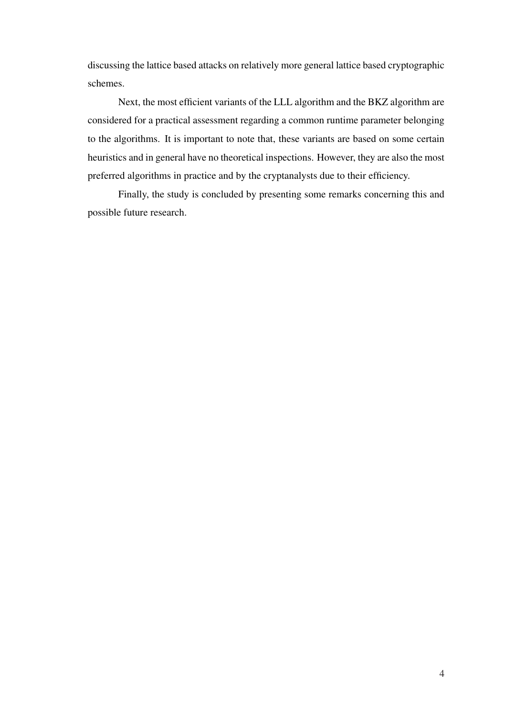discussing the lattice based attacks on relatively more general lattice based cryptographic schemes.

Next, the most efficient variants of the LLL algorithm and the BKZ algorithm are considered for a practical assessment regarding a common runtime parameter belonging to the algorithms. It is important to note that, these variants are based on some certain heuristics and in general have no theoretical inspections. However, they are also the most preferred algorithms in practice and by the cryptanalysts due to their efficiency.

Finally, the study is concluded by presenting some remarks concerning this and possible future research.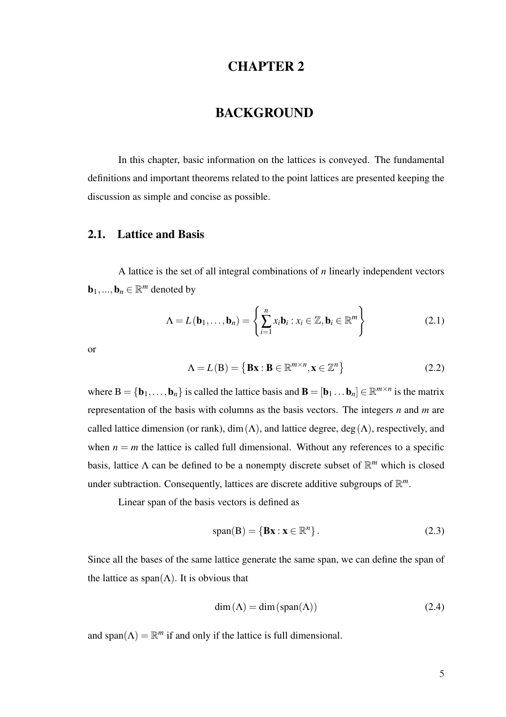# CHAPTER 2

## BACKGROUND

<span id="page-15-0"></span>In this chapter, basic information on the lattices is conveyed. The fundamental definitions and important theorems related to the point lattices are presented keeping the discussion as simple and concise as possible.

## 2.1. Lattice and Basis

A lattice is the set of all integral combinations of *n* linearly independent vectors  $\mathbf{b}_1, ..., \mathbf{b}_n \in \mathbb{R}^m$  denoted by

$$
\Lambda = L(\mathbf{b}_1, \dots, \mathbf{b}_n) = \left\{ \sum_{i=1}^n x_i \mathbf{b}_i : x_i \in \mathbb{Z}, \mathbf{b}_i \in \mathbb{R}^m \right\}
$$
(2.1)

or

$$
\Lambda = L(B) = \{ \mathbf{B}\mathbf{x} : \mathbf{B} \in \mathbb{R}^{m \times n}, \mathbf{x} \in \mathbb{Z}^n \}
$$
 (2.2)

where  $B = \{b_1, \ldots, b_n\}$  is called the lattice basis and  $B = [b_1 \ldots b_n] \in \mathbb{R}^{m \times n}$  is the matrix representation of the basis with columns as the basis vectors. The integers *n* and *m* are called lattice dimension (or rank), dim( $\Lambda$ ), and lattice degree, deg( $\Lambda$ ), respectively, and when  $n = m$  the lattice is called full dimensional. Without any references to a specific basis, lattice Λ can be defined to be a nonempty discrete subset of R *<sup>m</sup>* which is closed under subtraction. Consequently, lattices are discrete additive subgroups of  $\mathbb{R}^m$ .

Linear span of the basis vectors is defined as

$$
span(B) = \{Bx : x \in \mathbb{R}^n\}.
$$
\n(2.3)

Since all the bases of the same lattice generate the same span, we can define the span of the lattice as  $\text{span}(\Lambda)$ . It is obvious that

$$
\dim(\Lambda) = \dim(\text{span}(\Lambda))\tag{2.4}
$$

and span( $\Lambda$ ) =  $\mathbb{R}^m$  if and only if the lattice is full dimensional.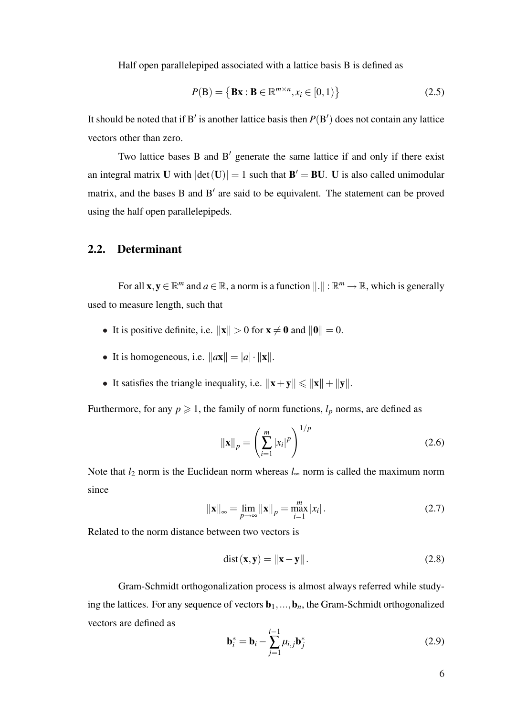<span id="page-16-0"></span>Half open parallelepiped associated with a lattice basis B is defined as

$$
P(\mathbf{B}) = \{ \mathbf{B}\mathbf{x} : \mathbf{B} \in \mathbb{R}^{m \times n}, x_i \in [0, 1) \}
$$
 (2.5)

It should be noted that if B' is another lattice basis then  $P(B')$  does not contain any lattice vectors other than zero.

Two lattice bases B and B' generate the same lattice if and only if there exist an integral matrix U with  $|\text{det}(\mathbf{U})| = 1$  such that  $\mathbf{B}' = \mathbf{B}\mathbf{U}$ . U is also called unimodular matrix, and the bases B and  $B'$  are said to be equivalent. The statement can be proved using the half open parallelepipeds.

#### 2.2. Determinant

For all  $\mathbf{x}, \mathbf{y} \in \mathbb{R}^m$  and  $a \in \mathbb{R}$ , a norm is a function  $\|\cdot\| : \mathbb{R}^m \to \mathbb{R}$ , which is generally used to measure length, such that

- It is positive definite, i.e.  $\|\mathbf{x}\| > 0$  for  $\mathbf{x} \neq \mathbf{0}$  and  $\|\mathbf{0}\| = 0$ .
- It is homogeneous, i.e.  $\|\mathbf{a}\mathbf{x}\| = |a| \cdot \|\mathbf{x}\|$ .
- It satisfies the triangle inequality, i.e.  $\|\mathbf{x}+\mathbf{y}\| \le \|\mathbf{x}\| + \|\mathbf{y}\|$ .

Furthermore, for any  $p \ge 1$ , the family of norm functions,  $l_p$  norms, are defined as

$$
\|\mathbf{x}\|_{p} = \left(\sum_{i=1}^{m} |x_{i}|^{p}\right)^{1/p}
$$
 (2.6)

Note that  $l_2$  norm is the Euclidean norm whereas  $l_{\infty}$  norm is called the maximum norm since

$$
\|\mathbf{x}\|_{\infty} = \lim_{p \to \infty} \|\mathbf{x}\|_{p} = \max_{i=1}^{m} |x_{i}|.
$$
 (2.7)

Related to the norm distance between two vectors is

$$
dist(\mathbf{x}, \mathbf{y}) = \|\mathbf{x} - \mathbf{y}\|.
$$
 (2.8)

Gram-Schmidt orthogonalization process is almost always referred while studying the lattices. For any sequence of vectors  $\mathbf{b}_1, \ldots, \mathbf{b}_n$ , the Gram-Schmidt orthogonalized vectors are defined as

$$
\mathbf{b}_i^* = \mathbf{b}_i - \sum_{j=1}^{i-1} \mu_{i,j} \mathbf{b}_j^*
$$
 (2.9)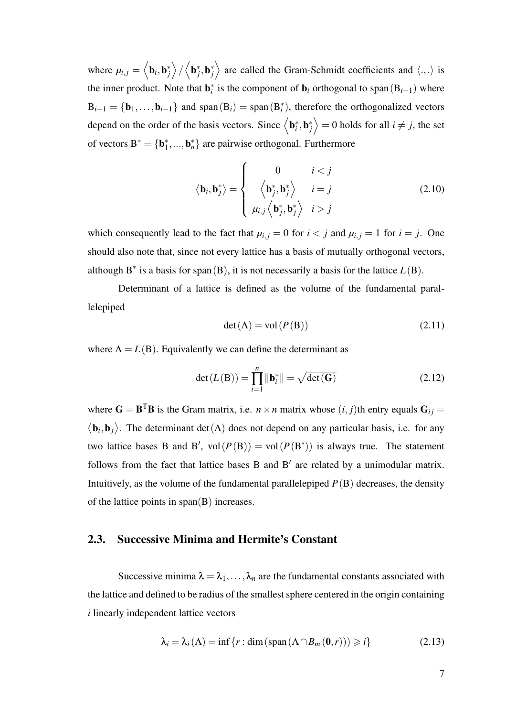<span id="page-17-0"></span>where  $\mu_{i,j} =$  $\overline{\phantom{a}}$  $\mathbf{b}_i, \mathbf{b}_j^*$  $\mathbf{r}$ /  $\overline{\phantom{a}}$  $\mathbf{b}_j^*, \mathbf{b}_j^*$ E are called the Gram-Schmidt coefficients and  $\langle ., . \rangle$  is the inner product. Note that  $\mathbf{b}_i^*$  is the component of  $\mathbf{b}_i$  orthogonal to span $(B_{i-1})$  where  $B_{i-1} = \{b_1, \ldots, b_{i-1}\}\$ and span $(B_i) = \text{span}(B_i^*)$ , therefore the orthogonalized vectors depend on the order of the basis vectors. Since  $\langle \mathbf{b}_i^*, \mathbf{b}_j^* \rangle = 0$  holds for all  $i \neq j$ , the set  $\frac{1}{\sqrt{2}}$ of vectors  $B^* = \{b_1^*,...,b_n^*\}$  are pairwise orthogonal. Furthermore

$$
\langle \mathbf{b}_i, \mathbf{b}_j^* \rangle = \begin{cases} 0 & i < j \\ \langle \mathbf{b}_j^*, \mathbf{b}_j^* \rangle & i = j \\ \mu_{i,j} \langle \mathbf{b}_j^*, \mathbf{b}_j^* \rangle & i > j \end{cases}
$$
 (2.10)

which consequently lead to the fact that  $\mu_{i,j} = 0$  for  $i < j$  and  $\mu_{i,j} = 1$  for  $i = j$ . One should also note that, since not every lattice has a basis of mutually orthogonal vectors, although  $B^*$  is a basis for span(B), it is not necessarily a basis for the lattice  $L(B)$ .

Determinant of a lattice is defined as the volume of the fundamental parallelepiped

$$
\det(\Lambda) = \text{vol}(P(\mathbf{B}))\tag{2.11}
$$

where  $\Lambda = L(B)$ . Equivalently we can define the determinant as

$$
\det(L(\mathbf{B})) = \prod_{i=1}^{n} \|\mathbf{b}_{i}^{*}\| = \sqrt{\det(\mathbf{G})}
$$
 (2.12)

where  $\mathbf{G} = \mathbf{B}^T \mathbf{B}$  is the Gram matrix, i.e.  $n \times n$  matrix whose  $(i, j)$ th entry equals  $\mathbf{G}_{ij} =$  $\overline{1}$  $\mathbf{b}_i, \mathbf{b}_j$ ® . The determinant det( $\Lambda$ ) does not depend on any particular basis, i.e. for any two lattice bases B and B',  $vol(P(B)) = vol(P(B^*))$  is always true. The statement follows from the fact that lattice bases  $B$  and  $B'$  are related by a unimodular matrix. Intuitively, as the volume of the fundamental parallelepiped  $P(B)$  decreases, the density of the lattice points in span(B) increases.

### 2.3. Successive Minima and Hermite's Constant

Successive minima  $\lambda = \lambda_1, \ldots, \lambda_n$  are the fundamental constants associated with the lattice and defined to be radius of the smallest sphere centered in the origin containing *i* linearly independent lattice vectors

$$
\lambda_i = \lambda_i(\Lambda) = \inf \{ r : \dim \left( \text{span} \left( \Lambda \cap B_m(0, r) \right) \right) \geq i \}
$$
\n(2.13)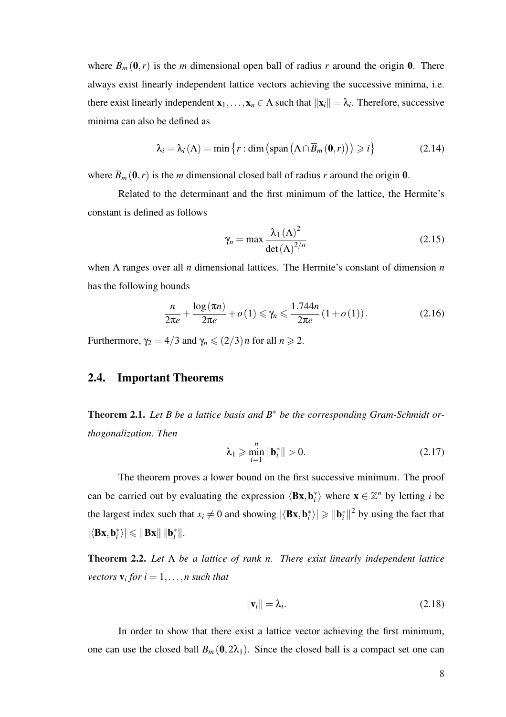<span id="page-18-0"></span>where  $B_m(0,r)$  is the *m* dimensional open ball of radius *r* around the origin 0. There always exist linearly independent lattice vectors achieving the successive minima, i.e. there exist linearly independent  $x_1, \ldots, x_n \in \Lambda$  such that  $||x_i|| = \lambda_i$ . Therefore, successive minima can also be defined as

$$
\lambda_{i} = \lambda_{i}(\Lambda) = \min \{ r : \dim \left( \operatorname{span} \left( \Lambda \cap \overline{B}_{m}(\mathbf{0}, r) \right) \right) \geq i \}
$$
 (2.14)

where  $\overline{B}_m(0,r)$  is the *m* dimensional closed ball of radius *r* around the origin 0.

Related to the determinant and the first minimum of the lattice, the Hermite's constant is defined as follows

$$
\gamma_n = \max \frac{\lambda_1 \left(\Lambda\right)^2}{\det(\Lambda)^{2/n}}\tag{2.15}
$$

when Λ ranges over all *n* dimensional lattices. The Hermite's constant of dimension *n* has the following bounds

$$
\frac{n}{2\pi e} + \frac{\log\left(\pi n\right)}{2\pi e} + o\left(1\right) \leqslant \gamma_n \leqslant \frac{1.744n}{2\pi e} \left(1 + o\left(1\right)\right). \tag{2.16}
$$

Furthermore,  $\gamma_2 = 4/3$  and  $\gamma_n \leqslant (2/3)n$  for all  $n \geqslant 2$ .

## 2.4. Important Theorems

Theorem 2.1. *Let B be a lattice basis and B*<sup>∗</sup> *be the corresponding Gram-Schmidt orthogonalization. Then*

$$
\lambda_1 \geqslant \min_{i=1}^n \|\mathbf{b}_i^*\| > 0. \tag{2.17}
$$

The theorem proves a lower bound on the first successive minimum. The proof can be carried out by evaluating the expression  $\langle Bx, b_i^* \rangle$  where  $x \in \mathbb{Z}^n$  by letting *i* be the largest index such that  $x_i \neq 0$  and showing  $|\langle \mathbf{Bx}, \mathbf{b}_i^* \rangle| \geq ||\mathbf{b}_i^*||^2$  by using the fact that  $|\langle \mathbf{B}\mathbf{x}, \mathbf{b}_i^* \rangle| \leqslant \|\mathbf{B}\mathbf{x}\| \|\mathbf{b}_i^*\|.$ 

Theorem 2.2. *Let* Λ *be a lattice of rank n. There exist linearly independent lattice vectors*  $\mathbf{v}_i$  *for*  $i = 1, \ldots, n$  *such that* 

$$
\|\mathbf{v}_i\| = \lambda_i. \tag{2.18}
$$

In order to show that there exist a lattice vector achieving the first minimum, one can use the closed ball  $\overline{B}_m(0,2\lambda_1)$ . Since the closed ball is a compact set one can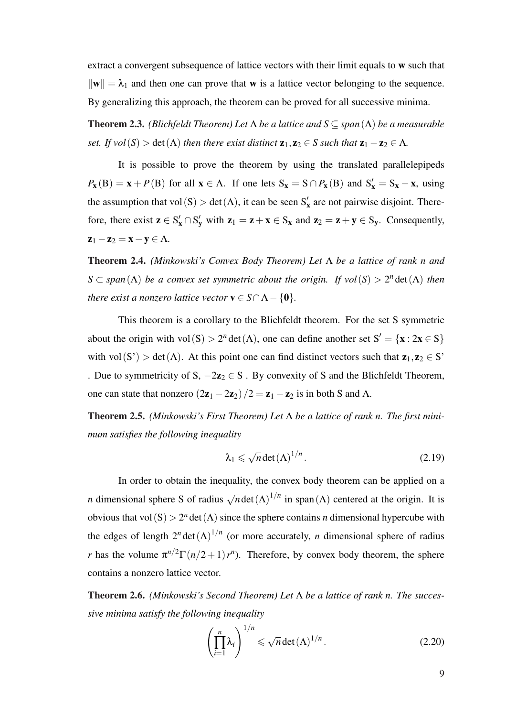extract a convergent subsequence of lattice vectors with their limit equals to w such that  $\|\mathbf{w}\| = \lambda_1$  and then one can prove that **w** is a lattice vector belonging to the sequence. By generalizing this approach, the theorem can be proved for all successive minima.

Theorem 2.3. *(Blichfeldt Theorem) Let* Λ *be a lattice and S* ⊆ *span*(Λ) *be a measurable set. If vol*(*S*) > det( $\Lambda$ ) *then there exist distinct*  $\mathbf{z}_1, \mathbf{z}_2 \in S$  *such that*  $\mathbf{z}_1 - \mathbf{z}_2 \in \Lambda$ *.* 

It is possible to prove the theorem by using the translated parallelepipeds  $P_{\mathbf{x}}(\mathbf{B}) = \mathbf{x} + P(\mathbf{B})$  for all  $\mathbf{x} \in \Lambda$ . If one lets  $S_{\mathbf{x}} = S \cap P_{\mathbf{x}}(\mathbf{B})$  and  $S'_{\mathbf{x}} = S_{\mathbf{x}} - \mathbf{x}$ , using the assumption that vol  $(S) > det(\Lambda)$ , it can be seen  $S'_x$  are not pairwise disjoint. Therefore, there exist  $z \in S'_x \cap S'_y$  with  $z_1 = z + x \in S_x$  and  $z_2 = z + y \in S_y$ . Consequently,  $z_1 - z_2 = x - y \in \Lambda$ .

Theorem 2.4. *(Minkowski's Convex Body Theorem) Let* Λ *be a lattice of rank n and*  $S \subset span(\Lambda)$  *be a convex set symmetric about the origin. If vol*(*S*) >  $2^n$  det( $\Lambda$ ) *then there exist a nonzero lattice vector*  $\mathbf{v} \in S \cap \Lambda - \{\mathbf{0}\}.$ 

This theorem is a corollary to the Blichfeldt theorem. For the set S symmetric about the origin with vol(S) >  $2^n \det(\Lambda)$ , one can define another set  $S' = \{x : 2x \in S\}$ with vol(S') > det( $\Lambda$ ). At this point one can find distinct vectors such that  $z_1, z_2 \in S'$ . Due to symmetricity of S,  $-2z_2 \in S$ . By convexity of S and the Blichfeldt Theorem, one can state that nonzero  $(2\mathbf{z}_1 - 2\mathbf{z}_2)/2 = \mathbf{z}_1 - \mathbf{z}_2$  is in both S and  $\Lambda$ .

Theorem 2.5. *(Minkowski's First Theorem) Let* Λ *be a lattice of rank n. The first minimum satisfies the following inequality*

$$
\lambda_1 \leqslant \sqrt{n} \det(\Lambda)^{1/n} \,. \tag{2.19}
$$

In order to obtain the inequality, the convex body theorem can be applied on a *n* dimensional sphere S of radius  $\sqrt{n}$  det  $(\Lambda)^{1/n}$  in span $(\Lambda)$  centered at the origin. It is obvious that vol(S)  $> 2^n$  det( $\Lambda$ ) since the sphere contains *n* dimensional hypercube with the edges of length  $2^n \det(\Lambda)^{1/n}$  (or more accurately, *n* dimensional sphere of radius *r* has the volume  $\pi^{n/2}\Gamma(n/2+1)$  *r*<sup>*n*</sup>). Therefore, by convex body theorem, the sphere contains a nonzero lattice vector.

Theorem 2.6. *(Minkowski's Second Theorem) Let* Λ *be a lattice of rank n. The successive minima satisfy the following inequality*

$$
\left(\prod_{i=1}^{n} \lambda_i\right)^{1/n} \leqslant \sqrt{n} \det(\Lambda)^{1/n}.
$$
\n(2.20)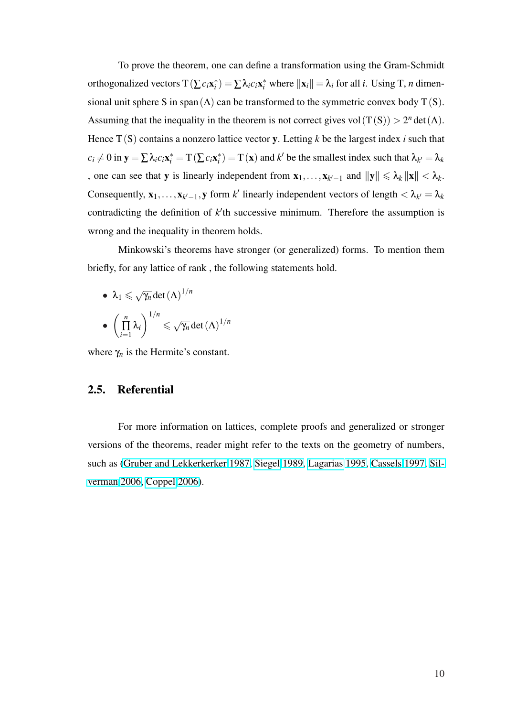<span id="page-20-0"></span>To prove the theorem, one can define a transformation using the Gram-Schmidt orthogonalized vectors  $T(\sum c_i \mathbf{x}_i^*) = \sum \lambda_i c_i \mathbf{x}_i^*$  where  $\|\mathbf{x}_i\| = \lambda_i$  for all *i*. Using T, *n* dimensional unit sphere S in span( $\Lambda$ ) can be transformed to the symmetric convex body T(S). Assuming that the inequality in the theorem is not correct gives vol $(T(S)) > 2<sup>n</sup> det(\Lambda)$ . Hence T(S) contains a nonzero lattice vector y. Letting *k* be the largest index *i* such that  $c_i \neq 0$  in  $\mathbf{y} = \sum \lambda_i c_i \mathbf{x}_i^* = T(\sum c_i \mathbf{x}_i^*) = T(\mathbf{x})$  and  $k'$  be the smallest index such that  $\lambda_{k'} = \lambda_k$ , one can see that **y** is linearly independent from  $\mathbf{x}_1, \dots, \mathbf{x}_{k'-1}$  and  $\|\mathbf{y}\| \leq \lambda_k \|\mathbf{x}\| < \lambda_k$ . Consequently,  $\mathbf{x}_1, \ldots, \mathbf{x}_{k'-1}, \mathbf{y}$  form  $k'$  linearly independent vectors of length  $\langle \lambda_{k'} | = \lambda_k \rangle$ contradicting the definition of  $k$ <sup>th</sup> successive minimum. Therefore the assumption is wrong and the inequality in theorem holds.

Minkowski's theorems have stronger (or generalized) forms. To mention them briefly, for any lattice of rank , the following statements hold.

\n- $$
\lambda_1 \leqslant \sqrt{\gamma_n} \det(\Lambda)^{1/n}
$$
\n- $\left(\prod_{i=1}^n \lambda_i\right)^{1/n} \leqslant \sqrt{\gamma_n} \det(\Lambda)^{1/n}$
\n

where  $\gamma_n$  is the Hermite's constant.

#### 2.5. Referential

For more information on lattices, complete proofs and generalized or stronger versions of the theorems, reader might refer to the texts on the geometry of numbers, such as (Gruber and Lekkerkerker 1987, Siegel 1989, Lagarias 1995, Cassels 1997, Silverman 2006, Coppel 2006).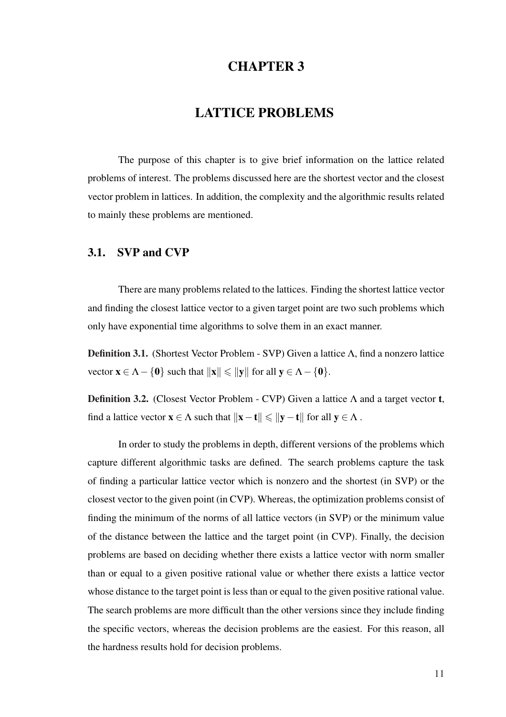# CHAPTER 3

# LATTICE PROBLEMS

<span id="page-21-0"></span>The purpose of this chapter is to give brief information on the lattice related problems of interest. The problems discussed here are the shortest vector and the closest vector problem in lattices. In addition, the complexity and the algorithmic results related to mainly these problems are mentioned.

### 3.1. SVP and CVP

There are many problems related to the lattices. Finding the shortest lattice vector and finding the closest lattice vector to a given target point are two such problems which only have exponential time algorithms to solve them in an exact manner.

Definition 3.1. (Shortest Vector Problem - SVP) Given a lattice Λ, find a nonzero lattice vector  $\mathbf{x} \in \Lambda - \{\mathbf{0}\}\$  such that  $\|\mathbf{x}\| \le \|\mathbf{y}\|$  for all  $\mathbf{y} \in \Lambda - \{\mathbf{0}\}\$ .

**Definition 3.2.** (Closest Vector Problem - CVP) Given a lattice  $\Lambda$  and a target vector **t**, find a lattice vector  $x \in \Lambda$  such that  $||x-t|| \le ||y-t||$  for all  $y \in \Lambda$ .

In order to study the problems in depth, different versions of the problems which capture different algorithmic tasks are defined. The search problems capture the task of finding a particular lattice vector which is nonzero and the shortest (in SVP) or the closest vector to the given point (in CVP). Whereas, the optimization problems consist of finding the minimum of the norms of all lattice vectors (in SVP) or the minimum value of the distance between the lattice and the target point (in CVP). Finally, the decision problems are based on deciding whether there exists a lattice vector with norm smaller than or equal to a given positive rational value or whether there exists a lattice vector whose distance to the target point is less than or equal to the given positive rational value. The search problems are more difficult than the other versions since they include finding the specific vectors, whereas the decision problems are the easiest. For this reason, all the hardness results hold for decision problems.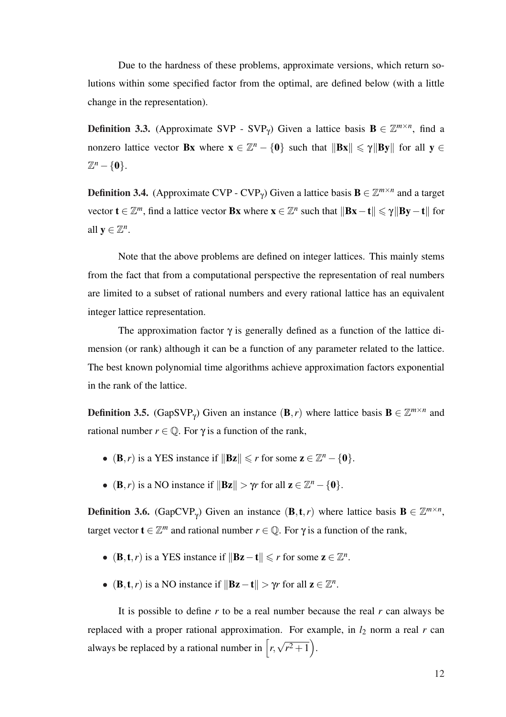Due to the hardness of these problems, approximate versions, which return solutions within some specified factor from the optimal, are defined below (with a little change in the representation).

**Definition 3.3.** (Approximate SVP - SVP<sub> $\gamma$ </sub>) Given a lattice basis  $\mathbf{B} \in \mathbb{Z}^{m \times n}$ , find a nonzero lattice vector **Bx** where  $\mathbf{x} \in \mathbb{Z}^n - \{\mathbf{0}\}\$  such that  $\|\mathbf{Bx}\| \leq \gamma \|\mathbf{By}\|$  for all  $\mathbf{y} \in \mathbb{Z}$  $\mathbb{Z}^n - \{0\}.$ 

**Definition 3.4.** (Approximate CVP - CVP<sub> $\gamma$ </sub>) Given a lattice basis  $\mathbf{B} \in \mathbb{Z}^{m \times n}$  and a target vector  $\mathbf{t} \in \mathbb{Z}^m$ , find a lattice vector **Bx** where  $\mathbf{x} \in \mathbb{Z}^n$  such that  $\|\mathbf{Bx}-\mathbf{t}\| \leq \gamma \|\mathbf{By}-\mathbf{t}\|$  for all  $y \in \mathbb{Z}^n$ .

Note that the above problems are defined on integer lattices. This mainly stems from the fact that from a computational perspective the representation of real numbers are limited to a subset of rational numbers and every rational lattice has an equivalent integer lattice representation.

The approximation factor  $\gamma$  is generally defined as a function of the lattice dimension (or rank) although it can be a function of any parameter related to the lattice. The best known polynomial time algorithms achieve approximation factors exponential in the rank of the lattice.

**Definition 3.5.** (GapSVP<sub> $\gamma$ </sub>) Given an instance (**B**,*r*) where lattice basis **B**  $\in \mathbb{Z}^{m \times n}$  and rational number  $r \in \mathbb{Q}$ . For  $\gamma$  is a function of the rank,

- (**B**,*r*) is a YES instance if  $\|\mathbf{Bz}\| \le r$  for some  $\mathbf{z} \in \mathbb{Z}^n \{0\}.$
- (**B**,*r*) is a NO instance if  $\|\mathbf{Bz}\| > \gamma r$  for all  $z \in \mathbb{Z}^n \{0\}.$

**Definition 3.6.** (GapCVP<sub> $\gamma$ </sub>) Given an instance (**B**, **t**, *r*) where lattice basis **B**  $\in \mathbb{Z}^{m \times n}$ , target vector  $\mathbf{t} \in \mathbb{Z}^m$  and rational number  $r \in \mathbb{Q}$ . For  $\gamma$  is a function of the rank,

- (**B**, **t**, *r*) is a YES instance if  $\|\mathbf{Bz} \mathbf{t}\| \le r$  for some  $\mathbf{z} \in \mathbb{Z}^n$ .
- (**B**, **t**, *r*) is a NO instance if  $\|\mathbf{Bz} \mathbf{t}\| > \gamma r$  for all  $\mathbf{z} \in \mathbb{Z}^n$ .

It is possible to define *r* to be a real number because the real *r* can always be replaced with a proper rational approximation. For example, in  $l_2$  norm a real  $r$  can always be replaced by a rational number in  $\lceil r, \rceil$ √  $\overline{r^2+1}$ ).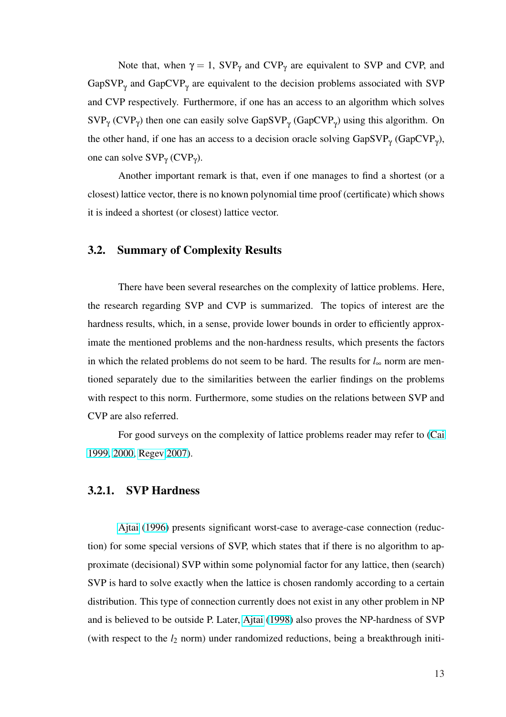<span id="page-23-0"></span>Note that, when  $\gamma = 1$ , SVP<sub> $\gamma$ </sub> and CVP<sub> $\gamma$ </sub> are equivalent to SVP and CVP, and GapSVP<sub>y</sub> and GapCVP<sub>y</sub> are equivalent to the decision problems associated with SVP and CVP respectively. Furthermore, if one has an access to an algorithm which solves  $SVP_{\gamma}$  (CVP<sub> $\gamma$ </sub>) then one can easily solve GapSVP<sub> $\gamma$ </sub> (GapCVP<sub> $\gamma$ </sub>) using this algorithm. On the other hand, if one has an access to a decision oracle solving  $GapSVP_{\gamma}$  (GapCVP<sub> $\gamma$ </sub>), one can solve  $SVP_{\gamma}$  (CVP<sub>γ</sub>).

Another important remark is that, even if one manages to find a shortest (or a closest) lattice vector, there is no known polynomial time proof (certificate) which shows it is indeed a shortest (or closest) lattice vector.

## 3.2. Summary of Complexity Results

There have been several researches on the complexity of lattice problems. Here, the research regarding SVP and CVP is summarized. The topics of interest are the hardness results, which, in a sense, provide lower bounds in order to efficiently approximate the mentioned problems and the non-hardness results, which presents the factors in which the related problems do not seem to be hard. The results for *l*<sup>∞</sup> norm are mentioned separately due to the similarities between the earlier findings on the problems with respect to this norm. Furthermore, some studies on the relations between SVP and CVP are also referred.

For good surveys on the complexity of lattice problems reader may refer to (Cai 1999, 2000, Regev 2007).

#### [3.2.1. S](#page-91-0)[VP Hardne](#page-99-0)ss

Ajtai (1996) presents significant worst-case to average-case connection (reduction) for some special versions of SVP, which states that if there is no algorithm to approxim[ate \(d](#page-89-0)e[cision](#page-89-0)al) SVP within some polynomial factor for any lattice, then (search) SVP is hard to solve exactly when the lattice is chosen randomly according to a certain distribution. This type of connection currently does not exist in any other problem in NP and is believed to be outside P. Later, Ajtai (1998) also proves the NP-hardness of SVP (with respect to the  $l_2$  norm) under randomized reductions, being a breakthrough initi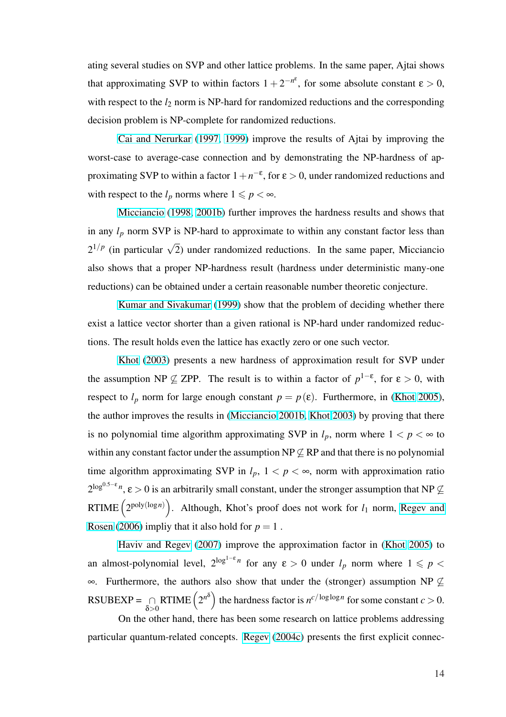ating several studies on SVP and other lattice problems. In the same paper, Ajtai shows that approximating SVP to within factors  $1 + 2^{-n^{\varepsilon}}$ , for some absolute constant  $\varepsilon > 0$ , with respect to the  $l_2$  norm is NP-hard for randomized reductions and the corresponding decision problem is NP-complete for randomized reductions.

Cai and Nerurkar (1997, 1999) improve the results of Ajtai by improving the worst-case to average-case connection and by demonstrating the NP-hardness of approxim[ating SVP to within a fact](#page-91-0)or  $1+n^{-\epsilon}$  $1+n^{-\epsilon}$  $1+n^{-\epsilon}$ , for  $\epsilon > 0$ , under randomized reductions and with respect to the  $l_p$  norms where  $1 \leqslant p < \infty$ .

Micciancio (1998, 2001b) further improves the hardness results and shows that in any  $l_p$  norm SVP is NP-hard to approximate to within any constant factor less than  $2^{1/p}$  (i[n particular](#page-97-0)  $\sqrt{2}$ ) under randomized reductions. In the same paper, Micciancio also shows that a proper NP-hardness result (hardness under deterministic many-one reductions) can be obtained under a certain reasonable number theoretic conjecture.

Kumar and Sivakumar (1999) show that the problem of deciding whether there exist a lattice vector shorter than a given rational is NP-hard under randomized reductions. [The result holds even the lattice](#page-96-0) has exactly zero or one such vector.

Khot (2003) presents a new hardness of approximation result for SVP under the assumption NP  $\nsubseteq$  ZPP. The result is to within a factor of  $p^{1-\epsilon}$ , for  $\varepsilon > 0$ , with respect [to](#page-96-0)  $l_p$  [norm f](#page-96-0)or large enough constant  $p = p(\varepsilon)$ . Furthermore, in (Khot 2005), the author improves the results in (Micciancio 2001b, Khot 2003) by proving that there is no polynomial time algorithm approximating SVP in  $l_p$ , norm where  $1 < p < \infty$  $1 < p < \infty$  $1 < p < \infty$  to within any constant factor under the assumption  $NP \not\subseteq RP$  and that there is no polynomial time algorithm approximating SVP in  $l_p$ ,  $1 < p < \infty$ , norm with approximation ratio  $2^{\log^{0.5-\epsilon} n}$ ,  $\epsilon > 0$  is an arbitrarily small constant, under the stronger assumption that NP  $\nsubseteq$ RTIME  $(2^{\text{poly}(\log n)})$ . Although, Khot's proof does not work for  $l_1$  norm, Regev and ..<br>\ Rosen (2006) impliy that it also hold for  $p = 1$ .

Haviv and Regev (2007) improve the approximation factor in (Khot [2005\) to](#page-100-0) [an almost-po](#page-100-0)lynomial level,  $2^{\log^{1-\epsilon} n}$  for any  $\epsilon > 0$  under  $l_p$  norm where  $1 \leqslant p <$  $\infty$ . Fu[rthermore, the authors a](#page-94-0)lso show that under the (stronger) ass[umption NP](#page-96-0)  $\subset$  $RSUBEXP = \bigcap$ δ>0 RTIME  $(2^{n^{\delta}})$ the hardness factor is  $n^{c/\log\log n}$  for some constant  $c > 0$ .

On the other hand, there has been some research on lattice problems addressing particular quantum-related concepts. Regev (2004c) presents the first explicit connec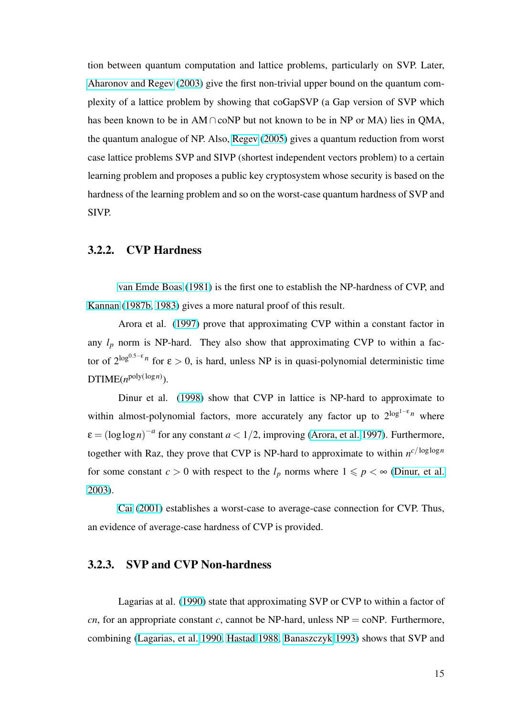<span id="page-25-0"></span>tion between quantum computation and lattice problems, particularly on SVP. Later, Aharonov and Regev (2003) give the first non-trivial upper bound on the quantum complexity of a lattice problem by showing that coGapSVP (a Gap version of SVP which has been known to be in  $AM \cap coNP$  but not known to be in NP or MA) lies in QMA, the quantum analogue of NP. Also, Regev (2005) gives a quantum reduction from worst case lattice problems SVP and SIVP (shortest independent vectors problem) to a certain learning problem and proposes a p[ublic key crypt](#page-99-0)osystem whose security is based on the hardness of the learning problem and so on the worst-case quantum hardness of SVP and SIVP.

## 3.2.2. CVP Hardness

van Emde Boas (1981) is the first one to establish the NP-hardness of CVP, and Kannan (1987b, 1983) gives a more natural proof of this result.

[Arora et al. \(1997\) pr](#page-101-0)ove that approximating CVP within a constant factor in [any](#page-95-0)  $l_p$  n[orm is NP-ha](#page-95-0)rd. They also show that approximating CVP to within a factor of  $2^{\log^{0.5-\epsilon} n}$  for  $\epsilon > 0$ , is hard, unless NP is in quasi-polynomial deterministic time  $DTIME(n^{poly(log n)})$ .

Dinur et al. (1998) show that CVP in lattice is NP-hard to approximate to within almost-polynomial factors, more accurately any factor up to 2<sup>log1-ε</sup><sup>n</sup> where  $\varepsilon = (\log \log n)^{-a}$  for a[ny con](#page-92-0)stant  $a < 1/2$ , improving (Arora, et al. 1997). Furthermore, together with Raz, they prove that CVP is NP-hard to approximate to within  $n^{c/\log\log n}$ for some constant  $c > 0$  with respect to the  $l_p$  norms [where](#page-90-0)  $1 \leq p \leq \infty$  (Dinur, et al. 2003).

Cai (2001) establishes a worst-case to average-case connection fo[r CVP. Thus,](#page-92-0) [an ev](#page-92-0)idence of average-case hardness of CVP is provided.

## 3.2.3. SVP and CVP Non-hardness

Lagarias at al. (1990) state that approximating SVP or CVP to within a factor of *cn*, for an appropriate constant *c*, cannot be NP-hard, unless  $NP = \text{coNP}$ . Furthermore, combining (Lagarias, [et al.](#page-97-0) 1990, Hastad 1988, Banaszczyk 1993) shows that SVP and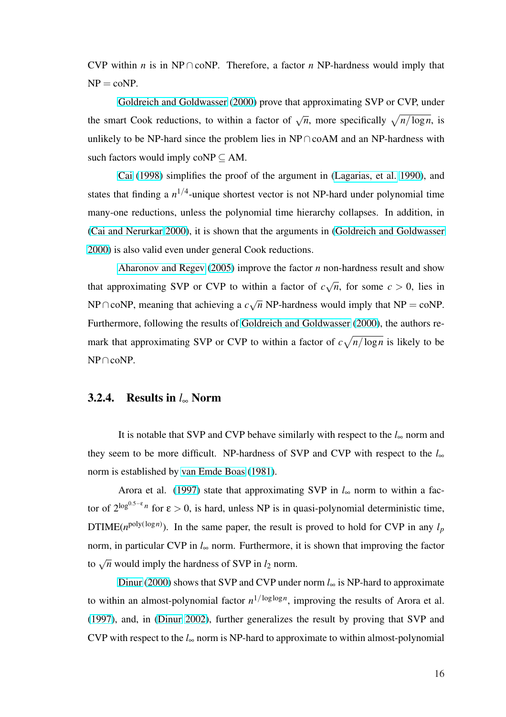<span id="page-26-0"></span>CVP within *n* is in NP ∩ coNP. Therefore, a factor *n* NP-hardness would imply that  $NP = coNP$ .

Goldreich and Goldwasser (2000) prove that approximating SVP or CVP, under the smart Cook reductions, to within a factor of  $\sqrt{n}$ , more specifically  $\sqrt{n/\log n}$ , is unlikel[y to be NP-hard since the problem](#page-93-0) lies in NP∩coAM and an NP-hardness with such factors would imply coNP  $\subseteq$  AM.

Cai (1998) simplifies the proof of the argument in (Lagarias, et al. 1990), and states that finding a  $n^{1/4}$ -unique shortest vector is not NP-hard under polynomial time many-[one reductio](#page-91-0)ns, unless the polynomial time hierarch[y collapses. In additio](#page-97-0)n, in (Cai and Nerurkar 2000), it is shown that the arguments in (Goldreich and Goldwasser 2000) is also valid even under general Cook reductions.

[Aharonov and Re](#page-92-0)gev (2005) improve the factor *n* no[n-hardness result and show](#page-93-0) [that a](#page-93-0)pproximating SVP or CVP to within a factor of *c* √  $\overline{n}$ , for some  $c > 0$ , lies in NP∩c[oNP, meaning that achieving](#page-89-0) a *c* √  $\overline{n}$  NP-hardness would imply that NP = coNP. Furthermore, following the results of Goldreich and Goldwasser (2000), the authors remark that approximating SVP or CVP to within a factor of *c* p *n*/log*n* is likely to be NP∩coNP.

## 3.2.4. Results in *l*<sup>∞</sup> Norm

It is notable that SVP and CVP behave similarly with respect to the *l*<sup>∞</sup> norm and they seem to be more difficult. NP-hardness of SVP and CVP with respect to the *l*<sup>∞</sup> norm is established by van Emde Boas (1981).

Arora et al. (1997) state that approximating SVP in  $l_{\infty}$  norm to within a factor of  $2^{\log^{0.5-\epsilon} n}$  for  $\epsilon > 0$ , is hard, unles[s NP](#page-101-0) is in quasi-polynomial deterministic time, DTIME( $n^{\text{poly}(\log n)}$ ). [In the](#page-90-0) same paper, the result is proved to hold for CVP in any  $l_p$ norm, in particular CVP in  $l_{\infty}$  norm. Furthermore, it is shown that improving the factor to  $\sqrt{n}$  would imply the hardness of SVP in  $l_2$  norm.

Dinur (2000) shows that SVP and CVP under norm *l*<sup>∞</sup> is NP-hard to approximate to within an almost-polynomial factor  $n^{1/\log \log n}$ , improving the results of Arora et al. (1997)[, and, in \(Din](#page-92-0)ur 2002), further generalizes the result by proving that SVP and CVP with respect to the  $l_{\infty}$  norm is NP-hard to approximate to within almost-polynomial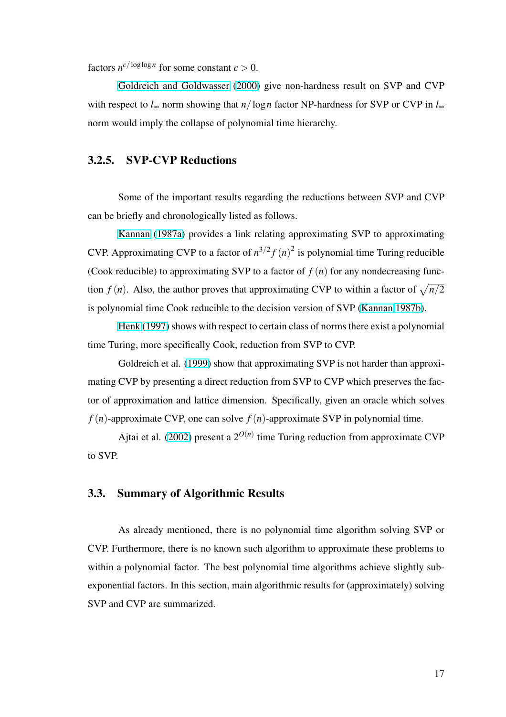<span id="page-27-0"></span>factors  $n^{c/\log\log n}$  for some constant  $c > 0$ .

Goldreich and Goldwasser (2000) give non-hardness result on SVP and CVP with respect to  $l_{\infty}$  norm showing that  $n/\log n$  factor NP-hardness for SVP or CVP in  $l_{\infty}$ norm [would imply the collapse of polynom](#page-93-0)ial time hierarchy.

# 3.2.5. SVP-CVP Reductions

Some of the important results regarding the reductions between SVP and CVP can be briefly and chronologically listed as follows.

Kannan (1987a) provides a link relating approximating SVP to approximating CVP. Approximating CVP to a factor of  $n^{3/2} f(n)^2$  is polynomial time Turing reducible (Cook [reducible\) to app](#page-95-0)roximating SVP to a factor of  $f(n)$  for any nondecreasing function *f* (*n*). Also, the author proves that approximating CVP to within a factor of  $\sqrt{n/2}$ is polynomial time Cook reducible to the decision version of SVP (Kannan 1987b).

Henk (1997) shows with respect to certain class of norms there exist a polynomial time Turing, more specifically Cook, reduction from SVP to CVP.

[Goldreich et](#page-95-0) al. (1999) show that approximating SVP is not harder than approximating CVP by presenting a direct reduction from SVP to CVP which preserves the factor of approximation an[d latti](#page-94-0)ce dimension. Specifically, given an oracle which solves  $f(n)$ -approximate CVP, one can solve  $f(n)$ -approximate SVP in polynomial time.

Ajtai et al. (2002) present a  $2^{O(n)}$  time Turing reduction from approximate CVP to SVP.

### 3.3. Summary of Algorithmic Results

As already mentioned, there is no polynomial time algorithm solving SVP or CVP. Furthermore, there is no known such algorithm to approximate these problems to within a polynomial factor. The best polynomial time algorithms achieve slightly subexponential factors. In this section, main algorithmic results for (approximately) solving SVP and CVP are summarized.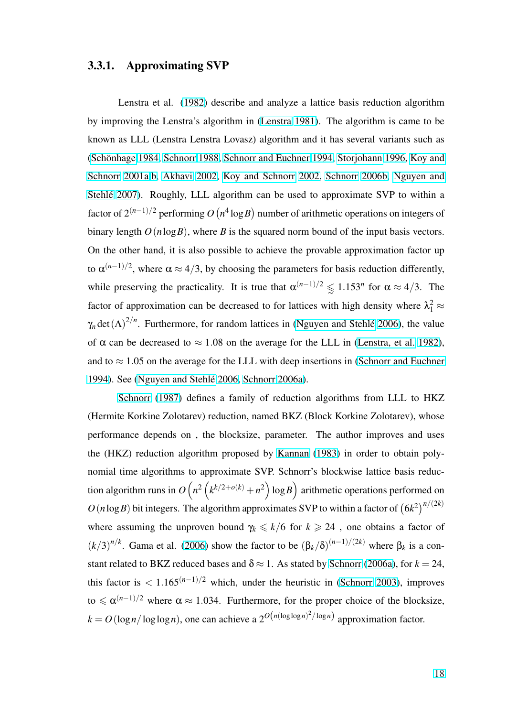### <span id="page-28-0"></span>3.3.1. Approximating SVP

Lenstra et al. (1982) describe and analyze a lattice basis reduction algorithm by improving the Lenstra's algorithm in (Lenstra 1981). The algorithm is came to be known as LLL (Lenstr[a Len](#page-97-0)stra Lovasz) algorithm and it has several variants such as (Schönhage 1984, Schnorr 1988, Schnorr [and Euchner](#page-97-0) 1994, Storjohann 1996, Koy and Schnorr 2001a,b, Akhavi 2002, Koy and Schnorr 2002, Schnorr 2006b, Nguyen and Stehlé 2007[\). Ro](#page-101-0)[ughly, LLL al](#page-100-0)[gorithm can be used to approximate SVP to](#page-101-0) [within a](#page-96-0) [factor of](#page-96-0)  $2^{(n-1)/2}$  $2^{(n-1)/2}$  [performing](#page-90-0) *O* (  $n^4 \log B$ ¢ [number of arith](#page-96-0)[metic operations](#page-100-0) [on integers of](#page-98-0) [binary length](#page-98-0)  $O(n \log B)$ , where *B* is the squared norm bound of the input basis vectors. On the other hand, it is also possible to achieve the provable approximation factor up to  $\alpha^{(n-1)/2}$ , where  $\alpha \approx 4/3$ , by choosing the parameters for basis reduction differently, while preserving the practicality. It is true that  $\alpha^{(n-1)/2} \leq 1.153^n$  for  $\alpha \approx 4/3$ . The factor of approximation can be decreased to for lattices with high density where  $\lambda_1^2 \approx$  $\gamma_n$  det  $(\Lambda)^{2/n}$ . Furthermore, for random lattices in (Nguyen and Stehlé 2006), the value of  $\alpha$  can be decreased to  $\approx 1.08$  on the average for the LLL in (Lenstra, et al. 1982), and to  $\approx$  1.05 on the average for the LLL with dee[p insertions in \(Schnorr an](#page-98-0)d Euchner 1994). See (Nguyen and Stehlé 2006, Schnorr 2006a).

Schnorr (1987) defines a family of reduction algorithm[s from LLL to HKZ](#page-101-0) [\(Herm](#page-101-0)ite K[orkine Zolotarev\) reductio](#page-98-0)[n, named BKZ](#page-100-0) (Block Korkine Zolotarev), whose perfor[mance depends](#page-100-0) on , the blocksize, parameter. The author improves and uses the (HKZ) reduction algorithm proposed by Kannan (1983) in order to obtain polynomial time algorithms to approximate SVP. Schnorr's blockwise lattice basis reduction algorithm runs in *O*  $\ddot{\phantom{0}}$ *n* 2  $\frac{4}{\epsilon}$  $k^{k/2+o(k)} + n^2$  $\ddot{\phantom{a}}$ l[og](#page-95-0)*B* ...<br>\ arit[hmeti](#page-95-0)c operations performed on  $O(n \log B)$  bit integers. The algorithm approximates SVP to within a factor of  $(6k^2)^{n/(2k)}$ where assuming the unproven bound  $\gamma_k \leq k/6$  for  $k \geq 24$ , one obtains a factor of  $(k/3)^{n/k}$ . Gama et al. (2006) show the factor to be  $(\beta_k/\delta)^{(n-1)/(2k)}$  where  $\beta_k$  is a constant related to BKZ reduced bases and  $\delta \approx 1$ . As stated by Schnorr (2006a), for  $k = 24$ , this factor is  $\langle 1.165(n-1)/2 \rangle$  which, under the heuristic in (Schnorr 2003), improves to  $\leq \alpha^{(n-1)/2}$  where  $\alpha \approx 1.034$ . Furthermore, for the pr[oper choice of th](#page-100-0)e blocksize,  $k = O(\log n / \log \log n)$ , one can achieve a  $2^{O(n(\log \log n)^2 / \log n)}$  [approximation](#page-100-0) factor.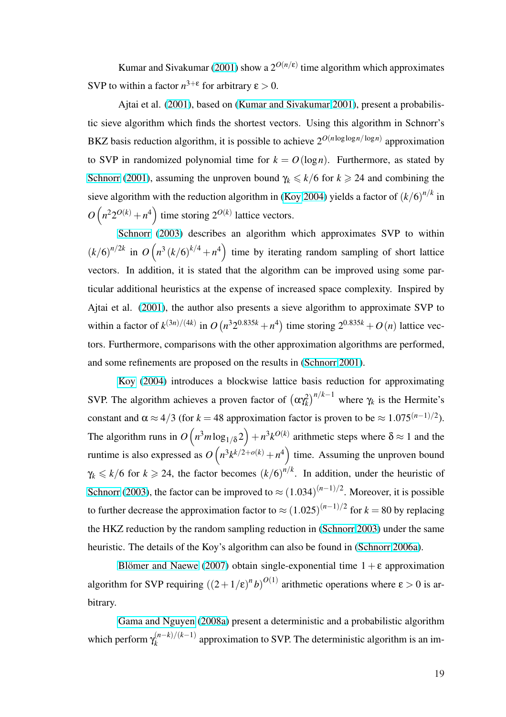Kumar and Sivakumar (2001) show a  $2^{O(n/\epsilon)}$  time algorithm which approximates SVP to within a factor  $n^{3+\epsilon}$  for arbitrary  $\epsilon > 0$ .

Ajtai et al. (2001), bas[ed on \(](#page-96-0)Kumar and Sivakumar 2001), present a probabilistic sieve algorithm which finds the shortest vectors. Using this algorithm in Schnorr's BKZ basis reducti[on algo](#page-90-0)rithm, it is [possible to achieve](#page-96-0)  $2^{O(n \log \log n / \log n)}$  approximation to SVP in randomized polynomial time for  $k = O(\log n)$ . Furthermore, as stated by Schnorr (2001), assuming the unproven bound  $\gamma_k \le k/6$  for  $k \ge 24$  and combining the sieve algorithm with the reduction algorithm in (Koy 2004) yields a factor of  $(k/6)^{n/k}$  in  $O(n^2 2^{O(k)} + n^4)$  $O(n^2 2^{O(k)} + n^4)$  $O(n^2 2^{O(k)} + n^4)$  $O(n^2 2^{O(k)} + n^4)$  time storing  $2^{O(k)}$  lattice vectors.  $\sim$   $\frac{1}{2}$ 

Schnorr (2003) describes an algorith[m which a](#page-96-0)pproximates SVP to within  $(k/6)^{n/2k}$  in  $O(n^3 (k/6)^{k/4} + n^4)$  time by iterating random sampling of short lattice  $\frac{2005}{400}$ vectors[. In add](#page-100-0)i[tion, i](#page-100-0)t is stated that the algorithm can be improved using some particular additional heuristics at the expense of increased space complexity. Inspired by Ajtai et al. (2001), the author also presents a sieve algorithm to approximate SVP to within a factor of  $k^{(3n)/(4k)}$  in O ¡  $n^3 2^{0.835k} + n^4$ time storing  $2^{0.835k} + O(n)$  lattice vectors. Further[more,](#page-90-0) comparisons with the other approximation algorithms are performed, and some refinements are proposed on the results in (Schnorr 2001).

Koy (2004) introduces a blockwise lattice basis reduction for approximating SVP. The algorithm achieves a proven factor of  $(\alpha \gamma_k^2)$  $(\alpha \gamma_k^2)$  $(\alpha \gamma_k^2)$ ¢*n*/*k*−<sup>1</sup> [where](#page-100-0)  $\gamma_k$  is the Hermite's consta[nt and](#page-96-0)  $\alpha \approx 4/3$  (for  $k = 48$  approximation factor is proven to be  $\approx 1.075^{(n-1)/2}$ ). The algorithm runs in *O*  $\frac{1}{\sqrt{2}}$  $n^3m\log_{1/\delta} 2$ ´  $+n^3k^{O(k)}$  arithmetic steps where  $\delta \approx 1$  and the runtime is also expressed as  $O(n^3k^{k/2+o(k)} + n^4)$  time. Assuming the unproven bound  $\frac{\log_{10} z}{2}$  $\gamma_k \le k/6$  for  $k \ge 24$ , the factor becomes  $(k/6)^{n/k}$ . In addition, under the heuristic of Schnorr (2003), the factor can be improved to  $\approx (1.034)^{(n-1)/2}$ . Moreover, it is possible to further decrease the approximation factor to  $\approx (1.025)^{(n-1)/2}$  for  $k = 80$  by replacing [the HKZ reduc](#page-100-0)tion by the random sampling reduction in (Schnorr 2003) under the same heuristic. The details of the Koy's algorithm can also be found in (Schnorr 2006a).

Blömer and Naewe (2007) obtain single-expone[ntial time](#page-100-0)  $1 + \varepsilon$  $1 + \varepsilon$  $1 + \varepsilon$  approximation algorithm for SVP requiring  $((2+1/\epsilon)^n b)^{O(1)}$  arithmetic operati[ons wher](#page-100-0)e  $\epsilon > 0$  $\epsilon > 0$  $\epsilon > 0$  is arbitrary.

Gama and Nguyen (2008a) present a deterministic and a probabilistic algorithm which perform  $\gamma_k^{(n-k)/(k-1)}$  $\binom{n-k}{k}$  approximation to SVP. The deterministic algorithm is an im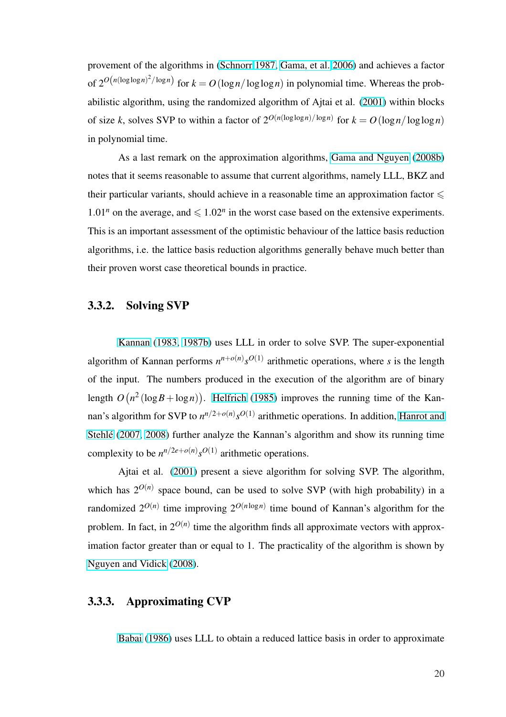<span id="page-30-0"></span>provement of the algorithms in (Schnorr 1987, Gama, et al. 2006) and achieves a factor of  $2^{O(n(\log \log n)^2/\log n)}$  for  $k = O(\log n/\log \log n)$  in polynomial time. Whereas the probabilistic algorithm, using the ra[ndomized algor](#page-100-0)[ithm of Ajtai et al.](#page-93-0) (2001) within blocks of size *k*, solves SVP to within a factor of  $2^{O(n(\log \log n)/\log n)}$  for  $k = O(\log n/\log \log n)$ in polynomial time.

As a last remark on the approximation algorithms, Gama and Nguyen (2008b) notes that it seems reasonable to assume that current algorithms, namely LLL, BKZ and their particular variants, should achieve in a reasonable tim[e an approximation](#page-93-0) f[actor](#page-93-0)  $\leq$ 1.01<sup>n</sup> on the average, and  $\leq 1.02<sup>n</sup>$  in the worst case based on the extensive experiments. This is an important assessment of the optimistic behaviour of the lattice basis reduction algorithms, i.e. the lattice basis reduction algorithms generally behave much better than their proven worst case theoretical bounds in practice.

### 3.3.2. Solving SVP

Kannan (1983, 1987b) uses LLL in order to solve SVP. The super-exponential algorithm of Kannan performs  $n^{n+o(n)} s^{O(1)}$  arithmetic operations, where *s* is the length of the [input. The numbers p](#page-95-0)roduced in the execution of the algorithm are of binary length *O* ∶<br>∕  $n^2$  (log *B* + log *n*) ¢ . Helfrich (1985) improves the running time of the Kannan's algorithm for SVP to  $n^{n/2+o(n)}s^{O(1)}$  arithmetic operations. In addition, Hanrot and Stehlé (2007, 2008) further a[nalyze the Kann](#page-95-0)an's algorithm and show its running time complexity to be  $n^{n/2e+o(n)} s^{O(1)}$  arithmetic operations.

[Ajtai](#page-94-0) [et al.](#page-94-0) (2001) present a sieve algorithm for solving SVP. The algorithm, which has  $2^{O(n)}$  space bound, can be used to solve SVP (with high probability) in a randomized  $2^{O(n)}$  ti[me im](#page-90-0)proving  $2^{O(n \log n)}$  time bound of Kannan's algorithm for the problem. In fact, in  $2^{O(n)}$  time the algorithm finds all approximate vectors with approximation factor greater than or equal to 1. The practicality of the algorithm is shown by Nguyen and Vidick (2008).

### [3.3.3. Approximatin](#page-98-0)g CVP

Babai (1986) uses LLL to obtain a reduced lattice basis in order to approximate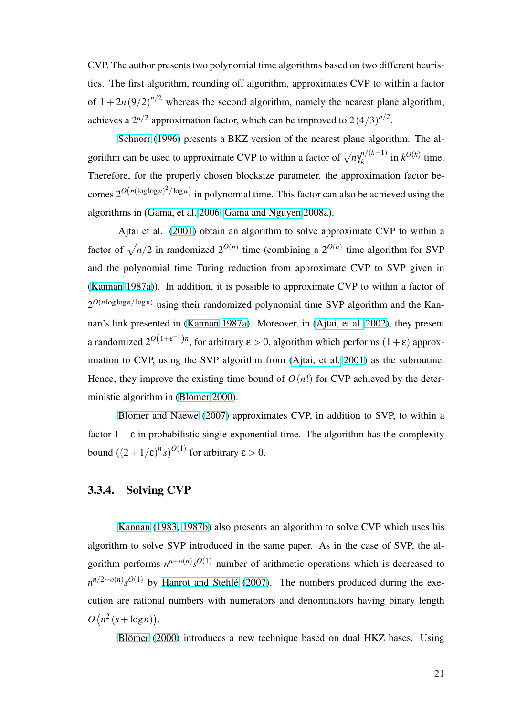<span id="page-31-0"></span>CVP. The author presents two polynomial time algorithms based on two different heuristics. The first algorithm, rounding off algorithm, approximates CVP to within a factor of  $1 + 2n(9/2)^{n/2}$  whereas the second algorithm, namely the nearest plane algorithm, achieves a  $2^{n/2}$  approximation factor, which can be improved to  $2(4/3)^{n/2}$ .

Schnorr (1996) presents a BKZ version of the nearest plane algorithm. The algorithm can be used to approximate CVP to within a factor of  $\sqrt{n} \gamma_k^{n/(k-1)}$  $\int_{k}^{n/(k-1)}$  in  $k^{O(k)}$  time. Theref[ore, for the pro](#page-100-0)perly chosen blocksize parameter, the approximation factor becomes  $2^{O(n(\log \log n)^2/\log n)}$  in polynomial time. This factor can also be achieved using the algorithms in (Gama, et al. 2006, Gama and Nguyen 2008a).

Ajtai et al. (2001) obtain an algorithm to solve approximate CVP to within a factor of  $\sqrt{n/2}$  [in randomized](#page-93-0)  $2^{O(n)}$  [time \(combining a](#page-93-0)  $2^{O(n)}$  time algorithm for SVP and the polynomial [time](#page-90-0) Turing reduction from approximate CVP to SVP given in (Kannan 1987a)). In addition, it is possible to approximate CVP to within a factor of  $2^{O(n \log \log n / \log n)}$  using their randomized polynomial time SVP algorithm and the Kan[nan's link prese](#page-95-0)nted in (Kannan 1987a). Moreover, in (Ajtai, et al. 2002), they present a randomized  $2^{O(1+\epsilon^{-1})n}$ , for arbitrary  $\epsilon > 0$ , algorithm which performs  $(1+\epsilon)$  approximation to CVP, using [the SVP algorit](#page-95-0)hm from (Ajtai, [et al.](#page-90-0) 2001[\) as th](#page-90-0)e subroutine. Hence, they improve the existing time bound of  $O(n!)$  for CVP achieved by the deterministic algorithm in (Blömer 2000).

Blömer and Naewe  $(2007)$  approximates CVP, in addition to SVP, to within a factor  $1+\varepsilon$  in probab[ilistic single-e](#page-90-0)xponential time. The algorithm has the complexity bound  $((2+1/\epsilon)^n s)^{O(1)}$  [for](#page-91-0) [arbitra](#page-91-0)ry  $\varepsilon > 0$ .

## 3.3.4. Solving CVP

Kannan (1983, 1987b) also presents an algorithm to solve CVP which uses his algorithm to solve SVP introduced in the same paper. As in the case of SVP, the algorith[m perform](#page-95-0)[s](#page-95-0)  $n^{n+o(n)}s^{O(1)}$  $n^{n+o(n)}s^{O(1)}$  number of arithmetic operations which is decreased to  $n^{n/2+o(n)} s^{O(1)}$  by Hanrot and Stehlé (2007). The numbers produced during the execution are rational numbers with numerators and denominators having binary length *O* ¡  $n^2(s + \log n)$ ¢ .

Blömer (2000) introduces a new technique based on dual HKZ bases. Using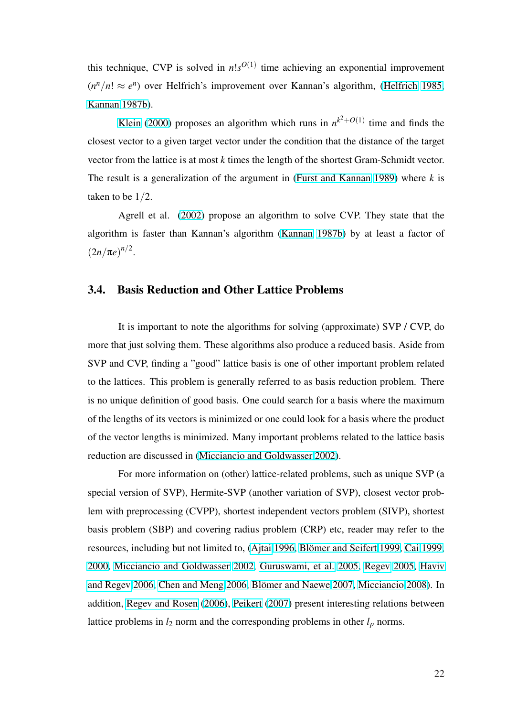this technique, CVP is solved in  $n!s^{O(1)}$  time achieving an exponential improvement  $(n^n/n! \approx e^n)$  over Helfrich's improvement over Kannan's algorithm, (Helfrich 1985, Kannan 1987b).

Klein (2000) proposes an algorithm which runs in  $n^{k^2+O(1)}$  tim[e and finds the](#page-95-0) [closest vector t](#page-95-0)o a given target vector under the condition that the distance of the target vector [from the lattic](#page-96-0)e is at most *k* times the length of the shortest Gram-Schmidt vector. The result is a generalization of the argument in (Furst and Kannan 1989) where *k* is taken to be 1/2.

Agrell et al. (2002) propose an algorith[m to solve CVP. They st](#page-93-0)ate that the algorithm is faster than Kannan's algorithm (Kannan 1987b) by at least a factor of  $(2n/\pi e)^{n/2}$ .

## 3.4. Basis Reduction and Other Lattice Problems

It is important to note the algorithms for solving (approximate) SVP / CVP, do more that just solving them. These algorithms also produce a reduced basis. Aside from SVP and CVP, finding a "good" lattice basis is one of other important problem related to the lattices. This problem is generally referred to as basis reduction problem. There is no unique definition of good basis. One could search for a basis where the maximum of the lengths of its vectors is minimized or one could look for a basis where the product of the vector lengths is minimized. Many important problems related to the lattice basis reduction are discussed in (Micciancio and Goldwasser 2002).

For more information on (other) lattice-related problems, such as unique SVP (a special version of SVP), H[ermite-SVP \(another variation of](#page-98-0) SVP), closest vector problem with preprocessing (CVPP), shortest independent vectors problem (SIVP), shortest basis problem (SBP) and covering radius problem (CRP) etc, reader may refer to the resources, including but not limited to, (Ajtai 1996, Blömer and Seifert 1999, Cai 1999, 2000, Micciancio and Goldwasser 2002, Guruswami, et al. 2005, Regev 2005, Haviv and Regev 2006, Chen and Meng 2006, Blömer an[d Naewe](#page-91-0) 2007, Mic[ciancio](#page-91-0) [2008\). In](#page-91-0) [additi](#page-91-0)on, [Regev and Rosen](#page-98-0) (2006), [Peike](#page-98-0)rt [\(2007\) present interesti](#page-94-0)[ng relations b](#page-99-0)[etween](#page-94-0) [lattice problems](#page-94-0) in  $l_2$  [norm and the corr](#page-92-0)[esponding problems in oth](#page-91-0)er  $l_p$  [norms.](#page-98-0)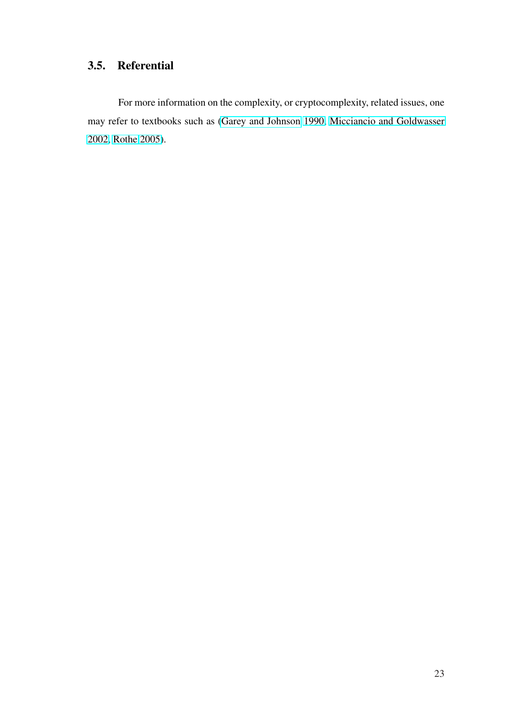# <span id="page-33-0"></span>3.5. Referential

For more information on the complexity, or cryptocomplexity, related issues, one may refer to textbooks such as (Garey and Johnson 1990, Micciancio and Goldwasser 2002, Rothe 2005).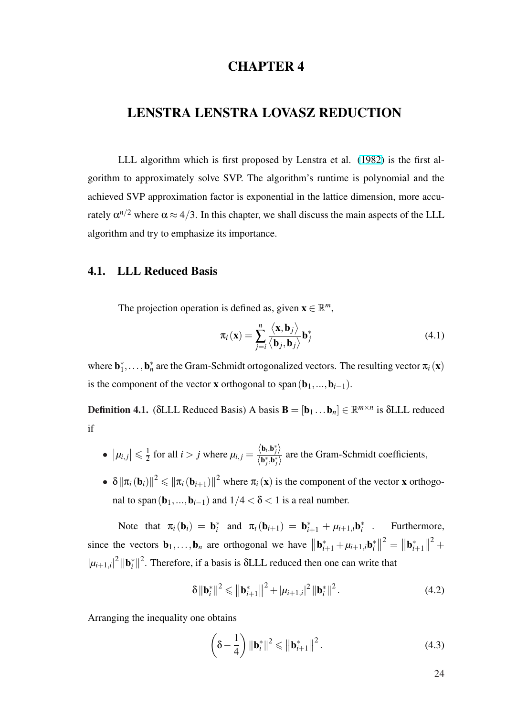# CHAPTER 4

## <span id="page-34-0"></span>LENSTRA LENSTRA LOVASZ REDUCTION

LLL algorithm which is first proposed by Lenstra et al. (1982) is the first algorithm to approximately solve SVP. The algorithm's runtime is polynomial and the achieved SVP approximation factor is exponential in the lattice di[mensi](#page-97-0)on, more accurately  $\alpha^{n/2}$  where  $\alpha \approx 4/3$ . In this chapter, we shall discuss the main aspects of the LLL algorithm and try to emphasize its importance.

## 4.1. LLL Reduced Basis

The projection operation is defined as, given  $\mathbf{x} \in \mathbb{R}^m$ ,

$$
\pi_i(\mathbf{x}) = \sum_{j=i}^{n} \frac{\langle \mathbf{x}, \mathbf{b}_j \rangle}{\langle \mathbf{b}_j, \mathbf{b}_j \rangle} \mathbf{b}_j^*
$$
(4.1)

where  $\mathbf{b}_1^*, \ldots, \mathbf{b}_n^*$  are the Gram-Schmidt ortogonalized vectors. The resulting vector  $\pi_i(\mathbf{x})$ is the component of the vector **x** orthogonal to span $(\mathbf{b}_1,...,\mathbf{b}_{i-1})$ .

**Definition 4.1.** ( $\delta$ LLL Reduced Basis) A basis  $\mathbf{B} = [\mathbf{b}_1 \dots \mathbf{b}_n] \in \mathbb{R}^{m \times n}$  is  $\delta$ LLL reduced if

- $|\mu_{i,j}| \leq \frac{1}{2}$  $\frac{1}{2}$  for all *i* > *j* where  $\mu_{i,j} = \frac{\langle \mathbf{b}_i, \mathbf{b}_j^* \rangle}{\langle \mathbf{b}_i^*, \mathbf{b}_j^* \rangle}$  $\frac{\sum_{i,j}^{(n)}(b_j, b_j)}{\sum_{i,j}^{(n)}(b_j, b_j)}$  are the Gram-Schmidt coefficients,
- $\bullet \ \delta \|\pi_i(\mathbf{b}_i)\|^2 \leqslant \|\pi_i(\mathbf{b}_{i+1})\|^2$  where  $\pi_i(\mathbf{x})$  is the component of the vector **x** orthogonal to span( $\mathbf{b}_1, ..., \mathbf{b}_{i-1}$ ) and  $1/4 < \delta < 1$  is a real number.

Note that  $\pi_i(\mathbf{b}_i) = \mathbf{b}_i^*$  and  $\pi_i(\mathbf{b}_{i+1}) = \mathbf{b}_{i+1}^* + \mu_{i+1,i} \mathbf{b}_i^*$  . Furthermore, since the vectors  $\mathbf{b}_1, \ldots, \mathbf{b}_n$  are orthogonal we have  $\|\mathbf{b}_{i+1}^* + \mu_{i+1,i}\mathbf{b}_i^*\|$  $\|\mathbf{b}_{i+1}^2\| = \|\mathbf{b}_{i+1}^*\|$  $\|^{2} +$  $|\mu_{i+1,i}|^2 \|\mathbf{b}_i^*\|^2$ . Therefore, if a basis is  $\delta$ LLL reduced then one can write that

$$
\delta \|\mathbf{b}_{i}^{*}\|^{2} \leqslant \left\|\mathbf{b}_{i+1}^{*}\right\|^{2} + |\mu_{i+1,i}|^{2} \left\|\mathbf{b}_{i}^{*}\right\|^{2}.
$$
 (4.2)

Arranging the inequality one obtains

$$
\left(\delta - \frac{1}{4}\right) \|\mathbf{b}_{i}^{*}\|^{2} \leqslant \left\|\mathbf{b}_{i+1}^{*}\right\|^{2}.
$$
\n(4.3)

24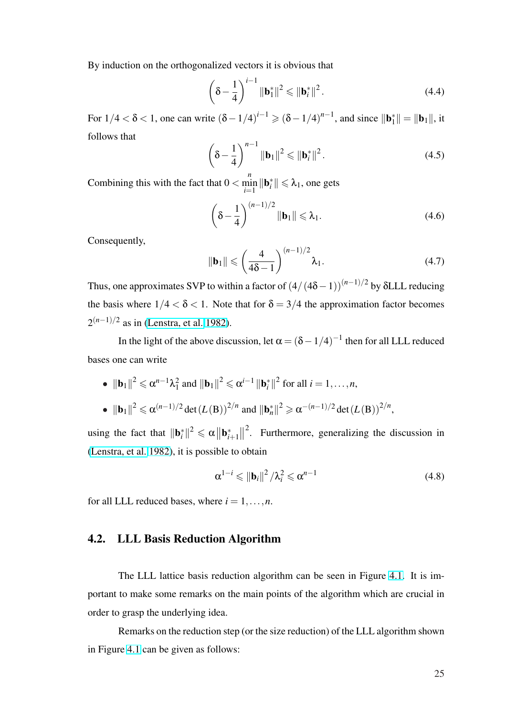By induction on the orthogonalized vectors it is obvious that

$$
\left(\delta - \frac{1}{4}\right)^{i-1} \|\mathbf{b}_1^*\|^2 \le \|\mathbf{b}_i^*\|^2.
$$
\n(4.4)

For  $1/4 < \delta < 1$ , one can write  $(\delta - 1/4)^{i-1} \ge (\delta - 1/4)^{n-1}$ , and since  $\|\mathbf{b}_1^*\| = \|\mathbf{b}_1\|$ , it follows that  $\overline{a}$ 

$$
\left(\delta - \frac{1}{4}\right)^{n-1} \|\mathbf{b}_1\|^2 \le \|\mathbf{b}_i^*\|^2.
$$
\n(4.5)

Combining this with the fact that  $0 <$  $\min_{i=1}^{n} \|\mathbf{b}_{i}^{*}\| \le \lambda_{1}$ , one gets

$$
\left(\delta - \frac{1}{4}\right)^{(n-1)/2} \|\mathbf{b}_1\| \leq \lambda_1.
$$
\n(4.6)

Consequently,

$$
\|\mathbf{b}_1\| \leqslant \left(\frac{4}{4\delta - 1}\right)^{(n-1)/2} \lambda_1.
$$
\n(4.7)

Thus, one approximates SVP to within a factor of  $(4/(4\delta-1))^{(n-1)/2}$  by  $\delta$ LLL reducing the basis where  $1/4 < \delta < 1$ . Note that for  $\delta = 3/4$  the approximation factor becomes 2<sup>(*n*−1)/2</sup> as in (Lenstra, et al. 1982).

In the light of the above discussion, let  $\alpha = (\delta - 1/4)^{-1}$  then for all LLL reduced bases one can [write](#page-97-0)

\n- \n
$$
\|\mathbf{b}_1\|^2 \leq \alpha^{n-1}\lambda_1^2
$$
 and  $\|\mathbf{b}_1\|^2 \leq \alpha^{i-1} \|\mathbf{b}_i^*\|^2$  for all  $i = 1, \ldots, n$ ,\n
\n- \n $\|\mathbf{b}_1\|^2 \leq \alpha^{(n-1)/2} \det(L(\mathbf{B}))^{2/n}$  and  $\|\mathbf{b}_n^*\|^2 \geq \alpha^{-(n-1)/2} \det(L(\mathbf{B}))^{2/n}$ ,\n
\n

using the fact that  $\|\mathbf{b}_{i}^{*}\|^{2} \leq \alpha \|\mathbf{b}_{i+1}^{*}\|$  $\|^{2}$ . Furthermore, generalizing the discussion in (Lenstra, et al. 1982), it is possible to obtain

$$
\alpha^{1-i} \leq ||\mathbf{b}_i||^2 / \lambda_i^2 \leq \alpha^{n-1}
$$
\n(4.8)

[for all LLL reduced](#page-97-0) bases, where  $i = 1, \ldots, n$ .

#### 4.2. LLL Basis Reduction Algorithm

The LLL lattice basis reduction algorithm can be seen in Figure 4.1. It is important to make some remarks on the main points of the algorithm which are crucial in order to grasp the underlying idea.

Remarks on the reduction step (or the size reduction) of the LLL algorithm shown in Figure 4.1 can be given as follows: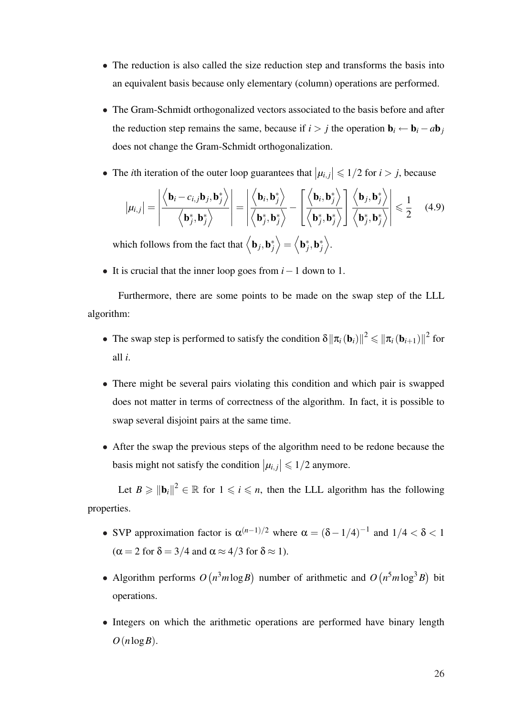- The reduction is also called the size reduction step and transforms the basis into an equivalent basis because only elementary (column) operations are performed.
- The Gram-Schmidt orthogonalized vectors associated to the basis before and after the reduction step remains the same, because if  $i > j$  the operation  $\mathbf{b}_i \leftarrow \mathbf{b}_i - a\mathbf{b}_j$ does not change the Gram-Schmidt orthogonalization.
- The *i*th iteration of the outer loop guarantees that  $|\mu_{i,j}| \leq 1/2$  for  $i > j$ , because

$$
|\mu_{i,j}| = \left| \frac{\left\langle \mathbf{b}_i - c_{i,j} \mathbf{b}_j, \mathbf{b}_j^* \right\rangle}{\left\langle \mathbf{b}_j^*, \mathbf{b}_j^* \right\rangle} \right| = \left| \frac{\left\langle \mathbf{b}_i, \mathbf{b}_j^* \right\rangle}{\left\langle \mathbf{b}_j^*, \mathbf{b}_j^* \right\rangle} - \left[ \frac{\left\langle \mathbf{b}_i, \mathbf{b}_j^* \right\rangle}{\left\langle \mathbf{b}_j^*, \mathbf{b}_j^* \right\rangle} \right] \frac{\left\langle \mathbf{b}_j, \mathbf{b}_j^* \right\rangle}{\left\langle \mathbf{b}_j^*, \mathbf{b}_j^* \right\rangle} \right| \leq \frac{1}{2} \quad (4.9)
$$

which follows from the fact that  $\langle \mathbf{b}_j, \mathbf{b}_j^* \rangle = \langle \mathbf{b}_j^*, \mathbf{b}_j^* \rangle$ .

• It is crucial that the inner loop goes from *i*−1 down to 1.

Furthermore, there are some points to be made on the swap step of the LLL algorithm:

- The swap step is performed to satisfy the condition  $\delta \|\pi_i(\mathbf{b}_i)\|^2 \leq \|\pi_i(\mathbf{b}_{i+1})\|^2$  for all *i*.
- There might be several pairs violating this condition and which pair is swapped does not matter in terms of correctness of the algorithm. In fact, it is possible to swap several disjoint pairs at the same time.
- After the swap the previous steps of the algorithm need to be redone because the basis might not satisfy the condition  $|\mu_{i,j}| \leq 1/2$  anymore.

Let  $B \ge ||\mathbf{b}_i||^2 \in \mathbb{R}$  for  $1 \le i \le n$ , then the LLL algorithm has the following properties.

- SVP approximation factor is  $\alpha^{(n-1)/2}$  where  $\alpha = (\delta 1/4)^{-1}$  and  $1/4 < \delta < 1$  $(\alpha = 2$  for  $\delta = 3/4$  and  $\alpha \approx 4/3$  for  $\delta \approx 1$ ).
- Algorithm performs *O* ¡  $n^3m\log B$ number of arithmetic and *O* ¡  $n^5m\log^3 B$ bit operations.
- Integers on which the arithmetic operations are performed have binary length  $O(n \log B)$ .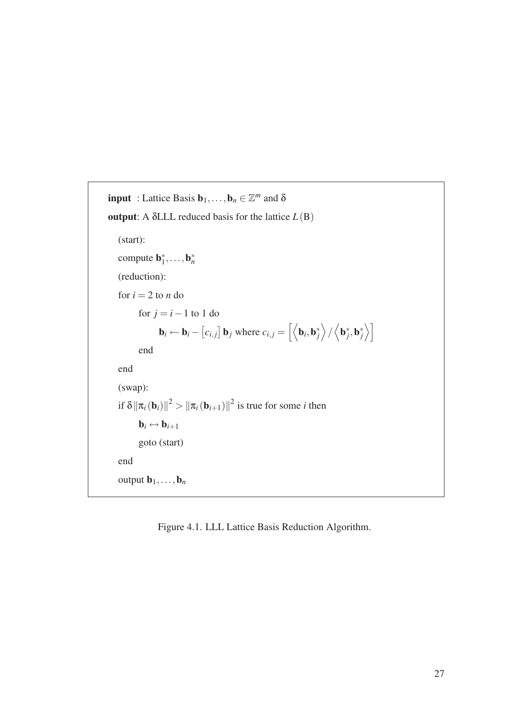```
input : Lattice Basis \mathbf{b}_1, \ldots, \mathbf{b}_n \in \mathbb{Z}^m and \deltaoutput: A δLLL reduced basis for the lattice L(B)
    (start):
     compute \mathbf{b}_1^*, \ldots, \mathbf{b}_n^*(reduction):
    for i = 2 to n do
              for j = i - 1 to 1 do
                        \mathbf{b}_i \leftarrow \mathbf{b}_i –
                                            £
                                              ci, j
                                                    l<br>E
                                                      b<sub>j</sub> where c_{i,j} =
                                                                                    \overline{h}\mathbf{b}_i, \mathbf{b}_j^*\mathbf{r}/
                                                                                                          \overline{a}\mathbf{b}_j^*, \mathbf{b}_j^*\sqrt{7}end
    end
    (swap):
     if \delta \|\pi_i(\mathbf{b}_i)\|^2 > \|\pi_i(\mathbf{b}_{i+1})\|^2 is true for some i then
             \mathbf{b}_i \leftrightarrow \mathbf{b}_{i+1}goto (start)
    end
    output \mathbf{b}_1,\ldots,\mathbf{b}_n
```
Figure 4.1. LLL Lattice Basis Reduction Algorithm.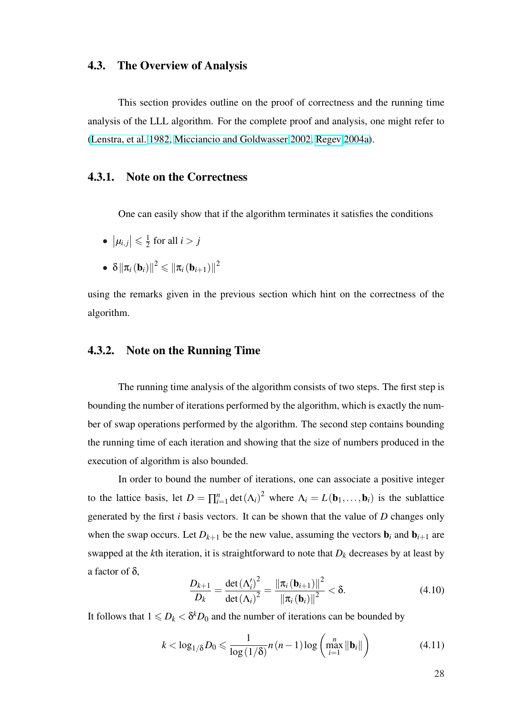# 4.3. The Overview of Analysis

This section provides outline on the proof of correctness and the running time analysis of the LLL algorithm. For the complete proof and analysis, one might refer to (Lenstra, et al. 1982, Micciancio and Goldwasser 2002, Regev 2004a).

#### [4.3.1. Note on t](#page-97-0)[he Correctness](#page-98-0)

One can easily show that if the algorithm terminates it satisfies the conditions

- $|\mu_{i,j}| \leq \frac{1}{2}$  $\frac{1}{2}$  for all  $i > j$
- $\bullet \ \ \delta \left\| \pi_{i}\left(\mathbf{b}_{i}\right)\right\|^{2} \leqslant\left\| \pi_{i}\left(\mathbf{b}_{i+1}\right)\right\|^{2}$

using the remarks given in the previous section which hint on the correctness of the algorithm.

#### 4.3.2. Note on the Running Time

The running time analysis of the algorithm consists of two steps. The first step is bounding the number of iterations performed by the algorithm, which is exactly the number of swap operations performed by the algorithm. The second step contains bounding the running time of each iteration and showing that the size of numbers produced in the execution of algorithm is also bounded.

In order to bound the number of iterations, one can associate a positive integer to the lattice basis, let  $D = \prod_{i=1}^{n}$  $\sum_{i=1}^{n} \det(\Lambda_i)^2$  where  $\Lambda_i = L(\mathbf{b}_1, \dots, \mathbf{b}_i)$  is the sublattice generated by the first *i* basis vectors. It can be shown that the value of *D* changes only when the swap occurs. Let  $D_{k+1}$  be the new value, assuming the vectors  $\mathbf{b}_i$  and  $\mathbf{b}_{i+1}$  are swapped at the *k*th iteration, it is straightforward to note that  $D_k$  decreases by at least by a factor of δ,

$$
\frac{D_{k+1}}{D_k} = \frac{\det(\Lambda_i')^2}{\det(\Lambda_i)^2} = \frac{\|\pi_i(\mathbf{b}_{i+1})\|^2}{\|\pi_i(\mathbf{b}_i)\|^2} < \delta.
$$
\n(4.10)

It follows that  $1 \leq D_k < \delta^k D_0$  and the number of iterations can be bounded by

$$
k < \log_{1/\delta} D_0 \leq \frac{1}{\log\left(1/\delta\right)} n\left(n-1\right) \log\left(\max_{i=1}^n \|\mathbf{b}_i\|\right) \tag{4.11}
$$

28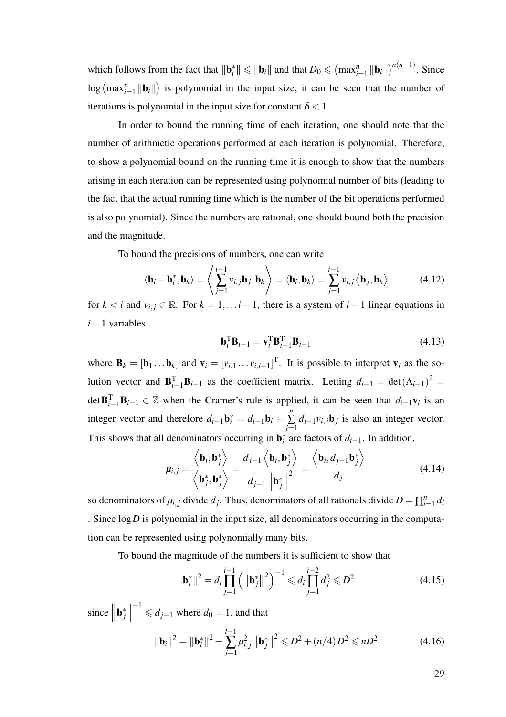which follows from the fact that  $\|\mathbf{b}_{i}^{*}\| \leqslant \|\mathbf{b}_{i}\|$  and that  $D_{0} \leqslant$  $\left(\max_{i=1}^{n} \| \mathbf{b}_{i} \| \right)$  $\int_0^{n(n-1)}$ . Since  $\log \left( \max_{i=1}^{n} \|\mathbf{b}_{i}\| \right)$ ¢ is polynomial in the input size, it can be seen that the number of iterations is polynomial in the input size for constant  $\delta$  < 1.

In order to bound the running time of each iteration, one should note that the number of arithmetic operations performed at each iteration is polynomial. Therefore, to show a polynomial bound on the running time it is enough to show that the numbers arising in each iteration can be represented using polynomial number of bits (leading to the fact that the actual running time which is the number of the bit operations performed is also polynomial). Since the numbers are rational, one should bound both the precision and the magnitude.

To bound the precisions of numbers, one can write \* +

$$
\langle \mathbf{b}_i - \mathbf{b}_i^*, \mathbf{b}_k \rangle = \left\langle \sum_{j=1}^{i-1} v_{i,j} \mathbf{b}_j, \mathbf{b}_k \right\rangle = \langle \mathbf{b}_i, \mathbf{b}_k \rangle = \sum_{j=1}^{i-1} v_{i,j} \left\langle \mathbf{b}_j, \mathbf{b}_k \right\rangle
$$
(4.12)

for  $k < i$  and  $v_{i,j} \in \mathbb{R}$ . For  $k = 1, \ldots, i - 1$ , there is a system of  $i - 1$  linear equations in *i*−1 variables

$$
\mathbf{b}_i^{\mathrm{T}} \mathbf{B}_{i-1} = \mathbf{v}_i^{\mathrm{T}} \mathbf{B}_{i-1}^{\mathrm{T}} \mathbf{B}_{i-1}
$$
 (4.13)

where  $\mathbf{B}_k = [\mathbf{b}_1 \dots \mathbf{b}_k]$  and  $\mathbf{v}_i = [v_{i,1} \dots v_{i,i-1}]^\text{T}$ . It is possible to interpret  $\mathbf{v}_i$  as the solution vector and  $\mathbf{B}_{i-1}^{\mathrm{T}}\mathbf{B}_{i-1}$  as the coefficient matrix. Letting  $d_{i-1} = \det(\Lambda_{i-1})^2 =$ det  $\mathbf{B}_{i-1}^{\mathrm{T}}\mathbf{B}_{i-1} \in \mathbb{Z}$  when the Cramer's rule is applied, it can be seen that  $d_{i-1}\mathbf{v}_i$  is an integer vector and therefore  $d_{i-1}$ **b**<sub>*i*</sub> =  $d_{i-1}$ **b**<sub>*i*</sub> + *n* ∑ *j*=1  $d_{i-1}v_{i,j}$ **b**<sub>*j*</sub> is also an integer vector. This shows that all denominators occurring in  $\mathbf{b}_i^*$  are factors of  $d_{i-1}$ . In addition,

$$
\mu_{i,j} = \frac{\langle \mathbf{b}_i, \mathbf{b}_j^* \rangle}{\langle \mathbf{b}_j^*, \mathbf{b}_j^* \rangle} = \frac{d_{j-1} \langle \mathbf{b}_i, \mathbf{b}_j^* \rangle}{d_{j-1} ||\mathbf{b}_j^*||^2} = \frac{\langle \mathbf{b}_i, d_{j-1} \mathbf{b}_j^* \rangle}{d_j}
$$
(4.14)

so denominators of  $\mu_{i,j}$  divide  $d_j$ . Thus, denominators of all rationals divide  $D = \prod_{i=1}^n d_i$  $\sum_{i=1}^n d_i$ . Since log*D* is polynomial in the input size, all denominators occurring in the computation can be represented using polynomially many bits.

To bound the magnitude of the numbers it is sufficient to show that

$$
\|\mathbf{b}_{i}^{*}\|^{2} = d_{i} \prod_{j=1}^{i-1} \left( \left\|\mathbf{b}_{j}^{*}\right\|^{2} \right)^{-1} \leq d_{i} \prod_{j=1}^{i-2} d_{j}^{2} \leq D^{2}
$$
(4.15)

since  $\|\mathbf{b}_j^*\|$  $\begin{array}{c} \hline \end{array}$  $^{-1}$  ≤  $d_{j-1}$  where  $d_0 = 1$ , and that

$$
\|\mathbf{b}_{i}\|^{2} = \|\mathbf{b}_{i}^{*}\|^{2} + \sum_{j=1}^{i-1} \mu_{i,j}^{2} \|\mathbf{b}_{j}^{*}\|^{2} \le D^{2} + (n/4)D^{2} \le nD^{2}
$$
(4.16)

29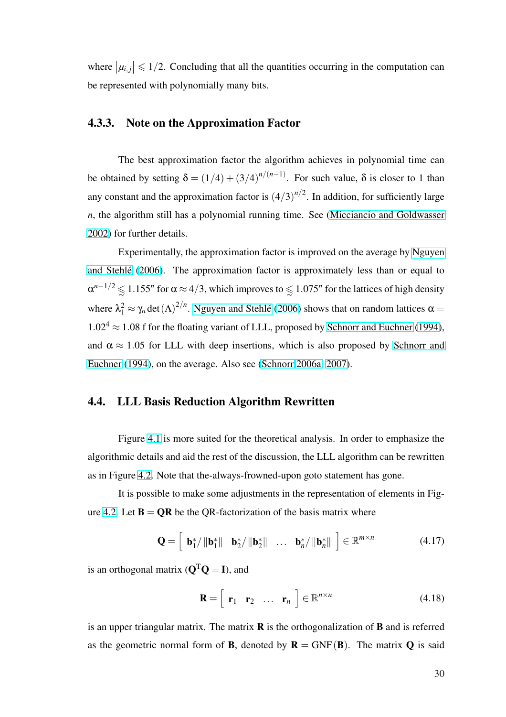where  $|\mu_{i,j}| \leq 1/2$ . Concluding that all the quantities occurring in the computation can be represented with polynomially many bits.

## 4.3.3. Note on the Approximation Factor

The best approximation factor the algorithm achieves in polynomial time can be obtained by setting  $\delta = (1/4) + (3/4)^{n/(n-1)}$ . For such value,  $\delta$  is closer to 1 than any constant and the approximation factor is  $(4/3)^{n/2}$ . In addition, for sufficiently large *n*, the algorithm still has a polynomial running time. See (Micciancio and Goldwasser 2002) for further details.

Experimentally, the approximation factor is improv[ed on the average by](#page-98-0) Nguyen [and S](#page-98-0)tehlé (2006). The approximation factor is approximately less than or equal to  $\alpha^{n-1/2}$   $\lessapprox$  1.155<sup>*n*</sup> for α ≈ 4/3, which improves to  $\lessapprox$  1.075<sup>*n*</sup> for the lattices of hig[h density](#page-98-0) [where](#page-98-0)  $\lambda_1^2 \approx \gamma_n \det(\Lambda)^{2/n}$  $\lambda_1^2 \approx \gamma_n \det(\Lambda)^{2/n}$  $\lambda_1^2 \approx \gamma_n \det(\Lambda)^{2/n}$ . Nguyen and Stehlé (2006) shows that on random lattices  $\alpha =$  $1.02^4 \approx 1.08$  f for the floating variant of LLL, proposed by Schnorr and Euchner (1994), and  $\alpha \approx 1.05$  for LLL [with deep insertions, which](#page-98-0) is also proposed by Schnorr and Euchner (1994), on the average. Also see (Schnorr 2006a, [2007\).](#page-101-0)

#### [4.4. LLL B](#page-101-0)asis Reduction Algori[thm Rewritt](#page-100-0)[en](#page-101-0)

Figure 4.1 is more suited for the theoretical analysis. In order to emphasize the algorithmic details and aid the rest of the discussion, the LLL algorithm can be rewritten as in Figure 4.[2. N](#page-37-0)ote that the-always-frowned-upon goto statement has gone.

It is possible to make some adjustments in the representation of elements in Figure 4.2. Let  $\mathbf{B} = \mathbf{QR}$  $\mathbf{B} = \mathbf{QR}$  $\mathbf{B} = \mathbf{QR}$  be the QR-factorization of the basis matrix where

$$
\mathbf{Q} = \begin{bmatrix} \mathbf{b}_{1}^{*} / \|\mathbf{b}_{1}^{*}\| & \mathbf{b}_{2}^{*} / \|\mathbf{b}_{2}^{*}\| & \dots & \mathbf{b}_{n}^{*} / \|\mathbf{b}_{n}^{*}\| \end{bmatrix} \in \mathbb{R}^{m \times n}
$$
(4.17)

is an orthogonal matrix  $(Q^TQ = I)$ , and

$$
\mathbf{R} = \begin{bmatrix} \mathbf{r}_1 & \mathbf{r}_2 & \dots & \mathbf{r}_n \end{bmatrix} \in \mathbb{R}^{n \times n}
$$
 (4.18)

is an upper triangular matrix. The matrix  $\bf{R}$  is the orthogonalization of  $\bf{B}$  and is referred as the geometric normal form of **B**, denoted by  $\mathbf{R} = GNF(\mathbf{B})$ . The matrix **Q** is said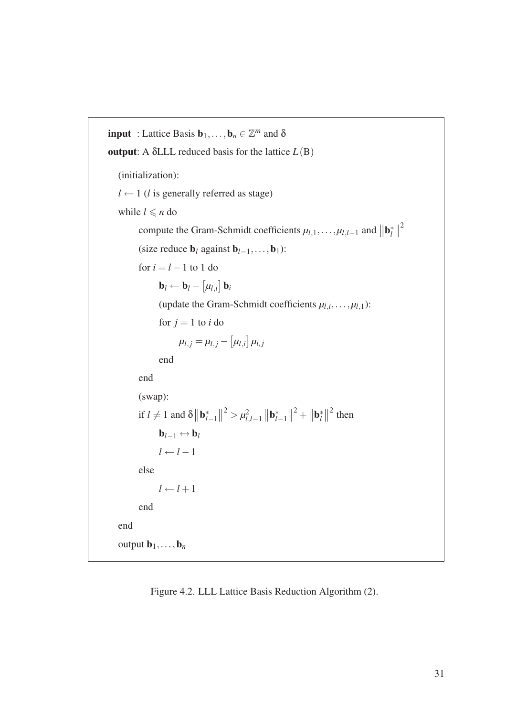```
input : Lattice Basis \mathbf{b}_1, \ldots, \mathbf{b}_n \in \mathbb{Z}^m and \deltaoutput: A δLLL reduced basis for the lattice L(B)(initialization):
   l \leftarrow 1 (l is generally referred as stage)
   while l \leq n do
            compute the Gram-Schmidt coefficients \mu_{l,1}, \ldots, \mu_{l,l-1} and
                                                                                                             \|\mathbf{b}_l^*\|l
                                                                                                                    \mathbb{I}^2(size reduce bl against bl−1,...,b1):
            for i = l - 1 to 1 do
                    \mathbf{b}_l \leftarrow \mathbf{b}_l -£
                                       µl,i
                                            ¤
                                              bi
                    (update the Gram-Schmidt coefficients \mu_{l,i}, \ldots, \mu_{l,1}):
                    for j = 1 to i do
                             \mu_{l,j} = \mu_{l,j} -£
                                                   µl,i
                                                        l<br>E
                                                          \mu_{i,j}end
            end
            (swap):
            if l \neq 1 and \delta\|\mathbf{b}_l^*\|l−1
                                            \|^{2} > \mu_{l}^{2}l,l−1
                                                               \|\mathbf{b}_L^*\|l−1
                                                                        \|^{2} + \| \mathbf{b}_{i}^{*} \|l
                                                                                       \parallel^2 then
                   \mathbf{b}_{l-1} \leftrightarrow \mathbf{b}_{l}l \leftarrow l - 1else
                    l \leftarrow l + 1end
   end
   output \mathbf{b}_1,\ldots,\mathbf{b}_n
```
Figure 4.2. LLL Lattice Basis Reduction Algorithm (2).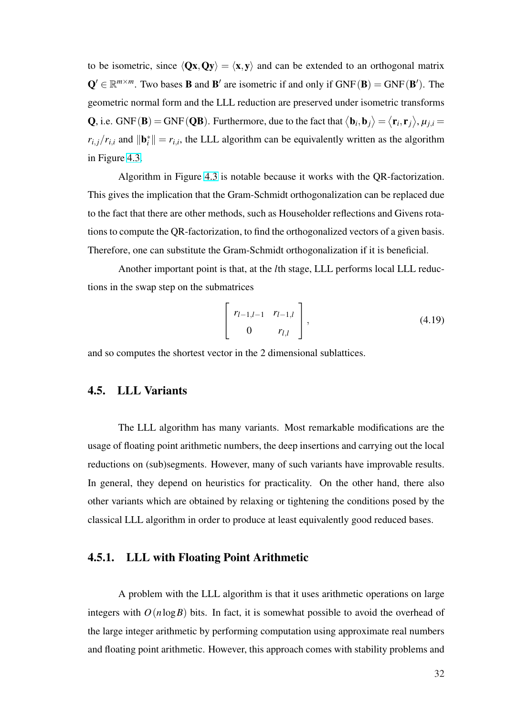to be isometric, since  $\langle Qx, Qy \rangle = \langle x, y \rangle$  and can be extended to an orthogonal matrix  $Q' \in \mathbb{R}^{m \times m}$ . Two bases **B** and **B'** are isometric if and only if  $GNF(B) = GNF(B')$ . The geometric normal form and the LLL reduction are preserved under isometric transforms **Q**, i.e. GNF(**B**) = GNF(**QB**). Furthermore, due to the fact that  $\langle \mathbf{b}_i, \mathbf{b}_j \rangle$ ® =  $\overline{1}$  $\mathbf{r}_i, \mathbf{r}_j$ ®  $, \mu_{j,i} =$  $r_{i,j}/r_{i,i}$  and  $\|\mathbf{b}_i^*\| = r_{i,i}$ , the LLL algorithm can be equivalently written as the algorithm in Figure 4.3.

Algorithm in Figure 4.3 is notable because it works with the QR-factorization. This give[s the](#page-43-0) implication that the Gram-Schmidt orthogonalization can be replaced due to the fact that there are othe[r me](#page-43-0)thods, such as Householder reflections and Givens rotations to compute the QR-factorization, to find the orthogonalized vectors of a given basis. Therefore, one can substitute the Gram-Schmidt orthogonalization if it is beneficial.

Another important point is that, at the *l*th stage, LLL performs local LLL reductions in the swap step on the submatrices

$$
\begin{bmatrix} r_{l-1,l-1} & r_{l-1,l} \\ 0 & r_{l,l} \end{bmatrix},
$$
 (4.19)

and so computes the shortest vector in the 2 dimensional sublattices.

# 4.5. LLL Variants

The LLL algorithm has many variants. Most remarkable modifications are the usage of floating point arithmetic numbers, the deep insertions and carrying out the local reductions on (sub)segments. However, many of such variants have improvable results. In general, they depend on heuristics for practicality. On the other hand, there also other variants which are obtained by relaxing or tightening the conditions posed by the classical LLL algorithm in order to produce at least equivalently good reduced bases.

# 4.5.1. LLL with Floating Point Arithmetic

A problem with the LLL algorithm is that it uses arithmetic operations on large integers with  $O(n \log B)$  bits. In fact, it is somewhat possible to avoid the overhead of the large integer arithmetic by performing computation using approximate real numbers and floating point arithmetic. However, this approach comes with stability problems and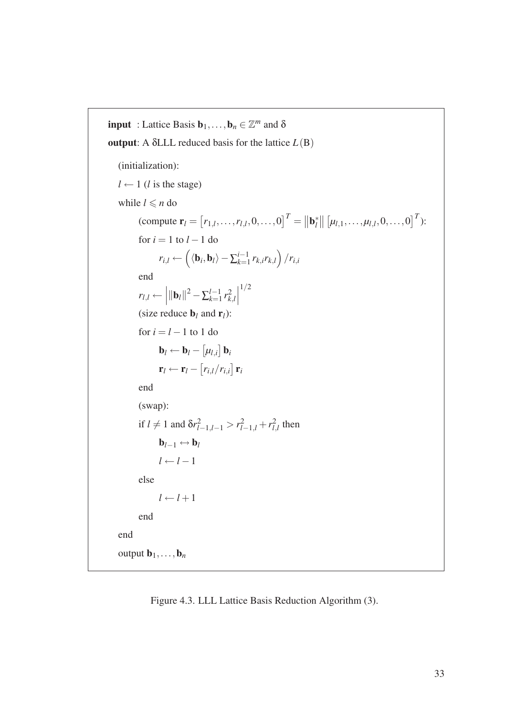```
input : Lattice Basis \mathbf{b}_1, \ldots, \mathbf{b}_n \in \mathbb{Z}^m and \deltaoutput: A \deltaLLL reduced basis for the lattice L(B)(initialization):
    l \leftarrow 1 (l is the stage)
    while l \leq n do
                (compute \mathbf{r}_l =£
                                                 [r_{1,l}, \ldots, r_{l,l}, 0, \ldots, 0]^T = ||\mathbf{b}_l^*||l
                                                                                                             \begin{array}{c} \parallel \parallel \end{array}\mu_{l,1}, \ldots, \mu_{l,l}, 0, \ldots, 0<sup>T</sup>):
               for i = 1 to l - 1 do
                          r_{i,l} \leftarrow\frac{1}{\sqrt{2}}\langle \mathbf{b}_i, \mathbf{b}_l \rangle - \sum_{k=1}^{i-1}\sum_{k=1}^{i-1} r_{k,i} r_{k,l}´
                                                                                           /r_{i,i}end
                r_{l,l} \leftarrow\|\mathbf{b}_l\|^2 - \sum_{k=1}^{l-1}\frac{l-1}{k+1} r_k^2k,l
                                                                  ¯
¯
¯
                                                                    1/2
               (size reduce \mathbf{b}_l and \mathbf{r}_l):
               for i = l - 1 to 1 do
                          \mathbf{b}_l \leftarrow \mathbf{b}_l -£
                                                   µl,i
                                                         l<br>E
                                                            bi
                          \mathbf{r}_l \leftarrow \mathbf{r}_l -.<br>F
                                                 ri,l/ri,i
                                                               ¤
                                                                  ri
               end
               (swap):
                if l \neq 1 and \delta r_{l-1,l-1}^2 > r_{l-1,l}^2 + r_{l}^2\frac{2}{l,l} then
                         \mathbf{b}_{l-1} \leftrightarrow \mathbf{b}_ll \leftarrow l-1else
                         l \leftarrow l + 1end
    end
    output \mathbf{b}_1,\ldots,\mathbf{b}_n
```
Figure 4.3. LLL Lattice Basis Reduction Algorithm (3).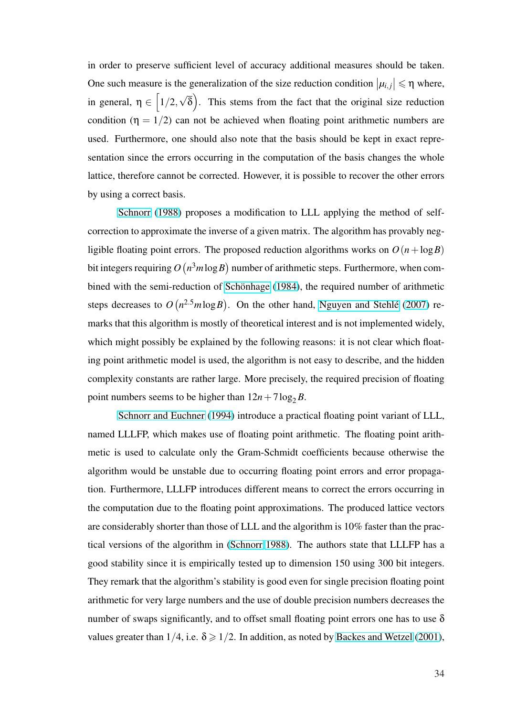in order to preserve sufficient level of accuracy additional measures should be taken. One such measure is the generalization of the size reduction condition  $|\mu_{i,j}| \leq \eta$  where, in general,  $\eta \in |1/2,$  $\sum_{r=1}^{n}$ √ δ . This stems from the fact that the original size reduction condition ( $\eta = 1/2$ ) can not be achieved when floating point arithmetic numbers are used. Furthermore, one should also note that the basis should be kept in exact representation since the errors occurring in the computation of the basis changes the whole lattice, therefore cannot be corrected. However, it is possible to recover the other errors by using a correct basis.

Schnorr (1988) proposes a modification to LLL applying the method of selfcorrection to approximate the inverse of a given matrix. The algorithm has provably negligible [floating point er](#page-100-0)rors. The proposed reduction algorithms works on  $O(n + \log B)$ bit integers requiring *O* ¡  $n^3m\log B$ number of arithmetic steps. Furthermore, when combined with the semi-reduction of Schönhage  $(1984)$ , the required number of arithmetic steps decreases to *O* ¡  $n^{2.5}m\log B$ . On the other hand, Nguyen and Stehlé (2007) remarks that this algorithm is mostl[y of theoretical inte](#page-101-0)rest and is not implemented widely, which might possibly be explained by the following rea[sons: it is not clear which fl](#page-98-0)oating point arithmetic model is used, the algorithm is not easy to describe, and the hidden complexity constants are rather large. More precisely, the required precision of floating point numbers seems to be higher than  $12n + 7\log_2 B$ .

Schnorr and Euchner (1994) introduce a practical floating point variant of LLL, named LLLFP, which makes use of floating point arithmetic. The floating point arithmetic i[s used to calculate only the](#page-101-0) Gram-Schmidt coefficients because otherwise the algorithm would be unstable due to occurring floating point errors and error propagation. Furthermore, LLLFP introduces different means to correct the errors occurring in the computation due to the floating point approximations. The produced lattice vectors are considerably shorter than those of LLL and the algorithm is 10% faster than the practical versions of the algorithm in (Schnorr 1988). The authors state that LLLFP has a good stability since it is empirically tested up to dimension 150 using 300 bit integers. They remark that the algorithm's st[ability is good](#page-100-0) even for single precision floating point arithmetic for very large numbers and the use of double precision numbers decreases the number of swaps significantly, and to offset small floating point errors one has to use  $\delta$ values greater than  $1/4$ , i.e.  $\delta \geq 1/2$ . In addition, as noted by Backes and Wetzel (2001),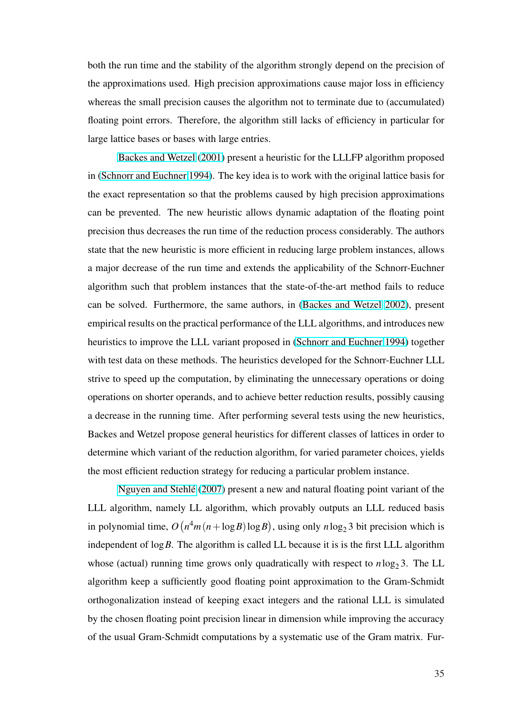both the run time and the stability of the algorithm strongly depend on the precision of the approximations used. High precision approximations cause major loss in efficiency whereas the small precision causes the algorithm not to terminate due to (accumulated) floating point errors. Therefore, the algorithm still lacks of efficiency in particular for large lattice bases or bases with large entries.

Backes and Wetzel (2001) present a heuristic for the LLLFP algorithm proposed in (Schnorr and Euchner 1994). The key idea is to work with the original lattice basis for the exa[ct representation so that th](#page-90-0)e problems caused by high precision approximations ca[n be prevented. The new h](#page-101-0)euristic allows dynamic adaptation of the floating point precision thus decreases the run time of the reduction process considerably. The authors state that the new heuristic is more efficient in reducing large problem instances, allows a major decrease of the run time and extends the applicability of the Schnorr-Euchner algorithm such that problem instances that the state-of-the-art method fails to reduce can be solved. Furthermore, the same authors, in (Backes and Wetzel 2002), present empirical results on the practical performance of the LLL algorithms, and introduces new heuristics to improve the LLL variant proposed in ([Schnorr and Euchner](#page-90-0) [1994\)](#page-90-0) together with test data on these methods. The heuristics developed for the Schnorr-Euchner LLL strive to speed up the computation, by eliminating [the unnecessary operations](#page-101-0) or doing operations on shorter operands, and to achieve better reduction results, possibly causing a decrease in the running time. After performing several tests using the new heuristics, Backes and Wetzel propose general heuristics for different classes of lattices in order to determine which variant of the reduction algorithm, for varied parameter choices, yields the most efficient reduction strategy for reducing a particular problem instance.

Nguyen and Stehle´ (2007) present a new and natural floating point variant of the LLL algorithm, namely LL algorithm, which provably outputs an LLL reduced basis in poly[nomial time,](#page-98-0) *O* ¡  $n^4m(n+\log B)\log B$  $n^4m(n+\log B)\log B$  $n^4m(n+\log B)\log B$ , using only  $n \log_2 3$  bit precision which is independent of log*B*. The algorithm is called LL because it is is the first LLL algorithm whose (actual) running time grows only quadratically with respect to  $n \log_2 3$ . The LL algorithm keep a sufficiently good floating point approximation to the Gram-Schmidt orthogonalization instead of keeping exact integers and the rational LLL is simulated by the chosen floating point precision linear in dimension while improving the accuracy of the usual Gram-Schmidt computations by a systematic use of the Gram matrix. Fur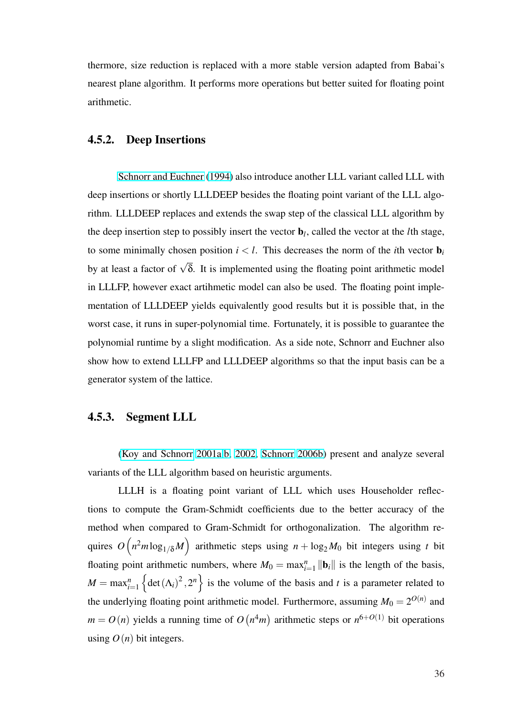thermore, size reduction is replaced with a more stable version adapted from Babai's nearest plane algorithm. It performs more operations but better suited for floating point arithmetic.

# 4.5.2. Deep Insertions

Schnorr and Euchner (1994) also introduce another LLL variant called LLL with deep insertions or shortly LLLDEEP besides the floating point variant of the LLL algorithm. [LLLDEEP replaces and exte](#page-101-0)nds the swap step of the classical LLL algorithm by the deep insertion step to possibly insert the vector b*<sup>l</sup>* , called the vector at the *l*th stage, to some minimally chosen position  $i < l$ . This decreases the norm of the *i*th vector  $\mathbf{b}_i$ by at least a factor of  $\sqrt{\delta}$ . It is implemented using the floating point arithmetic model in LLLFP, however exact artihmetic model can also be used. The floating point implementation of LLLDEEP yields equivalently good results but it is possible that, in the worst case, it runs in super-polynomial time. Fortunately, it is possible to guarantee the polynomial runtime by a slight modification. As a side note, Schnorr and Euchner also show how to extend LLLFP and LLLDEEP algorithms so that the input basis can be a generator system of the lattice.

#### 4.5.3. Segment LLL

(Koy and Schnorr 2001a,b, 2002, Schnorr 2006b) present and analyze several variants of the LLL algorithm based on heuristic arguments.

[LLLH is a floating point varian](#page-96-0)[t of LLL whic](#page-100-0)h uses Householder reflections to compute the Gram-Schmidt coefficients due to the better accuracy of the method when compared to Gram-Schmidt for orthogonalization. The algorithm requires  $O\left(n^2m\log_{1/\delta}M\right)$  arithmetic steps using  $n + \log_2 M_0$  bit integers using *t* bit  $\sum_{\ell}$ floating point arithmetic numbers, where  $M_0 = \max_{i=1}^n ||\mathbf{b}_i||$  is the length of the basis,  $M = \max_{i=1}^{n} \left\{ \det(\Lambda_i)^2, 2^n \right\}$  is the volume of the basis and *t* is a parameter related to the underlying floating point arithmetic model. Furthermore, assuming  $M_0 = 2^{O(n)}$  and  $m = O(n)$  yields a running time of O ¡  $n^4m$ arithmetic steps or  $n^{6+O(1)}$  bit operations using  $O(n)$  bit integers.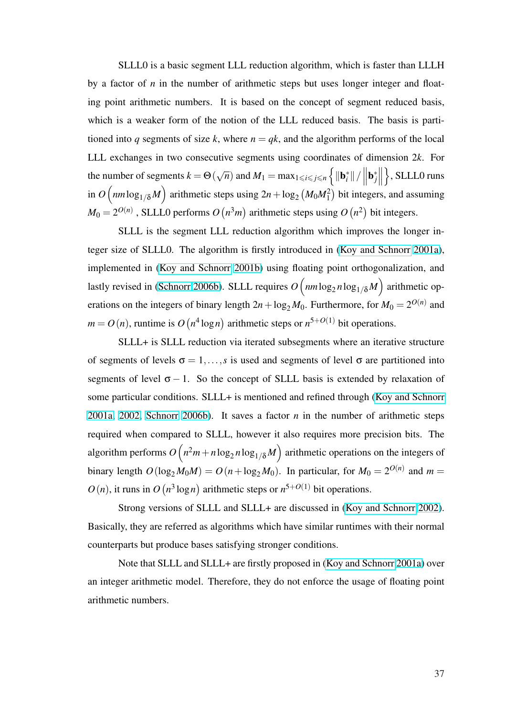SLLL0 is a basic segment LLL reduction algorithm, which is faster than LLLH by a factor of  $n$  in the number of arithmetic steps but uses longer integer and floating point arithmetic numbers. It is based on the concept of segment reduced basis, which is a weaker form of the notion of the LLL reduced basis. The basis is partitioned into *q* segments of size *k*, where  $n = qk$ , and the algorithm performs of the local LLL exchanges in two consecutive segments using coordinates of dimension 2*k*. For the number of segments  $k = \Theta$  ( √  $\overline{n})$  and  $M_1 = \max_{1 \leqslant i \leqslant j \leqslant n}$  $\frac{1}{\epsilon}$  $\|\mathbf{b}_i^*\|$  /  $\begin{bmatrix} \mathbf{b}^* \\ \mathbf{b}^* \\ \end{bmatrix}$ |<br>|<br>| o , SLLL0 runs in  $O\left(nm\log_{1/\delta}M\right)$  arithmetic steps using  $2n + \log_2$  $\sum_{\ell}$  $(M_0M_1^2)$  $\frac{1}{\sqrt{2}}$ bit integers, and assuming  $M_0 = 2^{O(n)}$  , SLLL0 performs  $O$ ¡ -<br> *n*<sup>3</sup>*m*) arithmetic steps using *O* ¡  $n^2$ bit integers.

SLLL is the segment LLL reduction algorithm which improves the longer integer size of SLLL0. The algorithm is firstly introduced in (Koy and Schnorr 2001a), implemented in (Koy and Schnorr 2001b) using floating point orthogonalization, and lastly revised in (Schnorr 2006b). SLLL requires  $O\left(nm\log_2 n\log_{1/\delta} M\right)$  [arithmetic op](#page-96-0)- $\mu$   $\mu$   $\mu$   $\mu$   $\sigma$ erations on the i[ntegers of binary length](#page-96-0)  $2n + \log_2 M_0$ . Furthermore, for  $M_0 = 2^{O(n)}$  and  $m = O(n)$ , runti[me is](#page-100-0) O ¡ *n* 4 [log](#page-100-0)*n* ¢ arithmetic steps or  $n^{5+O(1)}$  bit operations.

SLLL+ is SLLL reduction via iterated subsegments where an iterative structure of segments of levels  $\sigma = 1, \ldots, s$  is used and segments of level  $\sigma$  are partitioned into segments of level  $\sigma - 1$ . So the concept of SLLL basis is extended by relaxation of some particular conditions. SLLL+ is mentioned and refined through (Koy and Schnorr 2001a, 2002, Schnorr 2006b). It saves a factor *n* in the number of arithmetic steps required when compared to SLLL, however it also requires more pr[ecision bits. The](#page-96-0) [algorithm per](#page-96-0)[forms](#page-100-0) *O*  $\ddot{\phantom{0}}$  $n^2m + n\log_2 n \log_{1/\delta} M$  $n^2m + n\log_2 n \log_{1/\delta} M$  $n^2m + n\log_2 n \log_{1/\delta} M$ ´ arithmetic operations on the integers of binary length  $O(log_2 M_0M) = O(n + log_2 M_0)$ . In particular, for  $M_0 = 2^{O(n)}$  and  $m =$  $O(n)$ , it runs in  $O$ ¡ *n* 3 log*n* ¢ arithmetic steps or  $n^{5+O(1)}$  bit operations.

Strong versions of SLLL and SLLL+ are discussed in (Koy and Schnorr 2002). Basically, they are referred as algorithms which have similar runtimes with their normal counterparts but produce bases satisfying stronger conditions.

Note that SLLL and SLLL+ are firstly proposed in (Koy and Schnorr 2001a) over an integer arithmetic model. Therefore, they do not enforce the usage of floating point arithmetic numbers.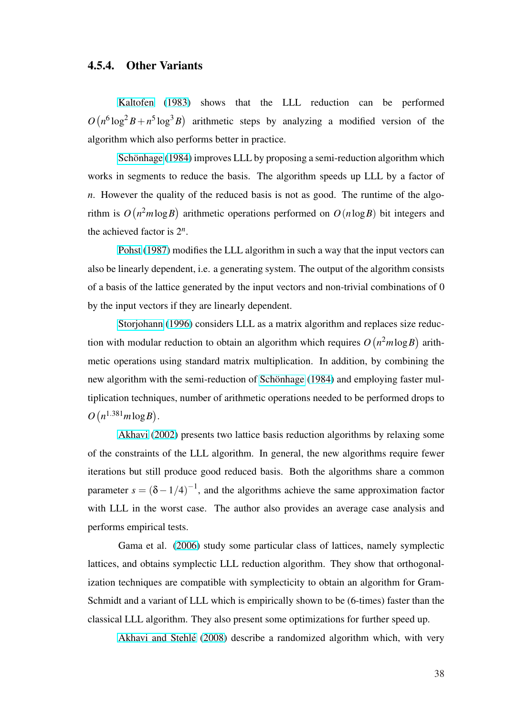# 4.5.4. Other Variants

Kaltofen (1983) shows that the LLL reduction can be performed *O* ¡  $n^6 \log^2 B + n^5 \log^3 B$ arithmetic steps by analyzing a modified version of the algorit[hm which](#page-95-0) al[so per](#page-95-0)forms better in practice.

Schönhage (1984) improves LLL by proposing a semi-reduction algorithm which works in segments to reduce the basis. The algorithm speeds up LLL by a factor of *n*. Ho[wever the quality o](#page-101-0)f the reduced basis is not as good. The runtime of the algorithm is *O* ¡  $n^2m\log B$ arithmetic operations performed on *O*(*n*log*B*) bit integers and the achieved factor is  $2^n$ .

Pohst (1987) modifies the LLL algorithm in such a way that the input vectors can also be linearly dependent, i.e. a generating system. The output of the algorithm consists of a ba[sis of the latt](#page-99-0)ice generated by the input vectors and non-trivial combinations of 0 by the input vectors if they are linearly dependent.

Storjohann (1996) considers LLL as a matrix algorithm and replaces size reduction with modular reduction to obtain an algorithm which requires *O* ¡  $n^2m\log B$ arithmetic [operations using st](#page-101-0)andard matrix multiplication. In addition, by combining the new algorithm with the semi-reduction of Schönhage (1984) and employing faster multiplication techniques, number of arithmetic operations needed to be performed drops to *O* ¡  $n^{1.381}m\log B$ .

Akhavi (2002) presents two lattice basis reduction algorithms by relaxing some of the constraints of the LLL algorithm. In general, the new algorithms require fewer iteratio[ns but s](#page-90-0)t[ill pro](#page-90-0)duce good reduced basis. Both the algorithms share a common parameter  $s = (\delta - 1/4)^{-1}$ , and the algorithms achieve the same approximation factor with LLL in the worst case. The author also provides an average case analysis and performs empirical tests.

Gama et al. (2006) study some particular class of lattices, namely symplectic lattices, and obtains symplectic LLL reduction algorithm. They show that orthogonalization techniques ar[e com](#page-93-0)patible with symplecticity to obtain an algorithm for Gram-Schmidt and a variant of LLL which is empirically shown to be (6-times) faster than the classical LLL algorithm. They also present some optimizations for further speed up.

Akhavi and Stehlé (2008) describe a randomized algorithm which, with very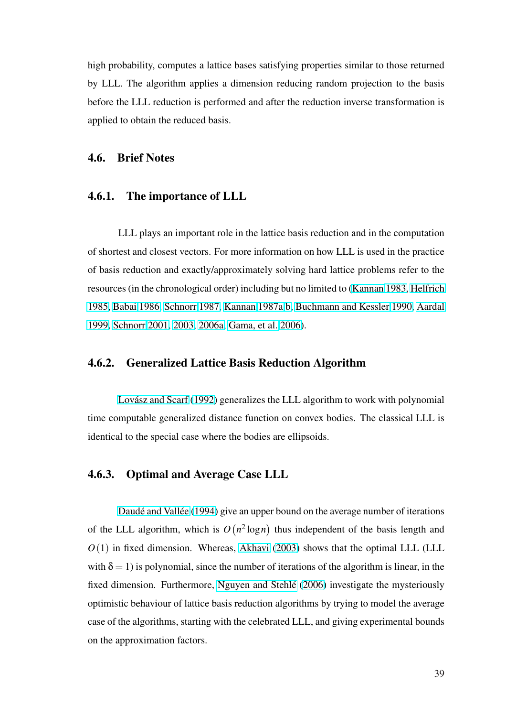high probability, computes a lattice bases satisfying properties similar to those returned by LLL. The algorithm applies a dimension reducing random projection to the basis before the LLL reduction is performed and after the reduction inverse transformation is applied to obtain the reduced basis.

#### 4.6. Brief Notes

#### 4.6.1. The importance of LLL

LLL plays an important role in the lattice basis reduction and in the computation of shortest and closest vectors. For more information on how LLL is used in the practice of basis reduction and exactly/approximately solving hard lattice problems refer to the resources (in the chronological order) including but no limited to (Kannan 1983, Helfrich 1985, Babai 1986, Schnorr 1987, Kannan 1987a,b, Buchmann and Kessler 1990, Aardal 1999, Schnorr 2001, 2003, 2006a, Gama, et al. 2006).

## [4.6.2](#page-89-0)[. Generalized Lattice](#page-100-0) [Basis Reductio](#page-93-0)n Algorithm

Lovász and Scarf (1992) generalizes the LLL algorithm to work with polynomial time computable generalized distance function on convex bodies. The classical LLL is identic[al to the special case whe](#page-97-0)re the bodies are ellipsoids.

## 4.6.3. Optimal and Average Case LLL

Daudé and Vallée (1994) give an upper bound on the average number of iterations of the LLL algorithm, which is *O* ¡ *n* 2 log*n* ¢ thus independent of the basis length and *O*(1) i[n fixed dimension](#page-92-0). [Whe](#page-92-0)reas, Akhavi (2003) shows that the optimal LLL (LLL with  $\delta = 1$ ) is polynomial, since the number of iterations of the algorithm is linear, in the fixed dimension. Furthermore, Ngu[yen and](#page-90-0) Stehlé (2006) investigate the mysteriously optimistic behaviour of lattice basis reduction algorithms by trying to model the average case of the algorithms, starting [with the celebrated LLL, an](#page-98-0)d giving experimental bounds on the approximation factors.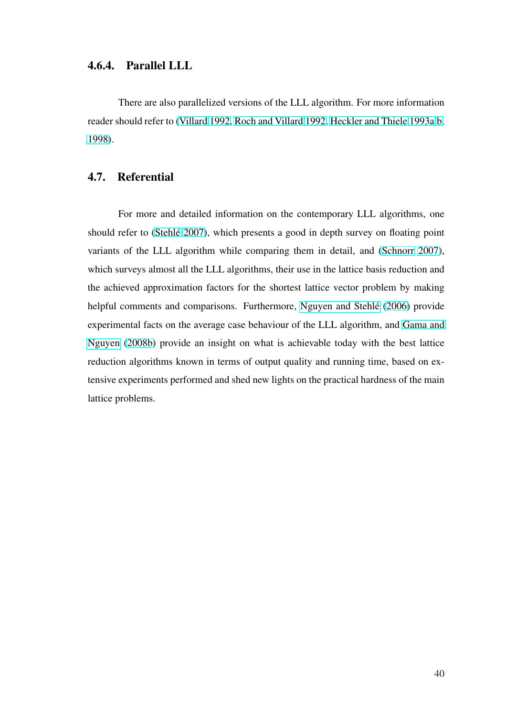# 4.6.4. Parallel LLL

There are also parallelized versions of the LLL algorithm. For more information reader should refer to (Villard 1992, Roch and Villard 1992, Heckler and Thiele 1993a,b, 1998).

# [4.7.](#page-95-0) Referential

For more and detailed information on the contemporary LLL algorithms, one should refer to (Stehlé 2007), which presents a good in depth survey on floating point variants of the LLL algorithm while comparing them in detail, and (Schnorr 2007), which surveys a[lmost all the](#page-101-0) LLL algorithms, their use in the lattice basis reduction and the achieved approximation factors for the shortest lattice vector pro[blem by making](#page-101-0) helpful comments and comparisons. Furthermore, Nguyen and Stehlé (2006) provide experimental facts on the average case behaviour of the LLL algorithm, and Gama and Nguyen (2008b) provide an insight on what is ac[hievable today with](#page-98-0) [the be](#page-98-0)st lattice reduction algorithms known in terms of output quality and running time, b[ased on ex](#page-93-0)[tensive experime](#page-93-0)nts performed and shed new lights on the practical hardness of the main lattice problems.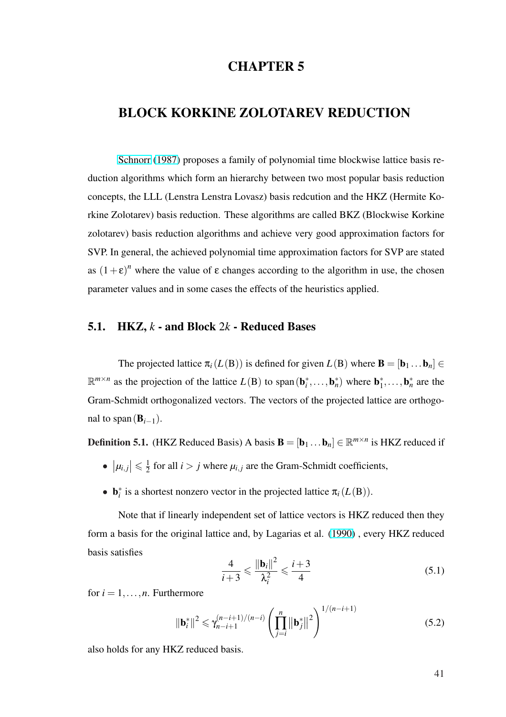# CHAPTER 5

# BLOCK KORKINE ZOLOTAREV REDUCTION

Schnorr (1987) proposes a family of polynomial time blockwise lattice basis reduction algorithms which form an hierarchy between two most popular basis reduction concep[ts, the LLL \(Le](#page-100-0)nstra Lenstra Lovasz) basis redcution and the HKZ (Hermite Korkine Zolotarev) basis reduction. These algorithms are called BKZ (Blockwise Korkine zolotarev) basis reduction algorithms and achieve very good approximation factors for SVP. In general, the achieved polynomial time approximation factors for SVP are stated as  $(1+\varepsilon)^n$  where the value of  $\varepsilon$  changes according to the algorithm in use, the chosen parameter values and in some cases the effects of the heuristics applied.

## 5.1. HKZ, *k* - and Block 2*k* - Reduced Bases

The projected lattice  $\pi_i(L(\mathbf{B}))$  is defined for given  $L(\mathbf{B})$  where  $\mathbf{B} = [\mathbf{b}_1 \dots \mathbf{b}_n] \in$  $\mathbb{R}^{m \times n}$  as the projection of the lattice  $L(B)$  to span $(\mathbf{b}_i^*, \dots, \mathbf{b}_n^*)$  where  $\mathbf{b}_1^*, \dots, \mathbf{b}_n^*$  are the Gram-Schmidt orthogonalized vectors. The vectors of the projected lattice are orthogonal to span( $\mathbf{B}_{i-1}$ ).

**Definition 5.1.** (HKZ Reduced Basis) A basis  $\mathbf{B} = [\mathbf{b}_1 \dots \mathbf{b}_n] \in \mathbb{R}^{m \times n}$  is HKZ reduced if

- $|\mu_{i,j}| \leq \frac{1}{2}$  $\frac{1}{2}$  for all *i* > *j* where  $\mu_{i,j}$  are the Gram-Schmidt coefficients,
- **b**<sup>\*</sup><sub>i</sub> is a shortest nonzero vector in the projected lattice  $\pi_i(L(\mathbf{B}))$ .

Note that if linearly independent set of lattice vectors is HKZ reduced then they form a basis for the original lattice and, by Lagarias et al. (1990) , every HKZ reduced basis satisfies

$$
\frac{4}{i+3} \leqslant \frac{\|\mathbf{b}_i\|^2}{\lambda_i^2} \leqslant \frac{i+3}{4}
$$
\n(5.1)

for  $i = 1, \ldots, n$ . Furthermore

$$
\|\mathbf{b}_{i}^{*}\|^{2} \leq \gamma_{n-i+1}^{(n-i+1)/(n-i)} \left(\prod_{j=i}^{n} \|\mathbf{b}_{j}^{*}\|^{2}\right)^{1/(n-i+1)}
$$
(5.2)

also holds for any HKZ reduced basis.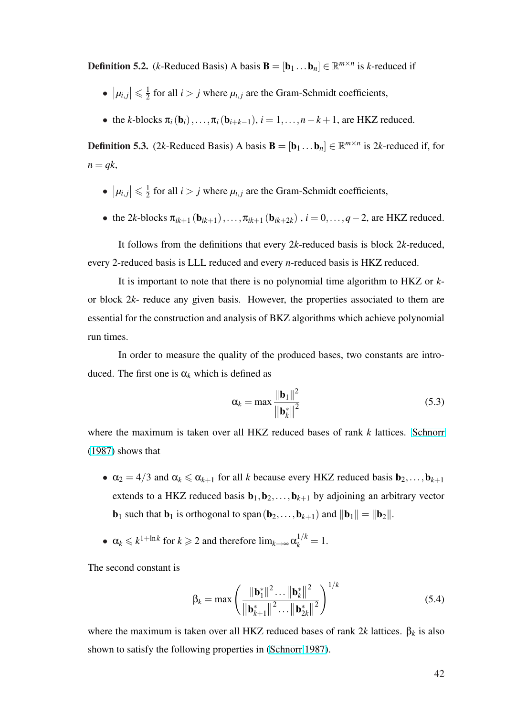**Definition 5.2.** (*k*-Reduced Basis) A basis  $\mathbf{B} = [\mathbf{b}_1 \dots \mathbf{b}_n] \in \mathbb{R}^{m \times n}$  is *k*-reduced if

- $|\mu_{i,j}| \leqslant \frac{1}{2}$  $\frac{1}{2}$  for all *i* > *j* where  $\mu_{i,j}$  are the Gram-Schmidt coefficients,
- the *k*-blocks  $\pi_i(\mathbf{b}_i), \ldots, \pi_i(\mathbf{b}_{i+k-1}), i = 1, \ldots, n-k+1$ , are HKZ reduced.

**Definition 5.3.** (2k-Reduced Basis) A basis  $\mathbf{B} = [\mathbf{b}_1 \dots \mathbf{b}_n] \in \mathbb{R}^{m \times n}$  is 2k-reduced if, for  $n = qk$ ,

- $|\mu_{i,j}| \leqslant \frac{1}{2}$  $\frac{1}{2}$  for all *i* > *j* where  $\mu_{i,j}$  are the Gram-Schmidt coefficients,
- the 2*k*-blocks  $\pi_{ik+1}({\bf b}_{ik+1}),\ldots,\pi_{ik+1}({\bf b}_{ik+2k})$ ,  $i=0,\ldots,q-2$ , are HKZ reduced.

It follows from the definitions that every 2*k*-reduced basis is block 2*k*-reduced, every 2-reduced basis is LLL reduced and every *n*-reduced basis is HKZ reduced.

It is important to note that there is no polynomial time algorithm to HKZ or *k*or block 2*k*- reduce any given basis. However, the properties associated to them are essential for the construction and analysis of BKZ algorithms which achieve polynomial run times.

In order to measure the quality of the produced bases, two constants are introduced. The first one is  $\alpha_k$  which is defined as

$$
\alpha_k = \max \frac{\|\mathbf{b}_1\|^2}{\|\mathbf{b}_k^*\|^2}
$$
(5.3)

where the maximum is taken over all HKZ reduced bases of rank *k* lattices. Schnorr (1987) shows that

- $\alpha_2 = 4/3$  and  $\alpha_k \le \alpha_{k+1}$  for all *k* because every HKZ reduced basis  $\mathbf{b}_2, \ldots, \mathbf{b}_{k+1}$ extends to a HKZ reduced basis  $\mathbf{b}_1, \mathbf{b}_2, \ldots, \mathbf{b}_{k+1}$  by adjoining an arbitrary vector  $\mathbf{b}_1$  such that  $\mathbf{b}_1$  is orthogonal to span $(\mathbf{b}_2,\ldots,\mathbf{b}_{k+1})$  and  $\|\mathbf{b}_1\| = \|\mathbf{b}_2\|$ .
- $\alpha_k \leq k^{1 + \ln k}$  for  $k \geq 2$  and therefore  $\lim_{k \to \infty} \alpha_k^{1/k} = 1$ .

The second constant is

$$
\beta_k = \max \left( \frac{\|\mathbf{b}_1^*\|^2 \dots \|\mathbf{b}_k^*\|^2}{\|\mathbf{b}_{k+1}^*\|^2 \dots \|\mathbf{b}_{2k}^*\|^2} \right)^{1/k}
$$
(5.4)

where the maximum is taken over all HKZ reduced bases of rank  $2k$  lattices.  $\beta_k$  is also shown to satisfy the following properties in (Schnorr 1987).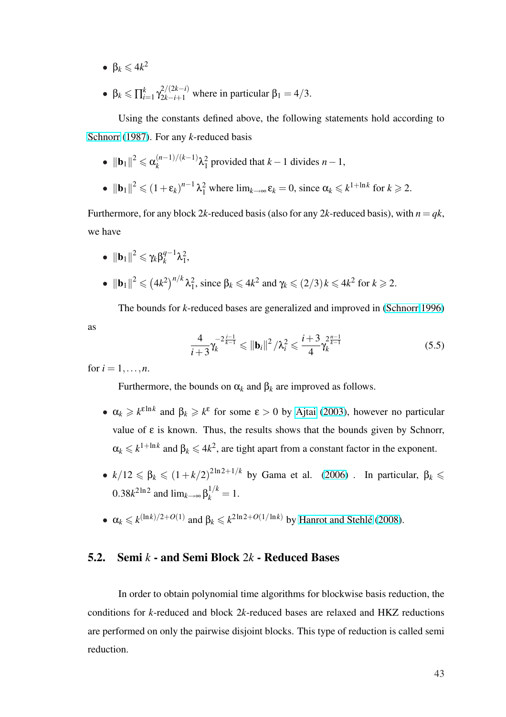- $\bullet$   $\beta_k \leq 4k^2$
- β $_k$   $\leqslant$   $\prod_{i=1}^{k}$  $\int_{i=1}^{k} \gamma_{2k-i+1}^{2/(2k-i)}$  where in particular  $\beta_1 = 4/3$ .

Using the constants defined above, the following statements hold according to Schnorr (1987). For any *k*-reduced basis

• 
$$
||\mathbf{b}_1||^2 \leq \alpha_k^{(n-1)/(k-1)} \lambda_1^2
$$
 provided that  $k-1$  divides  $n-1$ ,

• 
$$
\|\mathbf{b}_1\|^2 \le (1+\varepsilon_k)^{n-1} \lambda_1^2
$$
 where  $\lim_{k\to\infty} \varepsilon_k = 0$ , since  $\alpha_k \le k^{1+\ln k}$  for  $k \ge 2$ .

Furthermore, for any block 2*k*-reduced basis (also for any 2*k*-reduced basis), with  $n = qk$ , we have

 $\bullet \ \| \mathbf{b}_1 \|^2 \leqslant \gamma_k \beta_k^{q-1}$  $\lambda_1^{q-1} \lambda_1^2$ •  $\|\mathbf{b}_1\|^2 \leqslant ($  $(4k^2)^{n/k} \lambda_1^2$ , since  $\beta_k \le 4k^2$  and  $\gamma_k \le (2/3) k \le 4k^2$  for  $k \ge 2$ .

The bounds for *k*-reduced bases are generalized and improved in (Schnorr 1996)

$$
\frac{4}{i+3}\gamma_k^{-2\frac{i-1}{k-1}} \leq ||\mathbf{b}_i||^2 / \lambda_i^2 \leq \frac{i+3}{4}\gamma_k^{2\frac{n-1}{k-1}}
$$
(5.5)

for  $i = 1, ..., n$ .

as

Furthermore, the bounds on  $\alpha_k$  and  $\beta_k$  are improved as follows.

- $\alpha_k \geq k^{\epsilon \ln k}$  and  $\beta_k \geq k^{\epsilon}$  for some  $\epsilon > 0$  by Ajtai (2003), however no particular value of ε is known. Thus, the results shows that the bounds given by Schnorr,  $\alpha_k \leq k^{1 + \ln k}$  and  $\beta_k \leq 4k^2$ , are tight apart fro[m a constant](#page-89-0) factor in the exponent.
- $k/12 \leq \beta_k \leq (1 + k/2)^{2\ln 2 + 1/k}$  by Gama et al. (2006). In particular,  $\beta_k \leq$  $0.38k<sup>2ln2</sup>$  and  $lim<sub>k→∞</sub> β<sub>k</sub><sup>1/k</sup> = 1$ .
- $\alpha_k \leq k^{(\ln k)/2 + O(1)}$  and  $\beta_k \leq k^{2\ln 2 + O(1/\ln k)}$  by Hanr[ot and](#page-93-0) Stehlé (2008).

#### 5.2. Semi *k* - and Semi Block 2*k* - Reduc[ed Bases](#page-94-0)

In order to obtain polynomial time algorithms for blockwise basis reduction, the conditions for *k*-reduced and block 2*k*-reduced bases are relaxed and HKZ reductions are performed on only the pairwise disjoint blocks. This type of reduction is called semi reduction.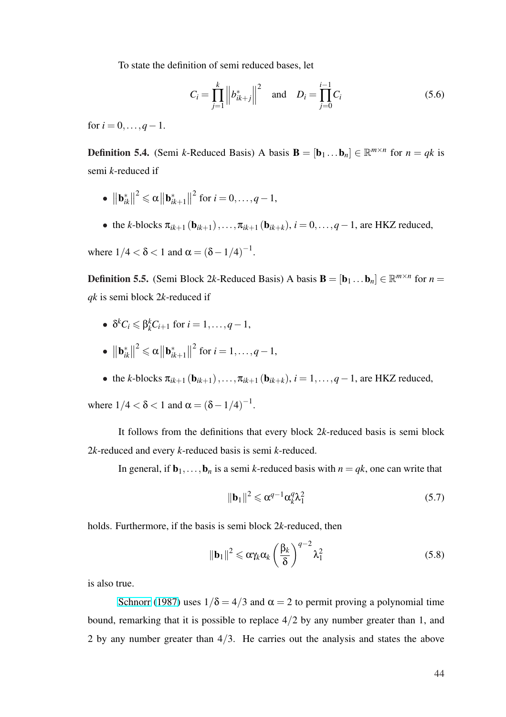To state the definition of semi reduced bases, let

$$
C_i = \prod_{j=1}^k \left\| b_{ik+j}^* \right\|^2 \quad \text{and} \quad D_i = \prod_{j=0}^{i-1} C_i \tag{5.6}
$$

for  $i = 0, \ldots, q - 1$ .

**Definition 5.4.** (Semi *k*-Reduced Basis) A basis  $\mathbf{B} = [\mathbf{b}_1 \dots \mathbf{b}_n] \in \mathbb{R}^{m \times n}$  for  $n = qk$  is semi *k*-reduced if

- $\|\mathbf{b}_{il}^*\|$ *ik*  $\|^{2} \leqslant \alpha \| \mathbf{b}_{il}^{*}$ *ik*+1  $\|^{2}$  for *i* = 0, ..., *q* - 1,
- the *k*-blocks  $\pi_{ik+1}({\bf b}_{ik+1}),\ldots,\pi_{ik+1}({\bf b}_{ik+k}), i = 0,\ldots,q-1$ , are HKZ reduced,

where  $1/4 < \delta < 1$  and  $\alpha = (\delta - 1/4)^{-1}$ .

**Definition 5.5.** (Semi Block 2k-Reduced Basis) A basis  $\mathbf{B} = [\mathbf{b}_1 \dots \mathbf{b}_n] \in \mathbb{R}^{m \times n}$  for  $n =$ *qk* is semi block 2*k*-reduced if

- $\delta^k C_i \leq \beta_k^k C_{i+1}$  for  $i = 1, \ldots, q-1$ ,
- $\|\mathbf{b}_{il}^*\|$ *ik*  $\|^{2} \leqslant \alpha \| \mathbf{b}_{il}^{*}$ *ik*+1  $\|^{2}$  for *i* = 1, ..., *q* - 1,
- the *k*-blocks  $\pi_{ik+1}$  (**b**<sub>ik+1</sub>),..., $\pi_{ik+1}$  (**b**<sub>ik+k</sub>), *i* = 1,...,*q* − 1, are HKZ reduced,

where  $1/4 < \delta < 1$  and  $\alpha = (\delta - 1/4)^{-1}$ .

It follows from the definitions that every block 2*k*-reduced basis is semi block 2*k*-reduced and every *k*-reduced basis is semi *k*-reduced.

In general, if  $\mathbf{b}_1,\ldots,\mathbf{b}_n$  is a semi *k*-reduced basis with  $n = qk$ , one can write that

$$
\|\mathbf{b}_1\|^2 \leqslant \alpha^{q-1} \alpha_k^q \lambda_1^2 \tag{5.7}
$$

holds. Furthermore, if the basis is semi block 2*k*-reduced, then

$$
\|\mathbf{b}_1\|^2 \leqslant \alpha \gamma_k \alpha_k \left(\frac{\beta_k}{\delta}\right)^{q-2} \lambda_1^2 \tag{5.8}
$$

is also true.

Schnorr (1987) uses  $1/\delta = 4/3$  and  $\alpha = 2$  to permit proving a polynomial time bound, remarking that it is possible to replace  $4/2$  by any number greater than 1, and 2 by a[ny number grea](#page-100-0)ter than  $4/3$ . He carries out the analysis and states the above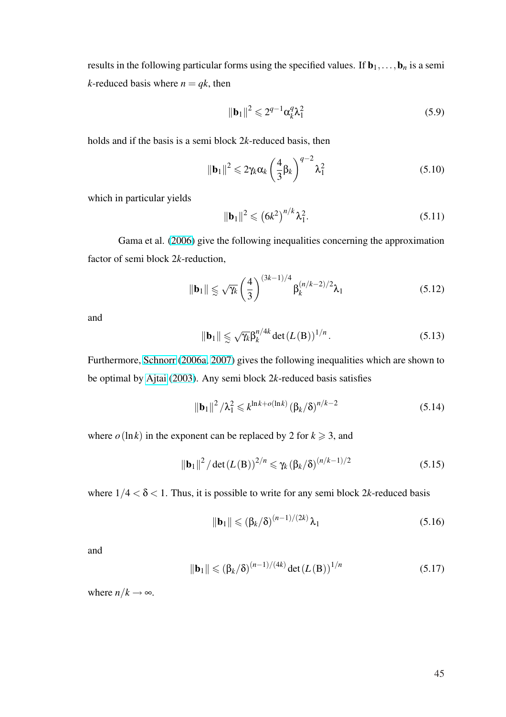results in the following particular forms using the specified values. If  $\mathbf{b}_1,\ldots,\mathbf{b}_n$  is a semi *k*-reduced basis where  $n = qk$ , then

$$
\|\mathbf{b}_1\|^2 \leqslant 2^{q-1} \alpha_k^q \lambda_1^2 \tag{5.9}
$$

holds and if the basis is a semi block 2*k*-reduced basis, then

$$
\|\mathbf{b}_1\|^2 \leqslant 2\gamma_k \alpha_k \left(\frac{4}{3}\beta_k\right)^{q-2} \lambda_1^2 \tag{5.10}
$$

which in particular yields

$$
\|\mathbf{b}_1\|^2 \leq (6k^2)^{n/k} \lambda_1^2.
$$
 (5.11)

Gama et al. (2006) give the following inequalities concerning the approximation factor of semi block 2*k*-reduction,

$$
\|\mathbf{b}_1\| \leq \sqrt{\gamma_k} \left(\frac{4}{3}\right)^{(3k-1)/4} \beta_k^{(n/k-2)/2} \lambda_1 \tag{5.12}
$$

and

$$
\|\mathbf{b}_1\| \leq \sqrt{\gamma_k} \beta_k^{n/4k} \det(L(\mathbf{B}))^{1/n}.
$$
 (5.13)

Furthermore, Schnorr (2006a, 2007) gives the following inequalities which are shown to be optimal by Ajtai (2003). Any semi block 2*k*-reduced basis satisfies

$$
\|\mathbf{b}_1\|^2 / \lambda_1^2 \leq k^{\ln k + o(\ln k)} (\beta_k / \delta)^{n/k - 2}
$$
 (5.14)

where  $o(\ln k)$  in the exponent can be replaced by 2 for  $k \ge 3$ , and

$$
\|\mathbf{b}_1\|^2 / \det(L(\mathbf{B}))^{2/n} \leq \gamma_k (\beta_k/\delta)^{(n/k-1)/2}
$$
 (5.15)

where  $1/4 < \delta < 1$ . Thus, it is possible to write for any semi block 2k-reduced basis

$$
\|\mathbf{b}_1\| \leq (\beta_k/\delta)^{(n-1)/(2k)} \lambda_1 \tag{5.16}
$$

and

$$
\|\mathbf{b}_1\| \le (\beta_k/\delta)^{(n-1)/(4k)} \det(L(\mathbf{B}))^{1/n}
$$
 (5.17)

where  $n/k \rightarrow \infty$ .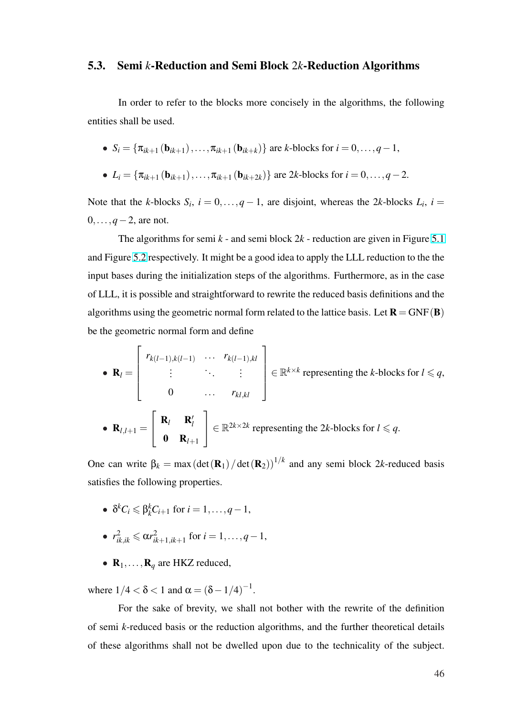## 5.3. Semi *k*-Reduction and Semi Block 2*k*-Reduction Algorithms

In order to refer to the blocks more concisely in the algorithms, the following entities shall be used.

\n- \n
$$
S_i = \{\pi_{ik+1}(\mathbf{b}_{ik+1}), \ldots, \pi_{ik+1}(\mathbf{b}_{ik+k})\}
$$
\n are *k*-blocks for *i* = 0, \ldots, *q* - 1,\n
\n- \n
$$
L_i = \{\pi_{ik+1}(\mathbf{b}_{ik+1}), \ldots, \pi_{ik+1}(\mathbf{b}_{ik+2k})\}
$$
\n are *2k*-blocks for *i* = 0, \ldots, *q* - 2.\n
\n

Note that the *k*-blocks  $S_i$ ,  $i = 0, \ldots, q - 1$ , are disjoint, whereas the 2*k*-blocks  $L_i$ ,  $i =$ 0,...,*q*−2, are not.

The algorithms for semi  $k$  - and semi block  $2k$  - reduction are given in Figure 5.1 and Figure 5.2 respectively. It might be a good idea to apply the LLL reduction to the the input bases during the initialization steps of the algorithms. Furthermore, as in the [case](#page-57-0) of LLL, it [is po](#page-58-0)ssible and straightforward to rewrite the reduced basis definitions and the algorithms using the geometric normal form related to the lattice basis. Let  $\mathbf{R} = \text{GNF}(\mathbf{B})$ be the geometric normal form and define

• 
$$
\mathbf{R}_{l} = \begin{bmatrix} r_{k(l-1),k(l-1)} & \cdots & r_{k(l-1),kl} \\ \vdots & \ddots & \vdots \\ 0 & \cdots & r_{kl,kl} \end{bmatrix} \in \mathbb{R}^{k \times k}
$$
 representing the *k*-blocks for  $l \leq q$ ,  
\n•  $\mathbf{R}_{l,l+1} = \begin{bmatrix} \mathbf{R}_{l} & \mathbf{R}'_{l} \\ \mathbf{0} & \mathbf{R}_{l+1} \end{bmatrix} \in \mathbb{R}^{2k \times 2k}$  representing the 2*k*-blocks for  $l \leq q$ .

One can write  $\beta_k = \max(\det(\mathbf{R}_1)/\det(\mathbf{R}_2))^{1/k}$  and any semi block 2*k*-reduced basis satisfies the following properties.

- $\delta^k C_i \leq \beta_k^k C_{i+1}$  for  $i = 1, \ldots, q-1$ ,
- $r_{ik,ik}^2 \leq \alpha r_{ik}^2$ *ik*+1,*ik*+1 for *i* = 1,...,*q*−1,
- $\mathbf{R}_1, \ldots, \mathbf{R}_q$  are HKZ reduced,

where  $1/4 < \delta < 1$  and  $\alpha = (\delta - 1/4)^{-1}$ .

For the sake of brevity, we shall not bother with the rewrite of the definition of semi *k*-reduced basis or the reduction algorithms, and the further theoretical details of these algorithms shall not be dwelled upon due to the technicality of the subject.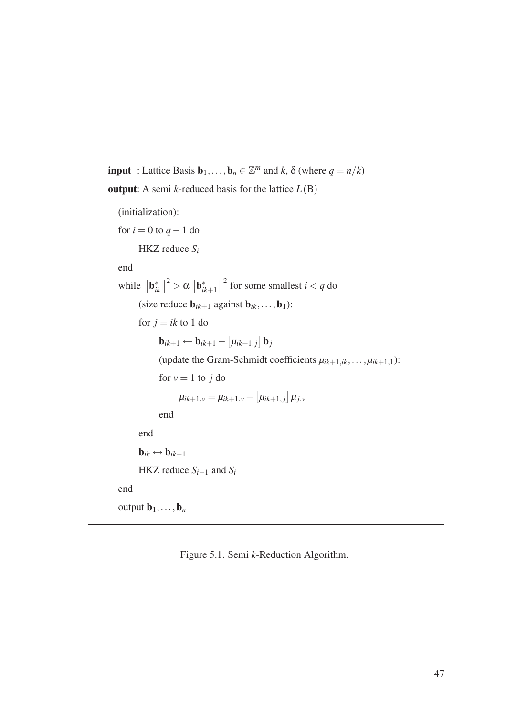```
input : Lattice Basis \mathbf{b}_1, \ldots, \mathbf{b}_n \in \mathbb{Z}^m and k, \delta (where q = n/k)
output: A semi k-reduced basis for the lattice L(B)(initialization):
   for i = 0 to q - 1 do
           HKZ reduce Si
   end
    while
              \|\mathbf{b}_{il}^*\|ik
                    \Vert^2 > \alpha\|\mathbf{b}_{il}^*\|ik+1
                                           \| \nvert^2 for some smallest i < q do
           (size reduce \mathbf{b}_{ik+1} against \mathbf{b}_{ik},...,\mathbf{b}_1):
           for j = ik to 1 do
                    \mathbf{b}_{ik+1} \leftarrow \mathbf{b}_{ik+1} -£
                                                µik+1, j
                                                          ¤
                                                            \mathbf{b}_j(update the Gram-Schmidt coefficients \mu_{ik+1,ik}, \dots, \mu_{ik+1,1}):
                   for v = 1 to j do
                            \mu_{ik+1,v} = \mu_{ik+1,v} -£
                                                           \mu_{ik+1,j}l<br>E
                                                                       µj,v
                   end
           end
           \mathbf{b}_{ik} \leftrightarrow \mathbf{b}_{ik+1}HKZ reduce S_{i-1} and S_iend
   output \mathbf{b}_1,\ldots,\mathbf{b}_n
```
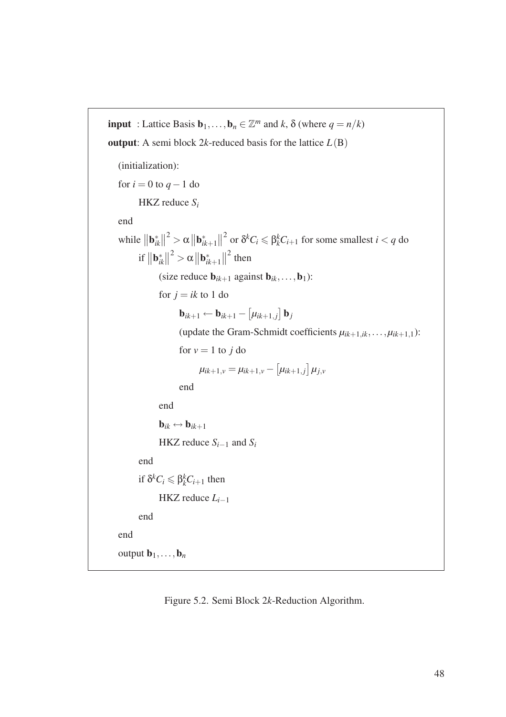```
input : Lattice Basis \mathbf{b}_1, \ldots, \mathbf{b}_n \in \mathbb{Z}^m and k, \delta (where q = n/k)
output: A semi block 2k-reduced basis for the lattice L(B)(initialization):
   for i = 0 to q - 1 do
            HKZ reduce Si
   end
    while
               \|\mathbf{b}_{il}^*\|ik
                      \Vert^2 > \alpha\|\mathbf{b}_{il}^*\|ik+1
                                             \int_{0}^{2} or \delta^{k}C_{i} \leq \beta_{k}^{k}C_{i+1} for some smallest i < q do
             if
                \|\mathbf{b}^*_n\|ik
                       \vert\vert^2>\alpha||\mathbf{b}^*_{il}ik+1
                                               \left\| \right\|^2 then
                    (size reduce \mathbf{b}_{ik+1} against \mathbf{b}_{ik},...,\mathbf{b}_1):
                    for j = ik to 1 do
                             \mathbf{b}_{ik+1} \leftarrow \mathbf{b}_{ik+1} -£
                                                            \mu_{ik+1,j}l<br>E
                                                                         \mathbf{b}_j(update the Gram-Schmidt coefficients \mu_{ik+1,ik}, \ldots, \mu_{ik+1,1}):
                             for v = 1 to j do
                                      \mu_{ik+1,\nu} = \mu_{ik+1,\nu} -£
                                                                       \mu_{ik+1,j}¤
                                                                                    µj,v
                             end
                    end
                    \mathbf{b}_{ik} \leftrightarrow \mathbf{b}_{ik+1}HKZ reduce S_{i-1} and S_iend
             if \delta^k C_i \leq \beta_k^k C_{i+1} then
                    HKZ reduce Li−1
            end
   end
   output \mathbf{b}_1,\ldots,\mathbf{b}_n
```
Figure 5.2. Semi Block 2*k*-Reduction Algorithm.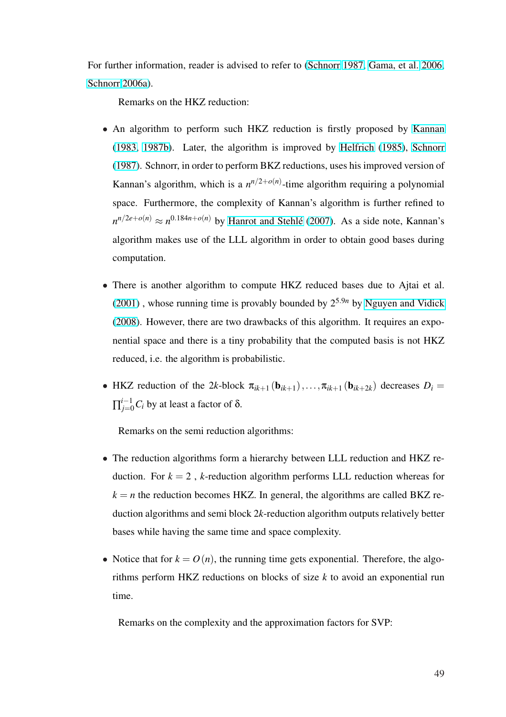For further information, reader is advised to refer to (Schnorr 1987, Gama, et al. 2006, Schnorr 2006a).

Remarks on the HKZ reduction:

- [An algor](#page-100-0)ithm to perform such HKZ reduction is firstly proposed by Kannan (1983, 1987b). Later, the algorithm is improved by Helfrich (1985), Schnorr (1987). Schnorr, in order to perform BKZ reductions, uses his improved v[ersion of](#page-95-0) [Kannan's algo](#page-95-0)rithm, which is a  $n^{n/2+o(n)}$ -time algorith[m requiring a p](#page-95-0)ol[ynomial](#page-100-0) [space.](#page-100-0) Furthermore, the complexity of Kannan's algorithm is further refined to  $n^{n/2e+o(n)} \approx n^{0.184n+o(n)}$  by Hanrot and Stehlé (2007). As a side note, Kannan's algorithm makes use of the LLL algorithm in order to obtain good bases during computation.
- There is another algorithm to compute HKZ reduced bases due to Ajtai et al.  $(2001)$ , whose running time is provably bounded by  $2^{5.9n}$  by Nguyen and Vidick (2008). However, there are two drawbacks of this algorithm. It requires an expo[nentia](#page-90-0)l space and there is a tiny probability that the comput[ed basis is not HKZ](#page-98-0) [reduce](#page-98-0)d, i.e. the algorithm is probabilistic.
- HKZ reduction of the 2*k*-block  $\pi_{ik+1}(\mathbf{b}_{ik+1}),\ldots,\pi_{ik+1}(\mathbf{b}_{ik+2k})$  decreases  $D_i =$  $\prod_{j=0}^{i-1} C_i$  by at least a factor of δ.

Remarks on the semi reduction algorithms:

- The reduction algorithms form a hierarchy between LLL reduction and HKZ reduction. For  $k = 2$ , *k*-reduction algorithm performs LLL reduction whereas for  $k = n$  the reduction becomes HKZ. In general, the algorithms are called BKZ reduction algorithms and semi block 2*k*-reduction algorithm outputs relatively better bases while having the same time and space complexity.
- Notice that for  $k = O(n)$ , the running time gets exponential. Therefore, the algorithms perform HKZ reductions on blocks of size *k* to avoid an exponential run time.

Remarks on the complexity and the approximation factors for SVP: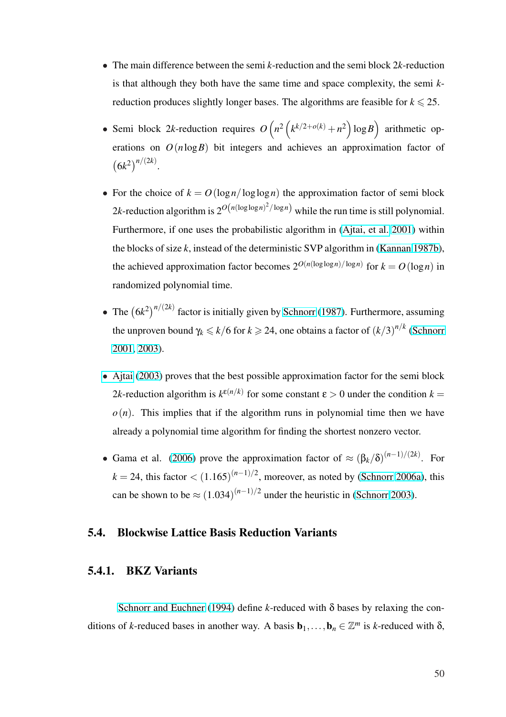- The main difference between the semi *k*-reduction and the semi block 2*k*-reduction is that although they both have the same time and space complexity, the semi *k*reduction produces slightly longer bases. The algorithms are feasible for  $k \le 25$ .
- Semi block 2*k*-reduction requires *O*  $\overline{a}$ *n* 2  $\overline{a}$  $k^{k/2+o(k)} + n^2$ ´ log*B* ´ arithmetic operations on  $O(n \log B)$  bit integers and achieves an approximation factor of ¡  $6k^2)^{n/(2k)}$ .
- For the choice of  $k = O(\log n / \log \log n)$  the approximation factor of semi block 2k-reduction algorithm is  $2^{O(n(\log \log n)^2/\log n)}$  while the run time is still polynomial. Furthermore, if one uses the probabilistic algorithm in (Ajtai, et al. 2001) within the blocks of size *k*, instead of the deterministic SVP algorithm in (Kannan 1987b), the achieved approximation factor becomes  $2^{O(n(\log \log n)/\log n)}$  $2^{O(n(\log \log n)/\log n)}$  $2^{O(n(\log \log n)/\log n)}$  [for](#page-90-0)  $k = O(\log n)$  in randomized polynomial time.
- The  $(6k^2)^{n/(2k)}$  factor is initially given by Schnorr (1987). Furthermore, assuming the unproven bound  $\gamma_k \leqslant k/6$  for  $k \geqslant 24$ , one obtains a factor of  $(k/3)^{n/k}$  (Schnorr 2001, 2003).
- Ajtai (2003) proves that the best possible approximation factor for the se[mi block](#page-100-0) 2*k*[-reductio](#page-100-0)n algorithm is  $k^{\epsilon(n/k)}$  for some constant  $\epsilon > 0$  under the condition  $k =$  $o(n)$  $o(n)$ . [This](#page-89-0) implies that if the algorithm runs in polynomial time then we have already a polynomial time algorithm for finding the shortest nonzero vector.
- Gama et al. (2006) prove the approximation factor of  $\approx (\beta_k/\delta)^{(n-1)/(2k)}$ . For  $k = 24$ , this factor  $\lt (1.165)^{(n-1)/2}$ , moreover, as noted by (Schnorr 2006a), this can be shown [to be](#page-93-0)  $\approx (1.034)^{(n-1)/2}$  under the heuristic in (Schnorr 2003).

## 5.4. Blockwise Lattice Basis Reduction Variants

#### 5.4.1. BKZ Variants

Schnorr and Euchner (1994) define *k*-reduced with δ bases by relaxing the conditions of *k*-reduced bases in another way. A basis  $\mathbf{b}_1, \ldots, \mathbf{b}_n \in \mathbb{Z}^m$  is *k*-reduced with  $\delta$ ,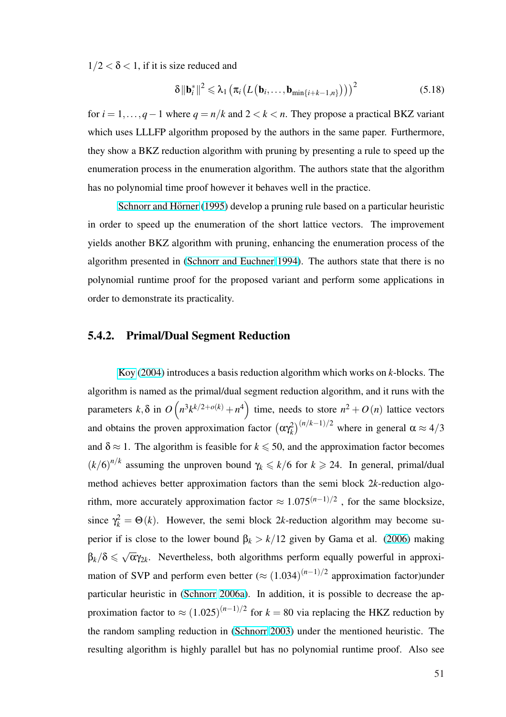$1/2 < \delta < 1$ , if it is size reduced and

$$
\delta \|\mathbf{b}_{i}^{*}\|^{2} \leq \lambda_{1} \left( \pi_{i} \left( L\left(\mathbf{b}_{i}, \ldots, \mathbf{b}_{\min\{i+k-1, n\}}\right)\right) \right)^{2} \tag{5.18}
$$

for  $i = 1, ..., q - 1$  where  $q = n/k$  and  $2 < k < n$ . They propose a practical BKZ variant which uses LLLFP algorithm proposed by the authors in the same paper. Furthermore, they show a BKZ reduction algorithm with pruning by presenting a rule to speed up the enumeration process in the enumeration algorithm. The authors state that the algorithm has no polynomial time proof however it behaves well in the practice.

Schnorr and Hörner (1995) develop a pruning rule based on a particular heuristic in order to speed up the enumeration of the short lattice vectors. The improvement yields [another BKZ algorithm wit](#page-101-0)h pruning, enhancing the enumeration process of the algorithm presented in (Schnorr and Euchner 1994). The authors state that there is no polynomial runtime proof for the proposed variant and perform some applications in order to demonstrate its [practicality.](#page-101-0)

#### 5.4.2. Primal/Dual Segment Reduction

Koy (2004) introduces a basis reduction algorithm which works on *k*-blocks. The algorithm is named as the primal/dual segment reduction algorithm, and it runs with the param[eters](#page-96-0) *k*,δ [in](#page-96-0) *O*  $\overline{\phantom{a}}$  $n^3k^{k/2+o(k)} + n^4$ ´ time, needs to store  $n^2 + O(n)$  lattice vectors and obtains the proven approximation factor  $(\alpha \gamma_k^2)$  $\int_{0}^{(n/k-1)/2}$  where in general  $\alpha \approx 4/3$ and  $\delta \approx 1$ . The algorithm is feasible for  $k \le 50$ , and the approximation factor becomes  $(k/6)^{n/k}$  assuming the unproven bound  $\gamma_k \le k/6$  for  $k \ge 24$ . In general, primal/dual method achieves better approximation factors than the semi block 2*k*-reduction algorithm, more accurately approximation factor  $\approx 1.075^{(n-1)/2}$ , for the same blocksize, since  $\gamma_k^2 = \Theta(k)$ . However, the semi block 2*k*-reduction algorithm may become superior if is close to the lower bound  $β_k > k/12$  given by Gama et al. (2006) making  $\beta_k/\delta \leqslant$ √  $\overline{\alpha}\gamma_{2k}$ . Nevertheless, both algorithms perform equally powerful in approximation of SVP and perform even better  $(\approx (1.034)^{(n-1)/2}$  approximatio[n fact](#page-93-0)or)under particular heuristic in (Schnorr 2006a). In addition, it is possible to decrease the approximation factor to  $\approx (1.025)^{(n-1)/2}$  for  $k = 80$  via replacing the HKZ reduction by the random sampling r[eduction in \(Sch](#page-100-0)norr 2003) under the mentioned heuristic. The resulting algorithm is highly parallel but has no polynomial runtime proof. Also see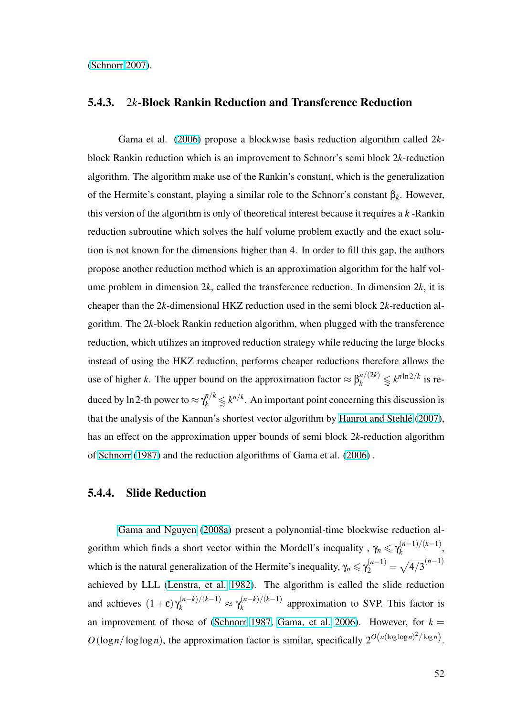(Schnorr 2007).

### [5.4.3.](#page-101-0) 2*k*[-B](#page-101-0)lock Rankin Reduction and Transference Reduction

Gama et al. (2006) propose a blockwise basis reduction algorithm called 2*k*block Rankin reduction which is an improvement to Schnorr's semi block 2*k*-reduction algorithm. The algori[thm m](#page-93-0)ake use of the Rankin's constant, which is the generalization of the Hermite's constant, playing a similar role to the Schnorr's constant β*k*. However, this version of the algorithm is only of theoretical interest because it requires a *k* -Rankin reduction subroutine which solves the half volume problem exactly and the exact solution is not known for the dimensions higher than 4. In order to fill this gap, the authors propose another reduction method which is an approximation algorithm for the half volume problem in dimension 2*k*, called the transference reduction. In dimension 2*k*, it is cheaper than the 2*k*-dimensional HKZ reduction used in the semi block 2*k*-reduction algorithm. The 2*k*-block Rankin reduction algorithm, when plugged with the transference reduction, which utilizes an improved reduction strategy while reducing the large blocks instead of using the HKZ reduction, performs cheaper reductions therefore allows the use of higher *k*. The upper bound on the approximation factor  $\approx \beta_k^{n/(2k)} \leq k^{n \ln 2/k}$  is reduced by ln 2-th power to  $\approx \gamma_k^{n/k} \leq k^{n/k}$ . An important point concerning this discussion is that the analysis of the Kannan's shortest vector algorithm by Hanrot and Stehlé (2007), has an effect on the approximation upper bounds of semi block 2*k*-reduction algorithm of Schnorr (1987) and the reduction algorithms of Gama et al[. \(2006\) .](#page-94-0)

## 5.[4.4. Slide R](#page-100-0)eduction

Gama and Nguyen (2008a) present a polynomial-time blockwise reduction algorithm which finds a short vector within the Mordell's inequality,  $\gamma_n \leq \gamma_k^{(n-1)/(k-1)}$  $\binom{(n-1)}{k}$ which [is the natural general](#page-93-0)i[zation](#page-93-0) of the Hermite's inequality,  $\gamma_n \leqslant \gamma_2^{(n-1)}$  =  $\mathbb{R}$  $\frac{4}{3}^{(n-1)}$ achieved by LLL (Lenstra, et al. 1982). The algorithm is called the slide reduction and achieves  $(1+\epsilon)\gamma_k^{(n-k)/(k-1)} \approx \gamma_k^{(n-k)/(k-1)}$  $\binom{n-k}{k}$  approximation to SVP. This factor is an improvement o[f those of \(Schnorr](#page-97-0) 1987, Gama, et al. 2006). However, for  $k =$  $O(\log n / \log \log n)$ , the approximation factor is similar, specifically  $2^{O(n(\log \log n)^2/\log n)}$ .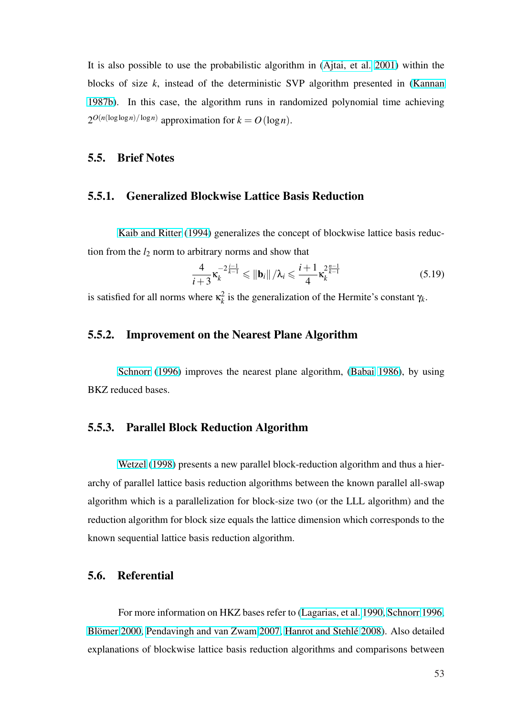It is also possible to use the probabilistic algorithm in (Ajtai, et al. 2001) within the blocks of size *k*, instead of the deterministic SVP algorithm presented in (Kannan 1987b). In this case, the algorithm runs in randomiz[ed polynomial time](#page-90-0) achieving  $2^{O(n(\log \log n)/\log n)}$  approximation for  $k = O(\log n)$ .

#### 5.5. Brief Notes

#### 5.5.1. Generalized Blockwise Lattice Basis Reduction

Kaib and Ritter (1994) generalizes the concept of blockwise lattice basis reduction from the  $l_2$  norm to arbitrary norms and show that

$$
\frac{4}{i+3}\kappa_k^{-2\frac{i-1}{k-1}} \leq \|b_i\|/\lambda_i \leq \frac{i+1}{4}\kappa_k^{2\frac{n-1}{k-1}}
$$
(5.19)

is satisfied for all norms where  $\kappa_k^2$  $k_k^2$  is the generalization of the Hermite's constant  $\gamma_k$ .

## 5.5.2. Improvement on the Nearest Plane Algorithm

Schnorr (1996) improves the nearest plane algorithm, (Babai 1986), by using BKZ reduced bases.

# 5.5.3. Parallel Block Reduction Algorithm

Wetzel (1998) presents a new parallel block-reduction algorithm and thus a hierarchy of parallel lattice basis reduction algorithms between the known parallel all-swap algorit[hm which is a](#page-101-0) parallelization for block-size two (or the LLL algorithm) and the reduction algorithm for block size equals the lattice dimension which corresponds to the known sequential lattice basis reduction algorithm.

#### 5.6. Referential

For more information on HKZ bases refer to (Lagarias, et al. 1990, Schnorr 1996, Blömer 2000, Pendavingh and van Zwam 2007, Hanrot and Stehlé 2008). Also detailed explanations of blockwise lattice basis reduction al[gorithms and compar](#page-97-0)[isons between](#page-100-0)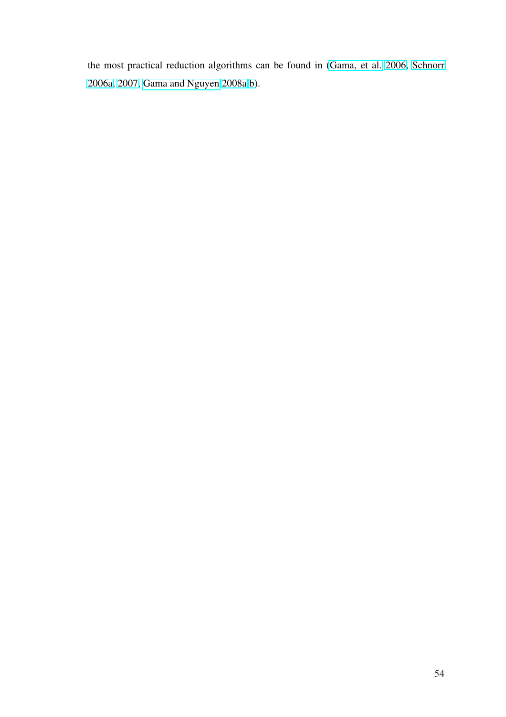the most practical reduction algorithms can be found in (Gama, et al. 2006, Schnorr 2006a, 2007, Gama and Nguyen 2008a,b).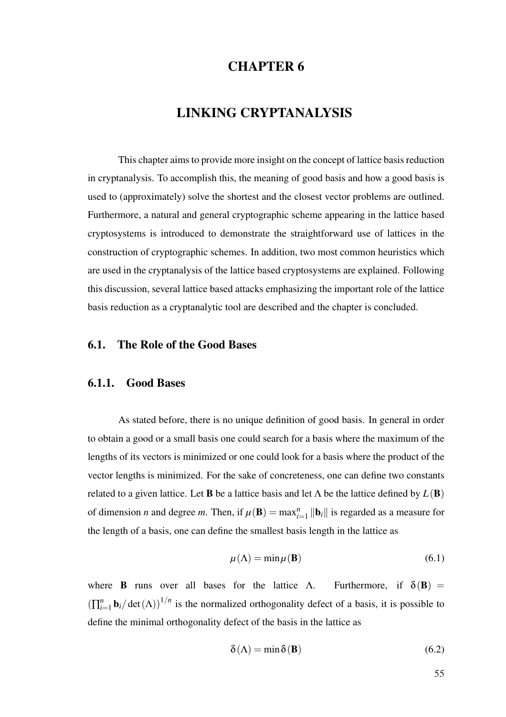# CHAPTER 6

# LINKING CRYPTANALYSIS

This chapter aims to provide more insight on the concept of lattice basis reduction in cryptanalysis. To accomplish this, the meaning of good basis and how a good basis is used to (approximately) solve the shortest and the closest vector problems are outlined. Furthermore, a natural and general cryptographic scheme appearing in the lattice based cryptosystems is introduced to demonstrate the straightforward use of lattices in the construction of cryptographic schemes. In addition, two most common heuristics which are used in the cryptanalysis of the lattice based cryptosystems are explained. Following this discussion, several lattice based attacks emphasizing the important role of the lattice basis reduction as a cryptanalytic tool are described and the chapter is concluded.

#### 6.1. The Role of the Good Bases

#### 6.1.1. Good Bases

As stated before, there is no unique definition of good basis. In general in order to obtain a good or a small basis one could search for a basis where the maximum of the lengths of its vectors is minimized or one could look for a basis where the product of the vector lengths is minimized. For the sake of concreteness, one can define two constants related to a given lattice. Let **B** be a lattice basis and let  $\Lambda$  be the lattice defined by  $L(\mathbf{B})$ of dimension *n* and degree *m*. Then, if  $\mu(\mathbf{B}) = \max_{i=1}^{n} ||\mathbf{b}_i||$  is regarded as a measure for the length of a basis, one can define the smallest basis length in the lattice as

$$
\mu(\Lambda) = \min \mu(\mathbf{B}) \tag{6.1}
$$

where **B** runs over all bases for the lattice Λ. Furthermore, if  $\delta(\mathbf{B})$  =  $(\prod_{i=1}^n$  $\sum_{i=1}^{n}$ **b**<sub>*i*</sub>/det( $\Lambda$ ))<sup>1/*n*</sup> is the normalized orthogonality defect of a basis, it is possible to define the minimal orthogonality defect of the basis in the lattice as

$$
\delta(\Lambda) = \min \delta(\mathbf{B}) \tag{6.2}
$$

55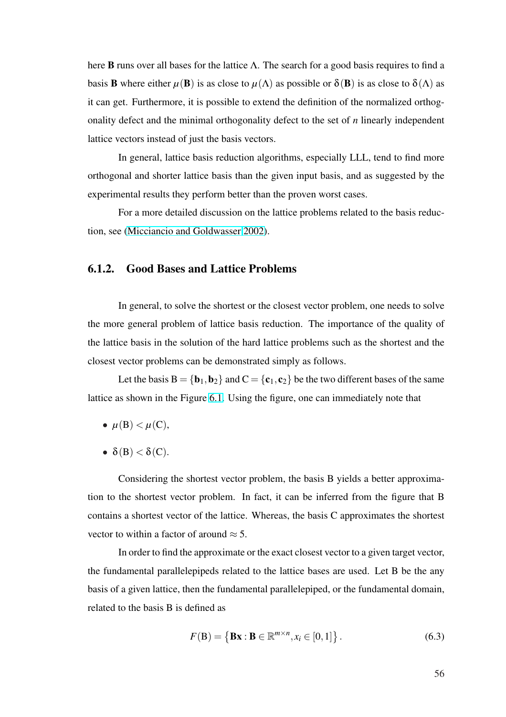here **B** runs over all bases for the lattice  $\Lambda$ . The search for a good basis requires to find a basis **B** where either  $\mu$ (**B**) is as close to  $\mu$ ( $\Lambda$ ) as possible or  $\delta$ (**B**) is as close to  $\delta(\Lambda)$  as it can get. Furthermore, it is possible to extend the definition of the normalized orthogonality defect and the minimal orthogonality defect to the set of *n* linearly independent lattice vectors instead of just the basis vectors.

In general, lattice basis reduction algorithms, especially LLL, tend to find more orthogonal and shorter lattice basis than the given input basis, and as suggested by the experimental results they perform better than the proven worst cases.

For a more detailed discussion on the lattice problems related to the basis reduction, see (Micciancio and Goldwasser 2002).

## 6.1.2. [Good Bases and Lattice Pro](#page-98-0)blems

In general, to solve the shortest or the closest vector problem, one needs to solve the more general problem of lattice basis reduction. The importance of the quality of the lattice basis in the solution of the hard lattice problems such as the shortest and the closest vector problems can be demonstrated simply as follows.

Let the basis  $B = \{b_1, b_2\}$  and  $C = \{c_1, c_2\}$  be the two different bases of the same lattice as shown in the Figure 6.1. Using the figure, one can immediately note that

- $\mu(B) < \mu(C)$ ,
- $\delta(B) < \delta(C)$ .

Considering the shortest vector problem, the basis B yields a better approximation to the shortest vector problem. In fact, it can be inferred from the figure that B contains a shortest vector of the lattice. Whereas, the basis C approximates the shortest vector to within a factor of around  $\approx$  5.

In order to find the approximate or the exact closest vector to a given target vector, the fundamental parallelepipeds related to the lattice bases are used. Let B be the any basis of a given lattice, then the fundamental parallelepiped, or the fundamental domain, related to the basis B is defined as

$$
F(B) = \{ Bx : B \in \mathbb{R}^{m \times n}, x_i \in [0, 1] \}.
$$
 (6.3)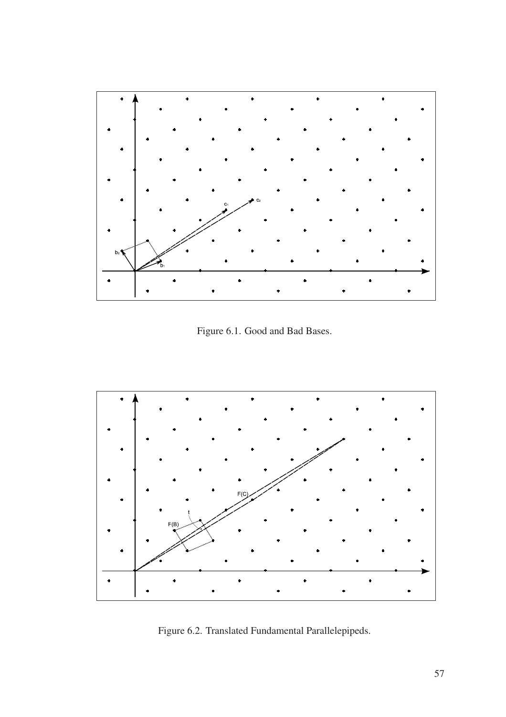<span id="page-67-0"></span>

Figure 6.1. Good and Bad Bases.



Figure 6.2. Translated Fundamental Parallelepipeds.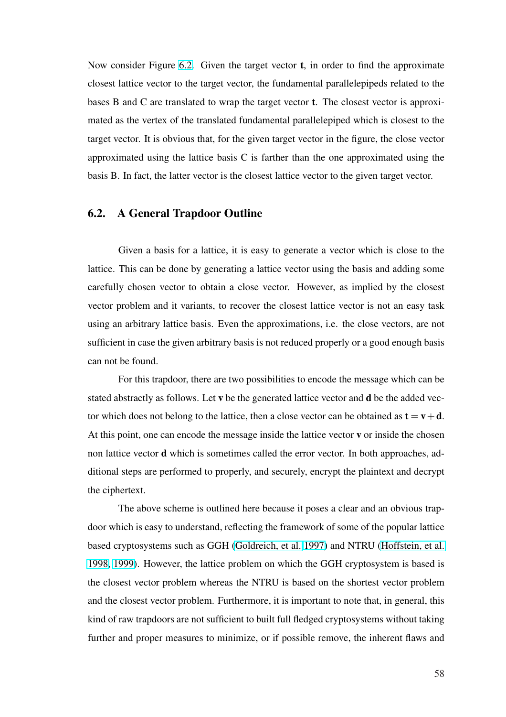Now consider Figure 6.2. Given the target vector  $t$ , in order to find the approximate closest lattice vector to the target vector, the fundamental parallelepipeds related to the bases B and C are tra[nslat](#page-67-0)ed to wrap the target vector t. The closest vector is approximated as the vertex of the translated fundamental parallelepiped which is closest to the target vector. It is obvious that, for the given target vector in the figure, the close vector approximated using the lattice basis C is farther than the one approximated using the basis B. In fact, the latter vector is the closest lattice vector to the given target vector.

# 6.2. A General Trapdoor Outline

Given a basis for a lattice, it is easy to generate a vector which is close to the lattice. This can be done by generating a lattice vector using the basis and adding some carefully chosen vector to obtain a close vector. However, as implied by the closest vector problem and it variants, to recover the closest lattice vector is not an easy task using an arbitrary lattice basis. Even the approximations, i.e. the close vectors, are not sufficient in case the given arbitrary basis is not reduced properly or a good enough basis can not be found.

For this trapdoor, there are two possibilities to encode the message which can be stated abstractly as follows. Let v be the generated lattice vector and d be the added vector which does not belong to the lattice, then a close vector can be obtained as  $t = v+d$ . At this point, one can encode the message inside the lattice vector v or inside the chosen non lattice vector d which is sometimes called the error vector. In both approaches, additional steps are performed to properly, and securely, encrypt the plaintext and decrypt the ciphertext.

The above scheme is outlined here because it poses a clear and an obvious trapdoor which is easy to understand, reflecting the framework of some of the popular lattice based cryptosystems such as GGH (Goldreich, et al. 1997) and NTRU (Hoffstein, et al. 1998, 1999). However, the lattice problem on which the GGH cryptosystem is based is the closest vector problem whereas [the NTRU is based on](#page-93-0) the shortest [vector problem](#page-95-0) [and the clos](#page-95-0)est vector problem. Furthermore, it is important to note that, in general, this kind of raw trapdoors are not sufficient to built full fledged cryptosystems without taking further and proper measures to minimize, or if possible remove, the inherent flaws and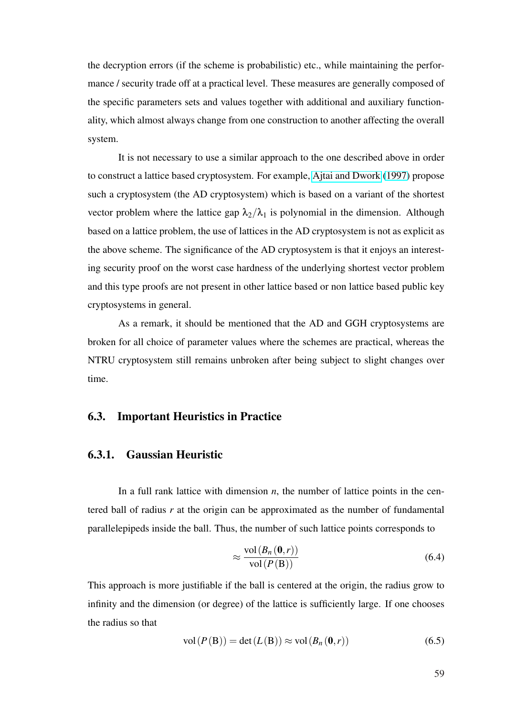the decryption errors (if the scheme is probabilistic) etc., while maintaining the performance / security trade off at a practical level. These measures are generally composed of the specific parameters sets and values together with additional and auxiliary functionality, which almost always change from one construction to another affecting the overall system.

It is not necessary to use a similar approach to the one described above in order to construct a lattice based cryptosystem. For example, Ajtai and Dwork (1997) propose such a cryptosystem (the AD cryptosystem) which is based on a variant of the shortest vector problem where the lattice gap  $\lambda_2/\lambda_1$  is polyno[mial in the dimension. A](#page-89-0)lthough based on a lattice problem, the use of lattices in the AD cryptosystem is not as explicit as the above scheme. The significance of the AD cryptosystem is that it enjoys an interesting security proof on the worst case hardness of the underlying shortest vector problem and this type proofs are not present in other lattice based or non lattice based public key cryptosystems in general.

As a remark, it should be mentioned that the AD and GGH cryptosystems are broken for all choice of parameter values where the schemes are practical, whereas the NTRU cryptosystem still remains unbroken after being subject to slight changes over time.

#### 6.3. Important Heuristics in Practice

## 6.3.1. Gaussian Heuristic

In a full rank lattice with dimension *n*, the number of lattice points in the centered ball of radius *r* at the origin can be approximated as the number of fundamental parallelepipeds inside the ball. Thus, the number of such lattice points corresponds to

$$
\approx \frac{\text{vol}(B_n(0,r))}{\text{vol}(P(\text{B}))} \tag{6.4}
$$

This approach is more justifiable if the ball is centered at the origin, the radius grow to infinity and the dimension (or degree) of the lattice is sufficiently large. If one chooses the radius so that

$$
vol(P(B)) = det(L(B)) \approx vol(B_n(0,r))
$$
\n(6.5)

59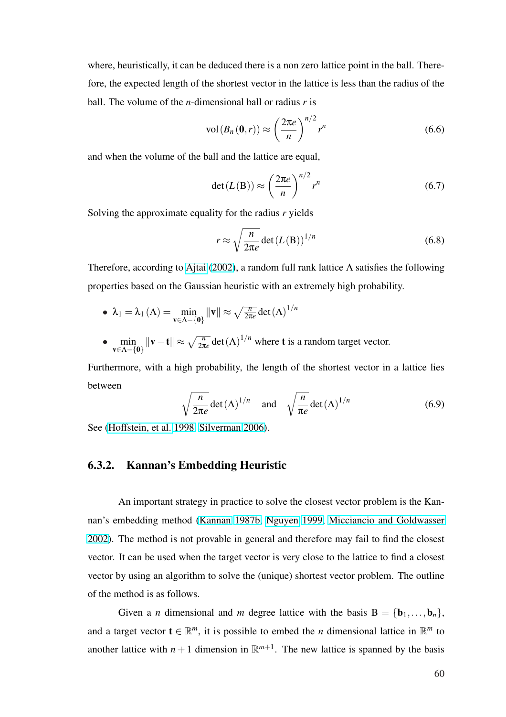where, heuristically, it can be deduced there is a non zero lattice point in the ball. Therefore, the expected length of the shortest vector in the lattice is less than the radius of the ball. The volume of the *n*-dimensional ball or radius *r* is

$$
\text{vol}\left(B_n\left(\mathbf{0},r\right)\right) \approx \left(\frac{2\pi e}{n}\right)^{n/2} r^n \tag{6.6}
$$

and when the volume of the ball and the lattice are equal,

$$
\det(L(\mathbf{B})) \approx \left(\frac{2\pi e}{n}\right)^{n/2} r^n \tag{6.7}
$$

Solving the approximate equality for the radius *r* yields

$$
r \approx \sqrt{\frac{n}{2\pi e}} \det(L(\mathbf{B}))^{1/n}
$$
 (6.8)

Therefore, according to Ajtai (2002), a random full rank lattice  $\Lambda$  satisfies the following properties based on the Gaussian heuristic with an extremely high probability.

• 
$$
\lambda_1 = \lambda_1(\Lambda) = \min_{\mathbf{v} \in \Lambda - \{\mathbf{0}\}} ||\mathbf{v}|| \approx \sqrt{\frac{n}{2\pi e}} \det(\Lambda)^{1/n}
$$

• min v∈Λ−{0}  $\|\mathbf{v}-\mathbf{t}\| \approx \sqrt{\frac{n}{2\pi}}$  $\frac{n}{2\pi e}$  det  $(\Lambda)^{1/n}$  where **t** is a random target vector.

Furthermore, with a high probability, the length of the shortest vector in a lattice lies between r

$$
\sqrt{\frac{n}{2\pi e}} \det(\Lambda)^{1/n}
$$
 and  $\sqrt{\frac{n}{\pi e}} \det(\Lambda)^{1/n}$  (6.9)

See (Hoffstein, et al. 1998, Silverman 2006).

## 6.3.[2. Kannan's Em](#page-95-0)[bedding Heur](#page-101-0)istic

An important strategy in practice to solve the closest vector problem is the Kannan's embedding method (Kannan 1987b, Nguyen 1999, Micciancio and Goldwasser 2002). The method is not provable in general and therefore may fail to find the closest vector. It can be used whe[n the target vect](#page-95-0)[or is very close](#page-98-0) [to the lattice to find a closest](#page-98-0) [vecto](#page-98-0)r by using an algorithm to solve the (unique) shortest vector problem. The outline of the method is as follows.

Given a *n* dimensional and *m* degree lattice with the basis  $B = \{b_1, \ldots, b_n\}$ , and a target vector  $\mathbf{t} \in \mathbb{R}^m$ , it is possible to embed the *n* dimensional lattice in  $\mathbb{R}^m$  to another lattice with  $n+1$  dimension in  $\mathbb{R}^{m+1}$ . The new lattice is spanned by the basis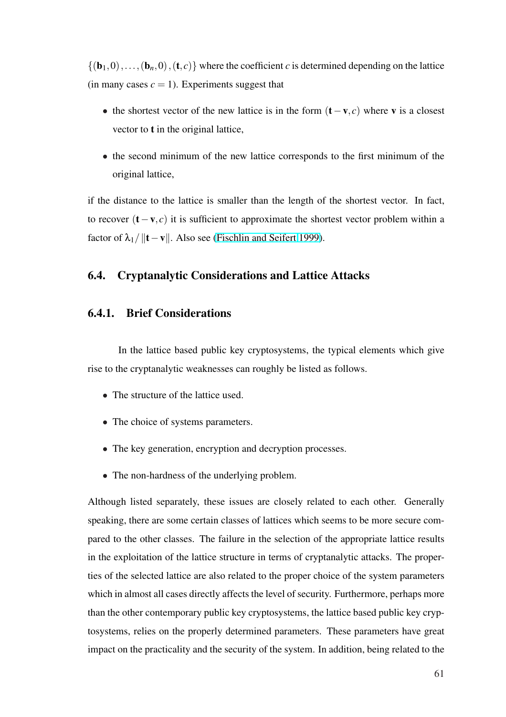$\{(b_1,0),\ldots,(b_n,0),(t,c)\}\$  where the coefficient *c* is determined depending on the lattice (in many cases  $c = 1$ ). Experiments suggest that

- the shortest vector of the new lattice is in the form  $(t v, c)$  where v is a closest vector to t in the original lattice,
- the second minimum of the new lattice corresponds to the first minimum of the original lattice,

if the distance to the lattice is smaller than the length of the shortest vector. In fact, to recover (t−v, *c*) it is sufficient to approximate the shortest vector problem within a factor of  $\lambda_1/||\mathbf{t}-\mathbf{v}||$ . Also see (Fischlin and Seifert 1999).

## 6.4. Cryptanalytic Con[siderations and Lattic](#page-92-0)e Attacks

#### 6.4.1. Brief Considerations

In the lattice based public key cryptosystems, the typical elements which give rise to the cryptanalytic weaknesses can roughly be listed as follows.

- The structure of the lattice used.
- The choice of systems parameters.
- The key generation, encryption and decryption processes.
- The non-hardness of the underlying problem.

Although listed separately, these issues are closely related to each other. Generally speaking, there are some certain classes of lattices which seems to be more secure compared to the other classes. The failure in the selection of the appropriate lattice results in the exploitation of the lattice structure in terms of cryptanalytic attacks. The properties of the selected lattice are also related to the proper choice of the system parameters which in almost all cases directly affects the level of security. Furthermore, perhaps more than the other contemporary public key cryptosystems, the lattice based public key cryptosystems, relies on the properly determined parameters. These parameters have great impact on the practicality and the security of the system. In addition, being related to the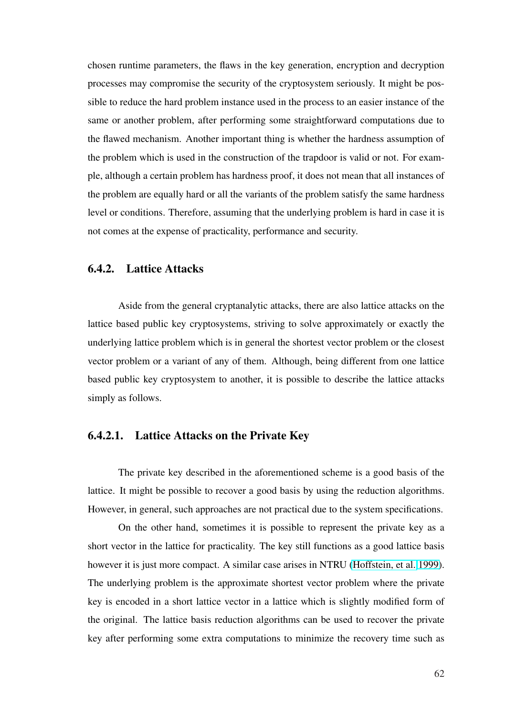chosen runtime parameters, the flaws in the key generation, encryption and decryption processes may compromise the security of the cryptosystem seriously. It might be possible to reduce the hard problem instance used in the process to an easier instance of the same or another problem, after performing some straightforward computations due to the flawed mechanism. Another important thing is whether the hardness assumption of the problem which is used in the construction of the trapdoor is valid or not. For example, although a certain problem has hardness proof, it does not mean that all instances of the problem are equally hard or all the variants of the problem satisfy the same hardness level or conditions. Therefore, assuming that the underlying problem is hard in case it is not comes at the expense of practicality, performance and security.

## 6.4.2. Lattice Attacks

Aside from the general cryptanalytic attacks, there are also lattice attacks on the lattice based public key cryptosystems, striving to solve approximately or exactly the underlying lattice problem which is in general the shortest vector problem or the closest vector problem or a variant of any of them. Although, being different from one lattice based public key cryptosystem to another, it is possible to describe the lattice attacks simply as follows.

#### 6.4.2.1. Lattice Attacks on the Private Key

The private key described in the aforementioned scheme is a good basis of the lattice. It might be possible to recover a good basis by using the reduction algorithms. However, in general, such approaches are not practical due to the system specifications.

On the other hand, sometimes it is possible to represent the private key as a short vector in the lattice for practicality. The key still functions as a good lattice basis however it is just more compact. A similar case arises in NTRU (Hoffstein, et al. 1999). The underlying problem is the approximate shortest vector problem where the private key is encoded in a short lattice vector in a lattice which is sli[ghtly modified form o](#page-95-0)f the original. The lattice basis reduction algorithms can be used to recover the private key after performing some extra computations to minimize the recovery time such as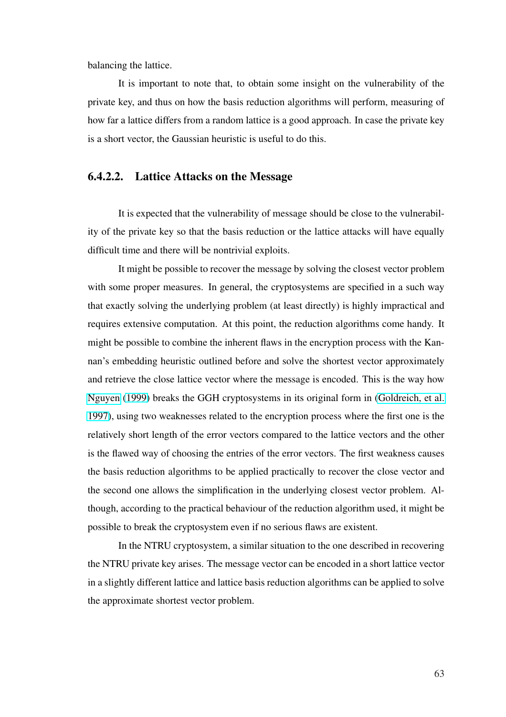balancing the lattice.

It is important to note that, to obtain some insight on the vulnerability of the private key, and thus on how the basis reduction algorithms will perform, measuring of how far a lattice differs from a random lattice is a good approach. In case the private key is a short vector, the Gaussian heuristic is useful to do this.

#### 6.4.2.2. Lattice Attacks on the Message

It is expected that the vulnerability of message should be close to the vulnerability of the private key so that the basis reduction or the lattice attacks will have equally difficult time and there will be nontrivial exploits.

It might be possible to recover the message by solving the closest vector problem with some proper measures. In general, the cryptosystems are specified in a such way that exactly solving the underlying problem (at least directly) is highly impractical and requires extensive computation. At this point, the reduction algorithms come handy. It might be possible to combine the inherent flaws in the encryption process with the Kannan's embedding heuristic outlined before and solve the shortest vector approximately and retrieve the close lattice vector where the message is encoded. This is the way how Nguyen (1999) breaks the GGH cryptosystems in its original form in (Goldreich, et al. 1997), using two weaknesses related to the encryption process where the first one is the [relatively short](#page-98-0) length of the error vectors compared to the lattice vect[ors and the other](#page-93-0) [is the](#page-93-0) flawed way of choosing the entries of the error vectors. The first weakness causes the basis reduction algorithms to be applied practically to recover the close vector and the second one allows the simplification in the underlying closest vector problem. Although, according to the practical behaviour of the reduction algorithm used, it might be possible to break the cryptosystem even if no serious flaws are existent.

In the NTRU cryptosystem, a similar situation to the one described in recovering the NTRU private key arises. The message vector can be encoded in a short lattice vector in a slightly different lattice and lattice basis reduction algorithms can be applied to solve the approximate shortest vector problem.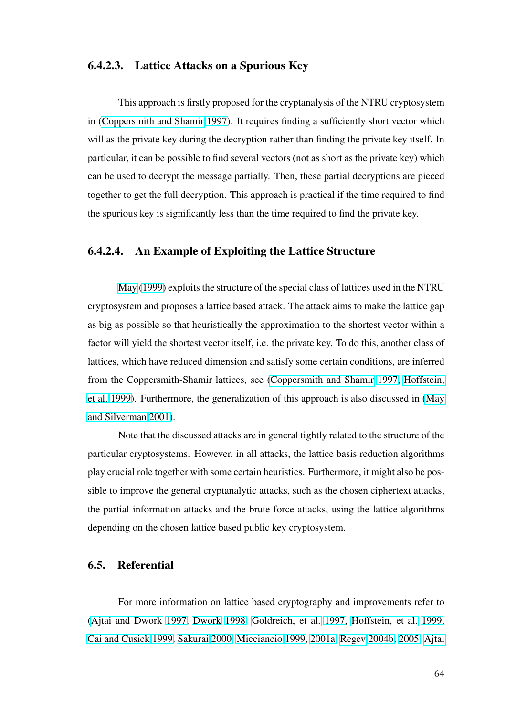### 6.4.2.3. Lattice Attacks on a Spurious Key

This approach is firstly proposed for the cryptanalysis of the NTRU cryptosystem in (Coppersmith and Shamir 1997). It requires finding a sufficiently short vector which will as the private key during the decryption rather than finding the private key itself. In par[ticular, it can be possible to find](#page-92-0) several vectors (not as short as the private key) which can be used to decrypt the message partially. Then, these partial decryptions are pieced together to get the full decryption. This approach is practical if the time required to find the spurious key is significantly less than the time required to find the private key.

### 6.4.2.4. An Example of Exploiting the Lattice Structure

May (1999) exploits the structure of the special class of lattices used in the NTRU cryptosystem and proposes a lattice based attack. The attack aims to make the lattice gap as big [as possible s](#page-97-0)o that heuristically the approximation to the shortest vector within a factor will yield the shortest vector itself, i.e. the private key. To do this, another class of lattices, which have reduced dimension and satisfy some certain conditions, are inferred from the Coppersmith-Shamir lattices, see (Coppersmith and Shamir 1997, Hoffstein, et al. 1999). Furthermore, the generalization of this approach is also discussed in (May and Silverman 2001).

[Not](#page-95-0)e that the discussed attacks are in general tightly related to the structure [of the](#page-97-0) [particular cryptosyst](#page-97-0)ems. However, in all attacks, the lattice basis reduction algorithms play crucial role together with some certain heuristics. Furthermore, it might also be possible to improve the general cryptanalytic attacks, such as the chosen ciphertext attacks, the partial information attacks and the brute force attacks, using the lattice algorithms depending on the chosen lattice based public key cryptosystem.

#### 6.5. Referential

For more information on lattice based cryptography and improvements refer to (Ajtai and Dwork 1997, Dwork 1998, Goldreich, et al. 1997, Hoffstein, et al. 1999, Cai and Cusick 1999, Sakurai 2000, Micciancio 1999, 2001a, Regev 2004b, 2005, Ajtai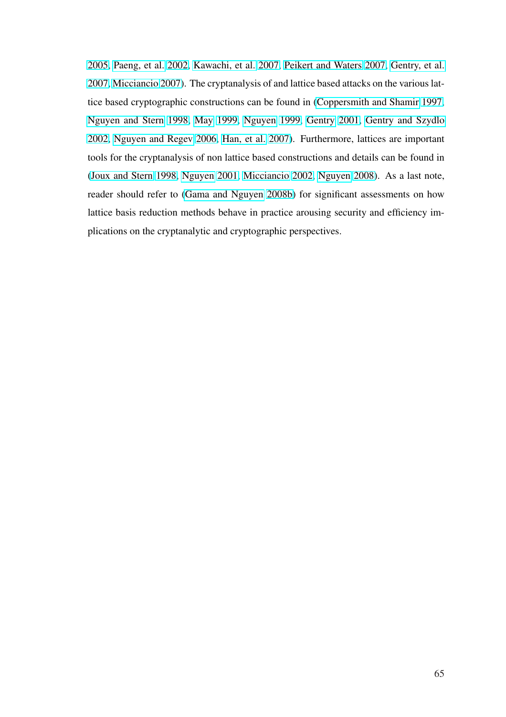2005, Paeng, et al. 2002, Kawachi, et al. 2007, Peikert and Waters 2007, Gentry, et al. 2007, Micciancio 2007). The cryptanalysis of and lattice based attacks on the various lat[tice b](#page-89-0)[ased cryptographic](#page-99-0) [constructions can be f](#page-96-0)[ound in \(Coppersmith and](#page-99-0) [Shamir](#page-93-0) 1997, [Nguy](#page-93-0)[en and Stern](#page-98-0) [199](#page-98-0)8, May 1999, Nguyen 1999, Gentry 2001, Gentry and Szydlo 2002, Nguyen and Regev 2006, Han, et al. 2007). Fur[thermore, lattices are important](#page-92-0) [tools for the cryptanalysi](#page-98-0)s [of non latti](#page-97-0)[ce based](#page-98-0) [constr](#page-98-0)[uctions and de](#page-93-0)t[ails can be found in](#page-93-0) [\(Joux](#page-93-0) [and Stern](#page-98-0) 1998, Ng[uyen](#page-98-0) 2001, [Micciancio](#page-94-0) 2002, Nguyen 2008). As a last note, reader should refer to (Gama and Nguyen 2008b) for significant assessments on how [lattice basis reduction](#page-95-0) [methods behav](#page-98-0)[e in practice arou](#page-97-0)[sing security an](#page-98-0)d efficiency implications on the crypta[nalytic and cryptographic p](#page-93-0)erspectives.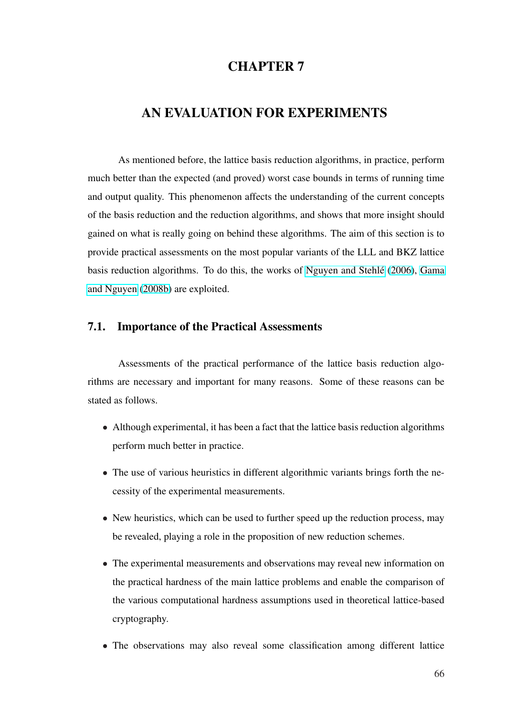## CHAPTER 7

# AN EVALUATION FOR EXPERIMENTS

As mentioned before, the lattice basis reduction algorithms, in practice, perform much better than the expected (and proved) worst case bounds in terms of running time and output quality. This phenomenon affects the understanding of the current concepts of the basis reduction and the reduction algorithms, and shows that more insight should gained on what is really going on behind these algorithms. The aim of this section is to provide practical assessments on the most popular variants of the LLL and BKZ lattice basis reduction algorithms. To do this, the works of Nguyen and Stehlé (2006), Gama and Nguyen (2008b) are exploited.

#### [7.1. Importanc](#page-93-0)e of the Practical Assessments

Assessments of the practical performance of the lattice basis reduction algorithms are necessary and important for many reasons. Some of these reasons can be stated as follows.

- Although experimental, it has been a fact that the lattice basis reduction algorithms perform much better in practice.
- The use of various heuristics in different algorithmic variants brings forth the necessity of the experimental measurements.
- New heuristics, which can be used to further speed up the reduction process, may be revealed, playing a role in the proposition of new reduction schemes.
- The experimental measurements and observations may reveal new information on the practical hardness of the main lattice problems and enable the comparison of the various computational hardness assumptions used in theoretical lattice-based cryptography.
- The observations may also reveal some classification among different lattice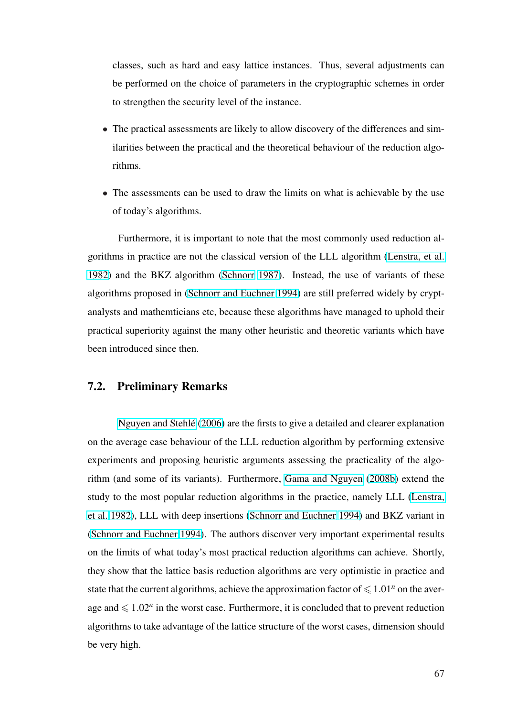classes, such as hard and easy lattice instances. Thus, several adjustments can be performed on the choice of parameters in the cryptographic schemes in order to strengthen the security level of the instance.

- The practical assessments are likely to allow discovery of the differences and similarities between the practical and the theoretical behaviour of the reduction algorithms.
- The assessments can be used to draw the limits on what is achievable by the use of today's algorithms.

Furthermore, it is important to note that the most commonly used reduction algorithms in practice are not the classical version of the LLL algorithm (Lenstra, et al. 1982) and the BKZ algorithm (Schnorr 1987). Instead, the use of variants of these algorithms proposed in (Schnorr and Euchner 1994) are still preferred w[idely by crypt](#page-97-0)[analy](#page-97-0)sts and mathemticians etc, [because these a](#page-100-0)lgorithms have managed to uphold their practical superiority aga[inst the many other heuristi](#page-101-0)c and theoretic variants which have been introduced since then.

#### 7.2. Preliminary Remarks

Nguyen and Stehle´ (2006) are the firsts to give a detailed and clearer explanation on the average case behaviour of the LLL reduction algorithm by performing extensive experi[ments and proposing heuri](#page-98-0)stic arguments assessing the practicality of the algorithm (and some of its variants). Furthermore, Gama and Nguyen (2008b) extend the study to the most popular reduction algorithms in the practice, namely LLL (Lenstra, et al. 1982), LLL with deep insertions (Schnorr [and Euchner](#page-93-0) 1994) [and BK](#page-93-0)Z variant in (Schnorr and Euchner 1994). The authors discover very important experiment[al results](#page-97-0) [on the limi](#page-97-0)ts of what today's most pra[ctical reduction algorithms c](#page-101-0)an achieve. Shortly, [they show that the lattice ba](#page-101-0)sis reduction algorithms are very optimistic in practice and state that the current algorithms, achieve the approximation factor of  $\leq 1.01<sup>n</sup>$  on the average and  $\leq 1.02^n$  in the worst case. Furthermore, it is concluded that to prevent reduction algorithms to take advantage of the lattice structure of the worst cases, dimension should be very high.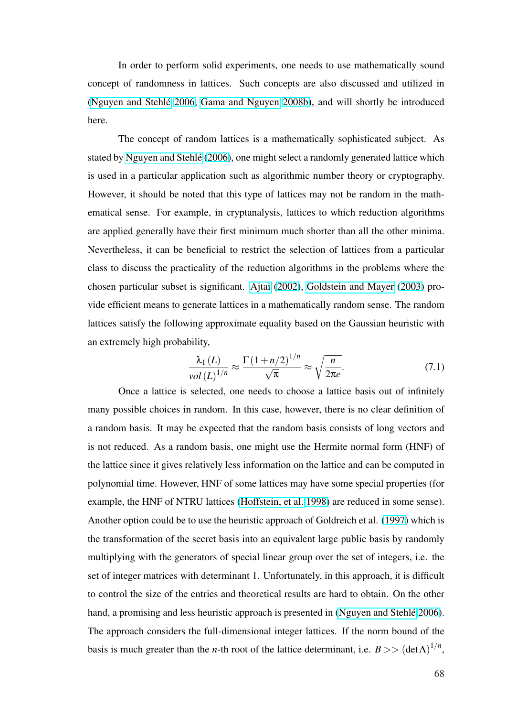In order to perform solid experiments, one needs to use mathematically sound concept of randomness in lattices. Such concepts are also discussed and utilized in (Nguyen and Stehle´ 2006, Gama and Nguyen 2008b), and will shortly be introduced here.

[The concept of ran](#page-98-0)[dom lattices is a mathemat](#page-93-0)ically sophisticated subject. As stated by Nguyen and Stehlé (2006), one might select a randomly generated lattice which is used in a particular application such as algorithmic number theory or cryptography. However[, it should be noted that t](#page-98-0)his type of lattices may not be random in the mathematical sense. For example, in cryptanalysis, lattices to which reduction algorithms are applied generally have their first minimum much shorter than all the other minima. Nevertheless, it can be beneficial to restrict the selection of lattices from a particular class to discuss the practicality of the reduction algorithms in the problems where the chosen particular subset is significant. Ajtai (2002), Goldstein and Mayer (2003) provide efficient means to generate lattices in a mathematically random sense. The random lattices satisfy the following approxim[ate equality b](#page-89-0)a[sed on the Gaussian heuristic](#page-94-0) with an extremely high probability,

$$
\frac{\lambda_1(L)}{\text{vol}\left(L\right)^{1/n}} \approx \frac{\Gamma\left(1 + n/2\right)^{1/n}}{\sqrt{\pi}} \approx \sqrt{\frac{n}{2\pi e}}.\tag{7.1}
$$

Once a lattice is selected, one needs to choose a lattice basis out of infinitely many possible choices in random. In this case, however, there is no clear definition of a random basis. It may be expected that the random basis consists of long vectors and is not reduced. As a random basis, one might use the Hermite normal form (HNF) of the lattice since it gives relatively less information on the lattice and can be computed in polynomial time. However, HNF of some lattices may have some special properties (for example, the HNF of NTRU lattices (Hoffstein, et al. 1998) are reduced in some sense). Another option could be to use the heuristic approach of Goldreich et al. (1997) which is the transformation of the secret basis [into an equivalent lar](#page-95-0)ge public basis by randomly multiplying with the generators of special linear group over the set of i[ntegers](#page-93-0), i.e. the set of integer matrices with determinant 1. Unfortunately, in this approach, it is difficult to control the size of the entries and theoretical results are hard to obtain. On the other hand, a promising and less heuristic approach is presented in (Nguyen and Stehle<sup> $2006$ )</sup>. The approach considers the full-dimensional integer lattices. If the norm bound of the basis is much greater than the *n*-th root of the lattice determi[nant, i.e.](#page-98-0)  $B \gg (\det \Lambda)^{1/n}$ ,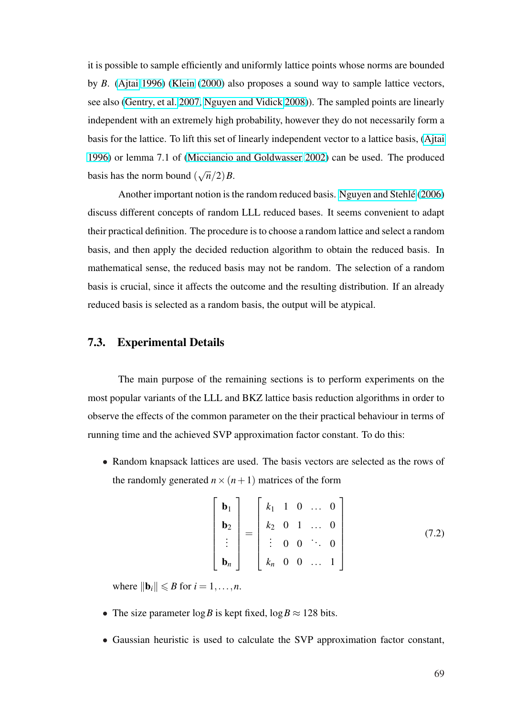it is possible to sample efficiently and uniformly lattice points whose norms are bounded by *B*. (Ajtai 1996) (Klein (2000) also proposes a sound way to sample lattice vectors, see also (Gentry, et al. 2007, Nguyen and Vidick 2008)). The sampled points are linearly indepe[ndent](#page-89-0) [with a](#page-89-0)n [extremely hi](#page-96-0)gh probability, however they do not necessarily form a basis for [the lattice. To lift t](#page-93-0)[his set of linearly independ](#page-98-0)ent vector to a lattice basis, (Ajtai 1996) or lemma 7.1 of (Micciancio and Goldwasser 2002) can be used. The produced basis has the norm bound ( √  $\overline{n}/2$  $B$ .

Another importa[nt notion is the random reduced bas](#page-98-0)is. Nguyen and Stehlé (2006) discuss different concepts of random LLL reduced bases. It seems convenient to adapt their practical definition. The procedure is to choose a random [lattice and select a random](#page-98-0) basis, and then apply the decided reduction algorithm to obtain the reduced basis. In mathematical sense, the reduced basis may not be random. The selection of a random basis is crucial, since it affects the outcome and the resulting distribution. If an already reduced basis is selected as a random basis, the output will be atypical.

#### 7.3. Experimental Details

The main purpose of the remaining sections is to perform experiments on the most popular variants of the LLL and BKZ lattice basis reduction algorithms in order to observe the effects of the common parameter on the their practical behaviour in terms of running time and the achieved SVP approximation factor constant. To do this:

• Random knapsack lattices are used. The basis vectors are selected as the rows of the randomly generated  $n \times (n+1)$  matrices of the form

$$
\begin{bmatrix}\n\mathbf{b}_1 \\
\mathbf{b}_2 \\
\vdots \\
\mathbf{b}_n\n\end{bmatrix} = \begin{bmatrix}\nk_1 & 1 & 0 & \dots & 0 \\
k_2 & 0 & 1 & \dots & 0 \\
\vdots & 0 & 0 & \ddots & 0 \\
k_n & 0 & 0 & \dots & 1\n\end{bmatrix}
$$
\n(7.2)

where  $\|\mathbf{b}_i\| \le B$  for  $i = 1, \ldots, n$ .

- The size parameter  $\log B$  is kept fixed,  $\log B \approx 128$  bits.
- Gaussian heuristic is used to calculate the SVP approximation factor constant,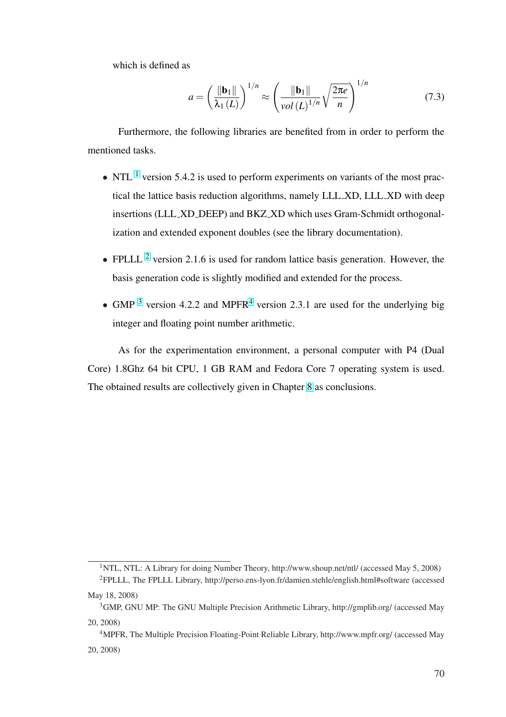which is defined as

$$
a = \left(\frac{\|\mathbf{b}_1\|}{\lambda_1(L)}\right)^{1/n} \approx \left(\frac{\|\mathbf{b}_1\|}{\operatorname{vol}(L)^{1/n}} \sqrt{\frac{2\pi e}{n}}\right)^{1/n} \tag{7.3}
$$

Furthermore, the following libraries are benefited from in order to perform the mentioned tasks.

- NTL  $<sup>1</sup>$  version 5.4.2 is used to perform experiments on variants of the most prac-</sup> tical the lattice basis reduction algorithms, namely LLL XD, LLL XD with deep insertions (LLL XD DEEP) and BKZ XD which uses Gram-Schmidt orthogonalization and extended exponent doubles (see the library documentation).
- FPLLL  $^2$  version 2.1.6 is used for random lattice basis generation. However, the basis generation code is slightly modified and extended for the process.
- GMP <sup>3</sup> version 4.2.2 and MPFR<sup>4</sup> version 2.3.1 are used for the underlying big integer and floating point number arithmetic.

As for the experimentation environment, a personal computer with P4 (Dual Core) 1.8Ghz 64 bit CPU, 1 GB RAM and Fedora Core 7 operating system is used. The obtained results are collectively given in Chapter 8 as conclusions.

<sup>1</sup>NTL, NTL: A Library for doing Number Theory, http://www.shoup.net/ntl/ (accessed May 5, 2008) <sup>2</sup>FPLLL, The FPLLL Library, http://perso.ens-lyon.fr/damien.stehle/english.html#software (accessed

May 18, 2008)

<sup>3</sup>GMP, GNU MP: The GNU Multiple Precision Arithmetic Library, http://gmplib.org/ (accessed May 20, 2008)

<sup>4</sup>MPFR, The Multiple Precision Floating-Point Reliable Library, http://www.mpfr.org/ (accessed May 20, 2008)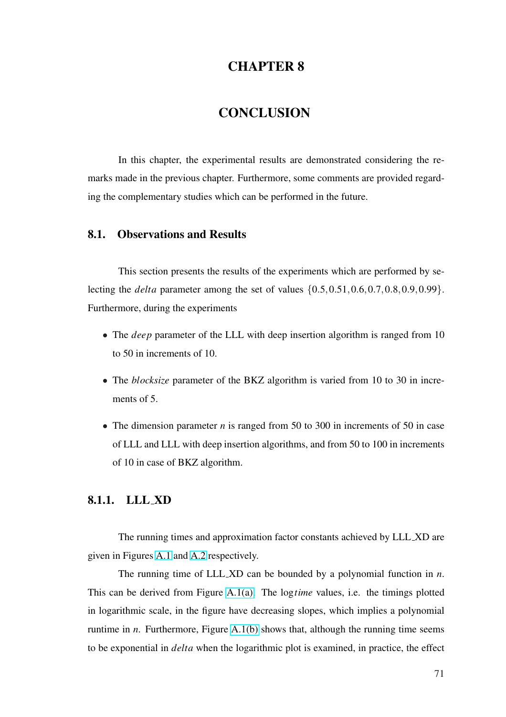## CHAPTER 8

# **CONCLUSION**

In this chapter, the experimental results are demonstrated considering the remarks made in the previous chapter. Furthermore, some comments are provided regarding the complementary studies which can be performed in the future.

#### 8.1. Observations and Results

This section presents the results of the experiments which are performed by selecting the *delta* parameter among the set of values {0.5,0.51,0.6,0.7,0.8,0.9,0.99}. Furthermore, during the experiments

- The *deep* parameter of the LLL with deep insertion algorithm is ranged from 10 to 50 in increments of 10.
- The *blocksize* parameter of the BKZ algorithm is varied from 10 to 30 in increments of 5.
- The dimension parameter *n* is ranged from 50 to 300 in increments of 50 in case of LLL and LLL with deep insertion algorithms, and from 50 to 100 in increments of 10 in case of BKZ algorithm.

#### 8.1.1. LLL XD

The running times and approximation factor constants achieved by LLL XD are given in Figures A.1 and A.2 respectively.

The running time of LLL XD can be bounded by a polynomial function in *n*. This can be der[ived](#page-102-0) fro[m Fig](#page-103-0)ure A.1(a). The log*time* values, i.e. the timings plotted in logarithmic scale, in the figure have decreasing slopes, which implies a polynomial runtime in *n*. Furthermore, Figure [A.1\(b](#page-127-0)) shows that, although the running time seems to be exponential in *delta* when the logarithmic plot is examined, in practice, the effect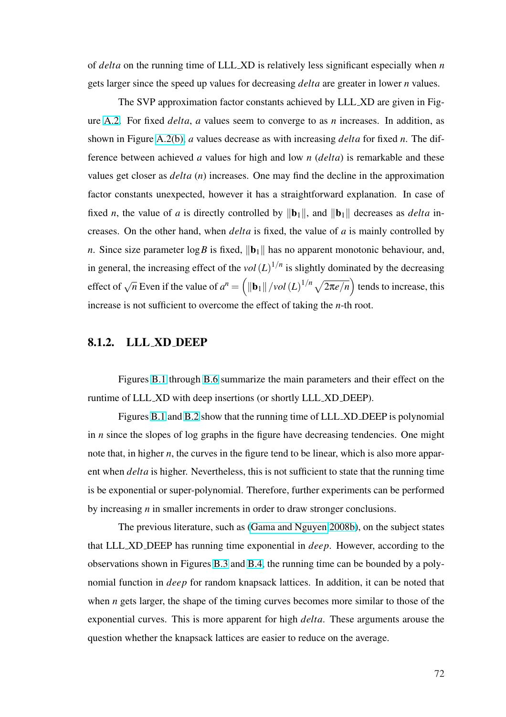of *delta* on the running time of LLL XD is relatively less significant especially when *n* gets larger since the speed up values for decreasing *delta* are greater in lower *n* values.

The SVP approximation factor constants achieved by LLL XD are given in Figure A.2. For fixed *delta*, *a* values seem to converge to as *n* increases. In addition, as shown in Figure A.2(b), *a* values decrease as with increasing *delta* for fixed *n*. The differ[ence](#page-103-0) between achieved *a* values for high and low *n* (*delta*) is remarkable and these values get closer as *[delt](#page-107-0)a* (*n*) increases. One may find the decline in the approximation factor constants unexpected, however it has a straightforward explanation. In case of fixed *n*, the value of *a* is directly controlled by  $\|\mathbf{b}_1\|$ , and  $\|\mathbf{b}_1\|$  decreases as *delta* increases. On the other hand, when *delta* is fixed, the value of *a* is mainly controlled by *n*. Since size parameter  $\log B$  is fixed,  $\|\mathbf{b}_1\|$  has no apparent monotonic behaviour, and, in general, the increasing effect of the  $vol(L)^{1/n}$  is slightly dominated by the decreasing effect of  $\sqrt{n}$  Even if the value of  $a^n =$  $\frac{1}{2}$  $\|\mathbf{b}_1\|$  /*vol*  $(L)^{1/n} \sqrt{2\pi e/n}$ ...<br>` tends to increase, this increase is not sufficient to overcome the effect of taking the *n*-th root.

#### 8.1.2. LLL XD DEEP

Figures B.1 through B.6 summarize the main parameters and their effect on the runtime of LLL XD with deep insertions (or shortly LLL XD DEEP).

Figures [B.1](#page-104-0) and B.2 [show](#page-109-0) that the running time of LLL XD DEEP is polynomial in *n* since the slopes of log graphs in the figure have decreasing tendencies. One might note that, in hi[gher](#page-104-0) *n*, t[he cu](#page-105-0)rves in the figure tend to be linear, which is also more apparent when *delta* is higher. Nevertheless, this is not sufficient to state that the running time is be exponential or super-polynomial. Therefore, further experiments can be performed by increasing *n* in smaller increments in order to draw stronger conclusions.

The previous literature, such as (Gama and Nguyen 2008b), on the subject states that LLL XD DEEP has running time exponential in *deep*. However, according to the observations shown in Figures B.3 and [B.4, the running time can b](#page-93-0)e bounded by a polynomial function in *deep* for random knapsack lattices. In addition, it can be noted that when *n* gets larger, the shape [of the](#page-106-0) ti[ming](#page-107-0) curves becomes more similar to those of the exponential curves. This is more apparent for high *delta*. These arguments arouse the question whether the knapsack lattices are easier to reduce on the average.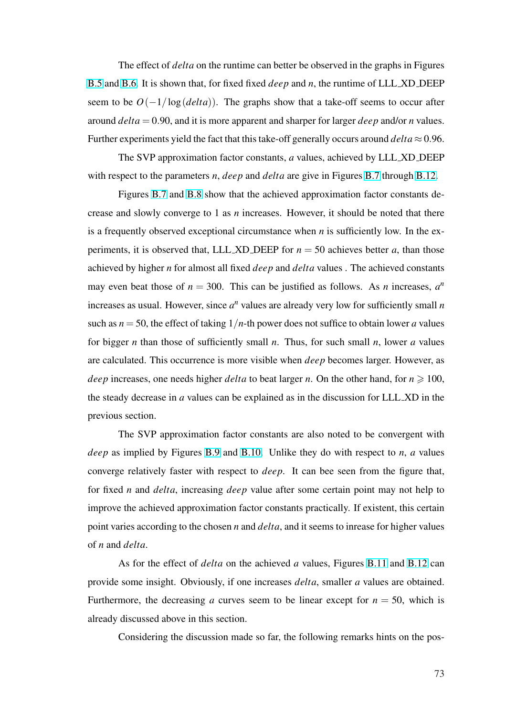The effect of *delta* on the runtime can better be observed in the graphs in Figures B.5 and B.6. It is shown that, for fixed fixed *deep* and *n*, the runtime of LLL XD DEEP seem to be  $O(-1/\log(delta))$ . The graphs show that a take-off seems to occur after [arou](#page-108-0)nd *[delta](#page-109-0)* = 0.90, and it is more apparent and sharper for larger *deep* and/or *n* values. Further experiments yield the fact that this take-off generally occurs around  $delta \approx 0.96$ .

The SVP approximation factor constants, *a* values, achieved by LLL XD DEEP with respect to the parameters *n*, *deep* and *delta* are give in Figures B.7 through B.12.

Figures B.7 and B.8 show that the achieved approximation factor constants decrease and slowly converge to 1 as *n* increases. However, it shoul[d be](#page-110-0) noted th[at the](#page-115-0)re is a frequently [obse](#page-110-0)rved [exce](#page-111-0)ptional circumstance when *n* is sufficiently low. In the experiments, it is observed that, LLL XD DEEP for  $n = 50$  achieves better *a*, than those achieved by higher *n* for almost all fixed *deep* and *delta* values . The achieved constants may even beat those of  $n = 300$ . This can be justified as follows. As *n* increases,  $a^n$ increases as usual. However, since  $a^n$  values are already very low for sufficiently small  $n$ such as  $n = 50$ , the effect of taking  $1/n$ -th power does not suffice to obtain lower *a* values for bigger *n* than those of sufficiently small *n*. Thus, for such small *n*, lower *a* values are calculated. This occurrence is more visible when *deep* becomes larger. However, as *deep* increases, one needs higher *delta* to beat larger *n*. On the other hand, for  $n \ge 100$ , the steady decrease in *a* values can be explained as in the discussion for LLL XD in the previous section.

The SVP approximation factor constants are also noted to be convergent with *deep* as implied by Figures B.9 and B.10. Unlike they do with respect to *n*, *a* values converge relatively faster with respect to *deep*. It can bee seen from the figure that, for fixed *n* and *delta*, incre[asing](#page-112-0) *deep* [val](#page-113-0)ue after some certain point may not help to improve the achieved approximation factor constants practically. If existent, this certain point varies according to the chosen *n* and *delta*, and it seems to inrease for higher values of *n* and *delta*.

As for the effect of *delta* on the achieved *a* values, Figures B.11 and B.12 can provide some insight. Obviously, if one increases *delta*, smaller *a* values are obtained. Furthermore, the decreasing *a* curves seem to be linear except for  $n = 50$  $n = 50$  $n = 50$ , [whic](#page-115-0)h is already discussed above in this section.

Considering the discussion made so far, the following remarks hints on the pos-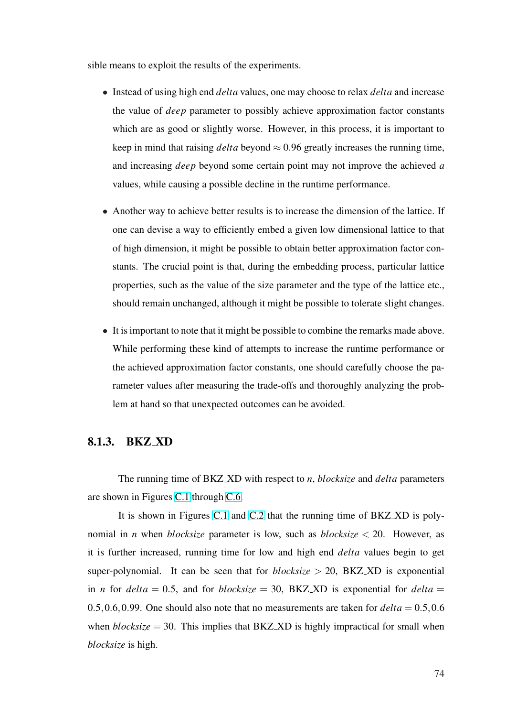sible means to exploit the results of the experiments.

- Instead of using high end *delta* values, one may choose to relax *delta* and increase the value of *deep* parameter to possibly achieve approximation factor constants which are as good or slightly worse. However, in this process, it is important to keep in mind that raising *delta* beyond  $\approx 0.96$  greatly increases the running time, and increasing *deep* beyond some certain point may not improve the achieved *a* values, while causing a possible decline in the runtime performance.
- Another way to achieve better results is to increase the dimension of the lattice. If one can devise a way to efficiently embed a given low dimensional lattice to that of high dimension, it might be possible to obtain better approximation factor constants. The crucial point is that, during the embedding process, particular lattice properties, such as the value of the size parameter and the type of the lattice etc., should remain unchanged, although it might be possible to tolerate slight changes.
- It is important to note that it might be possible to combine the remarks made above. While performing these kind of attempts to increase the runtime performance or the achieved approximation factor constants, one should carefully choose the parameter values after measuring the trade-offs and thoroughly analyzing the problem at hand so that unexpected outcomes can be avoided.

#### 8.1.3. BKZ XD

The running time of BKZ XD with respect to *n*, *blocksize* and *delta* parameters are shown in Figures C.1 through C.6.

It is shown in Figures C.1 and C.2 that the running time of BKZ XD is polynomial in *n* when *b[locks](#page-116-0)ize* par[amet](#page-121-0)er is low, such as *blocksize* < 20. However, as it is further increased, runnin[g tim](#page-116-0)e f[or lo](#page-117-0)w and high end *delta* values begin to get super-polynomial. It can be seen that for  $blocksize > 20$ , BKZ\_XD is exponential in *n* for  $delta = 0.5$ , and for *blocksize* = 30, BKZ XD is exponential for  $delta =$ 0.5,0.6,0.99. One should also note that no measurements are taken for  $delta = 0.5, 0.6$ when  $blocksize = 30$ . This implies that BKZ\_XD is highly impractical for small when *blocksize* is high.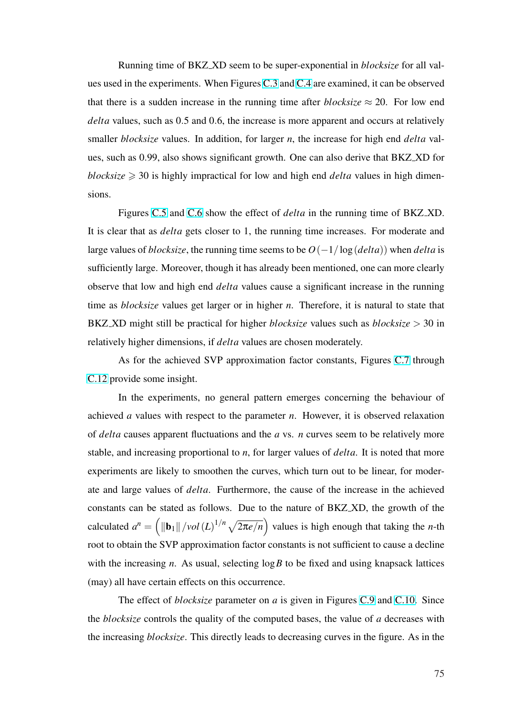Running time of BKZ XD seem to be super-exponential in *blocksize* for all values used in the experiments. When Figures C.3 and C.4 are examined, it can be observed that there is a sudden increase in the running time after *blocksize*  $\approx$  20. For low end *delta* values, such as 0.5 and 0.6, the incr[ease i](#page-118-0)s [more a](#page-119-0)pparent and occurs at relatively smaller *blocksize* values. In addition, for larger *n*, the increase for high end *delta* values, such as 0.99, also shows significant growth. One can also derive that BKZ XD for *blocksize*  $\geq$  30 is highly impractical for low and high end *delta* values in high dimensions.

Figures C.5 and C.6 show the effect of *delta* in the running time of BKZ XD. It is clear that as *delta* gets closer to 1, the running time increases. For moderate and large values of *[block](#page-120-0)size*[, the](#page-121-0) running time seems to be  $O(-1/\log (delta))$  when *delta* is sufficiently large. Moreover, though it has already been mentioned, one can more clearly observe that low and high end *delta* values cause a significant increase in the running time as *blocksize* values get larger or in higher *n*. Therefore, it is natural to state that BKZ XD might still be practical for higher *blocksize* values such as *blocksize* > 30 in relatively higher dimensions, if *delta* values are chosen moderately.

As for the achieved SVP approximation factor constants, Figures C.7 through C.12 provide some insight.

In the experiments, no general pattern emerges concerning the [beha](#page-122-0)viour of [achie](#page-127-0)ved *a* values with respect to the parameter *n*. However, it is observed relaxation of *delta* causes apparent fluctuations and the *a* vs. *n* curves seem to be relatively more stable, and increasing proportional to *n*, for larger values of *delta*. It is noted that more experiments are likely to smoothen the curves, which turn out to be linear, for moderate and large values of *delta*. Furthermore, the cause of the increase in the achieved constants can be stated as follows. Due to the nature of BKZ XD, the growth of the calculated  $a^n =$  $\overline{\phantom{a}}$  $\|\mathbf{b}_1\|$  /*vol*  $(L)^{1/n} \sqrt{2\pi e/n}$  $\frac{1}{\sqrt{2}}$ values is high enough that taking the *n*-th root to obtain the SVP approximation factor constants is not sufficient to cause a decline with the increasing *n*. As usual, selecting  $\log B$  to be fixed and using knapsack lattices (may) all have certain effects on this occurrence.

The effect of *blocksize* parameter on *a* is given in Figures C.9 and C.10. Since the *blocksize* controls the quality of the computed bases, the value of *a* decreases with the increasing *blocksize*. This directly leads to decreasing curves i[n the](#page-124-0) figu[re. As](#page-125-0) in the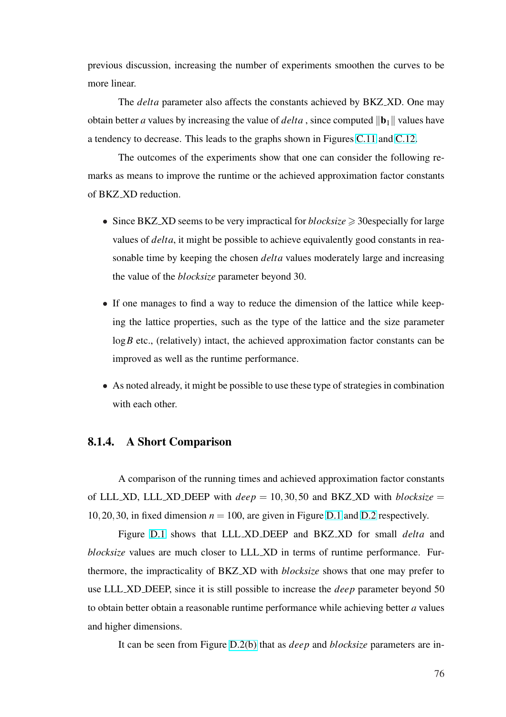previous discussion, increasing the number of experiments smoothen the curves to be more linear.

The *delta* parameter also affects the constants achieved by BKZ XD. One may obtain better *a* values by increasing the value of *delta*, since computed  $\|\mathbf{b}_1\|$  values have a tendency to decrease. This leads to the graphs shown in Figures C.11 and C.12.

The outcomes of the experiments show that one can consider the following remarks as means to improve the runtime or the achieved approxi[mation](#page-126-0) fac[tor co](#page-127-0)nstants of BKZ XD reduction.

- Since BKZ XD seems to be very impractical for *blocksize*  $\geq$  30especially for large values of *delta*, it might be possible to achieve equivalently good constants in reasonable time by keeping the chosen *delta* values moderately large and increasing the value of the *blocksize* parameter beyond 30.
- If one manages to find a way to reduce the dimension of the lattice while keeping the lattice properties, such as the type of the lattice and the size parameter  $log B$  etc., (relatively) intact, the achieved approximation factor constants can be improved as well as the runtime performance.
- As noted already, it might be possible to use these type of strategies in combination with each other.

### 8.1.4. A Short Comparison

A comparison of the running times and achieved approximation factor constants of LLL XD, LLL XD DEEP with  $deep = 10,30,50$  and BKZ XD with *blocksize* = 10,20,30, in fixed dimension  $n = 100$ , are given in Figure D.1 and D.2 respectively.

Figure D.1 shows that LLL XD DEEP and BKZ XD for small *delta* and *blocksize* values are much closer to LLL XD in terms o[f run](#page-128-0)tim[e per](#page-129-0)formance. Furthermore, the i[mpra](#page-128-0)cticality of BKZ XD with *blocksize* shows that one may prefer to use LLL XD DEEP, since it is still possible to increase the *deep* parameter beyond 50 to obtain better obtain a reasonable runtime performance while achieving better *a* values and higher dimensions.

It can be seen from Figure D.2(b) that as *deep* and *blocksize* parameters are in-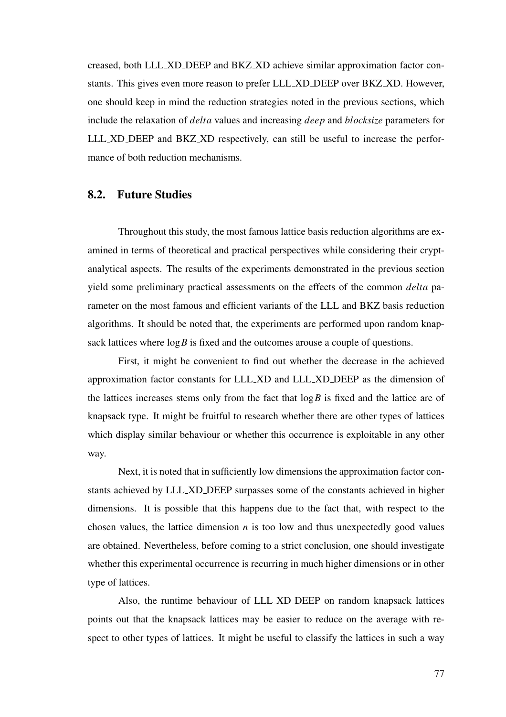creased, both LLL XD DEEP and BKZ XD achieve similar approximation factor constants. This gives even more reason to prefer LLL XD DEEP over BKZ XD. However, one should keep in mind the reduction strategies noted in the previous sections, which include the relaxation of *delta* values and increasing *deep* and *blocksize* parameters for LLL XD DEEP and BKZ XD respectively, can still be useful to increase the performance of both reduction mechanisms.

#### 8.2. Future Studies

Throughout this study, the most famous lattice basis reduction algorithms are examined in terms of theoretical and practical perspectives while considering their cryptanalytical aspects. The results of the experiments demonstrated in the previous section yield some preliminary practical assessments on the effects of the common *delta* parameter on the most famous and efficient variants of the LLL and BKZ basis reduction algorithms. It should be noted that, the experiments are performed upon random knapsack lattices where  $\log B$  is fixed and the outcomes arouse a couple of questions.

First, it might be convenient to find out whether the decrease in the achieved approximation factor constants for LLL XD and LLL XD DEEP as the dimension of the lattices increases stems only from the fact that log*B* is fixed and the lattice are of knapsack type. It might be fruitful to research whether there are other types of lattices which display similar behaviour or whether this occurrence is exploitable in any other way.

Next, it is noted that in sufficiently low dimensions the approximation factor constants achieved by LLL XD DEEP surpasses some of the constants achieved in higher dimensions. It is possible that this happens due to the fact that, with respect to the chosen values, the lattice dimension  $n$  is too low and thus unexpectedly good values are obtained. Nevertheless, before coming to a strict conclusion, one should investigate whether this experimental occurrence is recurring in much higher dimensions or in other type of lattices.

Also, the runtime behaviour of LLL XD DEEP on random knapsack lattices points out that the knapsack lattices may be easier to reduce on the average with respect to other types of lattices. It might be useful to classify the lattices in such a way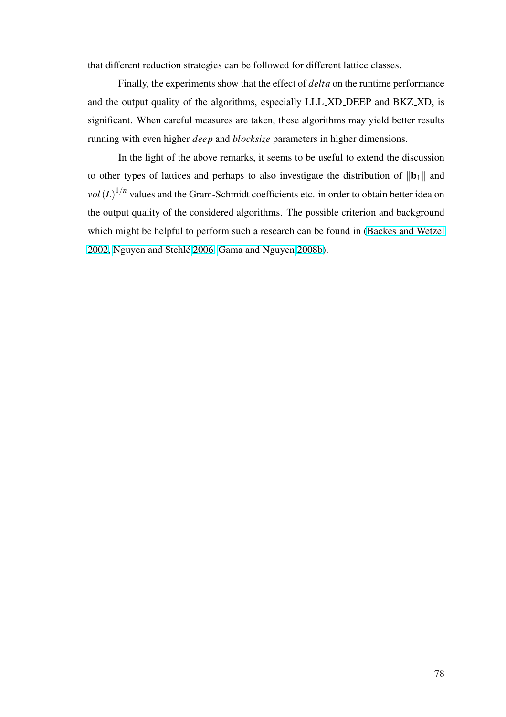that different reduction strategies can be followed for different lattice classes.

Finally, the experiments show that the effect of *delta* on the runtime performance and the output quality of the algorithms, especially LLL XD DEEP and BKZ XD, is significant. When careful measures are taken, these algorithms may yield better results running with even higher *deep* and *blocksize* parameters in higher dimensions.

In the light of the above remarks, it seems to be useful to extend the discussion to other types of lattices and perhaps to also investigate the distribution of  $\|\mathbf{b}_1\|$  and  $vol(L)^{1/n}$  values and the Gram-Schmidt coefficients etc. in order to obtain better idea on the output quality of the considered algorithms. The possible criterion and background which might be helpful to perform such a research can be found in (Backes and Wetzel 2002, Nguyen and Stehlé 2006, Gama and Nguyen 2008b).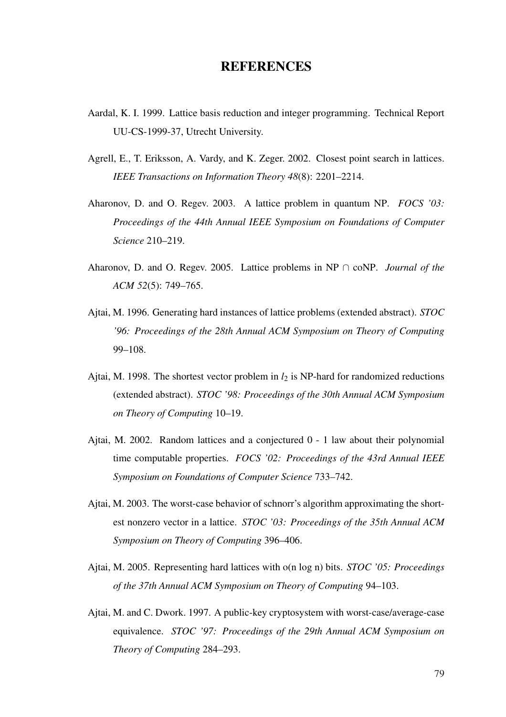## **REFERENCES**

- <span id="page-89-0"></span>Aardal, K. I. 1999. Lattice basis reduction and integer programming. Technical Report UU-CS-1999-37, Utrecht University.
- Agrell, E., T. Eriksson, A. Vardy, and K. Zeger. 2002. Closest point search in lattices. *IEEE Transactions on Information Theory 48*(8): 2201–2214.
- Aharonov, D. and O. Regev. 2003. A lattice problem in quantum NP. *FOCS '03: Proceedings of the 44th Annual IEEE Symposium on Foundations of Computer Science* 210–219.
- Aharonov, D. and O. Regev. 2005. Lattice problems in NP ∩ coNP. *Journal of the ACM 52*(5): 749–765.
- Ajtai, M. 1996. Generating hard instances of lattice problems (extended abstract). *STOC '96: Proceedings of the 28th Annual ACM Symposium on Theory of Computing* 99–108.
- Ajtai, M. 1998. The shortest vector problem in  $l_2$  is NP-hard for randomized reductions (extended abstract). *STOC '98: Proceedings of the 30th Annual ACM Symposium on Theory of Computing* 10–19.
- Ajtai, M. 2002. Random lattices and a conjectured 0 1 law about their polynomial time computable properties. *FOCS '02: Proceedings of the 43rd Annual IEEE Symposium on Foundations of Computer Science* 733–742.
- Ajtai, M. 2003. The worst-case behavior of schnorr's algorithm approximating the shortest nonzero vector in a lattice. *STOC '03: Proceedings of the 35th Annual ACM Symposium on Theory of Computing* 396–406.
- Ajtai, M. 2005. Representing hard lattices with o(n log n) bits. *STOC '05: Proceedings of the 37th Annual ACM Symposium on Theory of Computing* 94–103.
- Ajtai, M. and C. Dwork. 1997. A public-key cryptosystem with worst-case/average-case equivalence. *STOC '97: Proceedings of the 29th Annual ACM Symposium on Theory of Computing* 284–293.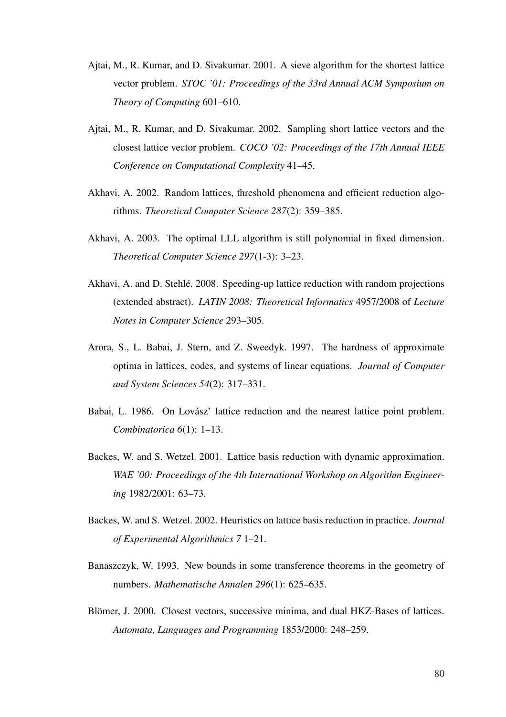- Ajtai, M., R. Kumar, and D. Sivakumar. 2001. A sieve algorithm for the shortest lattice vector problem. *STOC '01: Proceedings of the 33rd Annual ACM Symposium on Theory of Computing* 601–610.
- Ajtai, M., R. Kumar, and D. Sivakumar. 2002. Sampling short lattice vectors and the closest lattice vector problem. *COCO '02: Proceedings of the 17th Annual IEEE Conference on Computational Complexity* 41–45.
- Akhavi, A. 2002. Random lattices, threshold phenomena and efficient reduction algorithms. *Theoretical Computer Science 287*(2): 359–385.
- Akhavi, A. 2003. The optimal LLL algorithm is still polynomial in fixed dimension. *Theoretical Computer Science 297*(1-3): 3–23.
- Akhavi, A. and D. Stehlé. 2008. Speeding-up lattice reduction with random projections (extended abstract). *LATIN 2008: Theoretical Informatics* 4957/2008 of *Lecture Notes in Computer Science* 293–305.
- Arora, S., L. Babai, J. Stern, and Z. Sweedyk. 1997. The hardness of approximate optima in lattices, codes, and systems of linear equations. *Journal of Computer and System Sciences 54*(2): 317–331.
- Babai, L. 1986. On Lovász' lattice reduction and the nearest lattice point problem. *Combinatorica 6*(1): 1–13.
- Backes, W. and S. Wetzel. 2001. Lattice basis reduction with dynamic approximation. *WAE '00: Proceedings of the 4th International Workshop on Algorithm Engineering* 1982/2001: 63–73.
- Backes, W. and S. Wetzel. 2002. Heuristics on lattice basis reduction in practice. *Journal of Experimental Algorithmics 7* 1–21.
- Banaszczyk, W. 1993. New bounds in some transference theorems in the geometry of numbers. *Mathematische Annalen 296*(1): 625–635.
- Blömer, J. 2000. Closest vectors, successive minima, and dual HKZ-Bases of lattices. *Automata, Languages and Programming* 1853/2000: 248–259.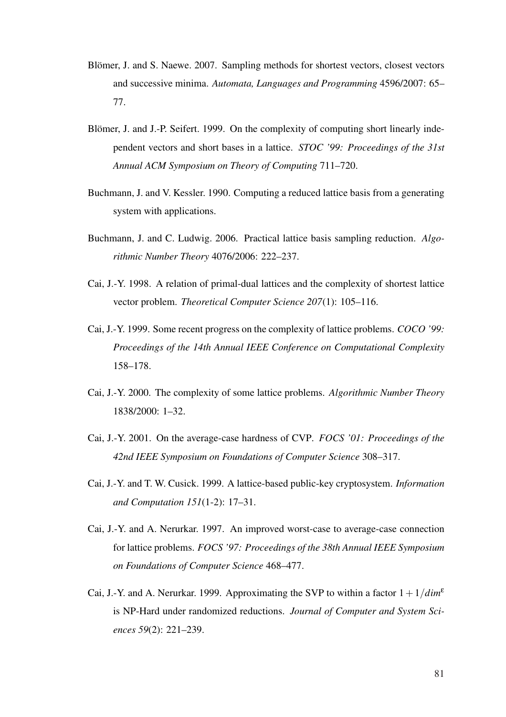- Blömer, J. and S. Naewe. 2007. Sampling methods for shortest vectors, closest vectors and successive minima. *Automata, Languages and Programming* 4596/2007: 65– 77.
- Blömer, J. and J.-P. Seifert. 1999. On the complexity of computing short linearly independent vectors and short bases in a lattice. *STOC '99: Proceedings of the 31st Annual ACM Symposium on Theory of Computing* 711–720.
- Buchmann, J. and V. Kessler. 1990. Computing a reduced lattice basis from a generating system with applications.
- Buchmann, J. and C. Ludwig. 2006. Practical lattice basis sampling reduction. *Algorithmic Number Theory* 4076/2006: 222–237.
- Cai, J.-Y. 1998. A relation of primal-dual lattices and the complexity of shortest lattice vector problem. *Theoretical Computer Science 207*(1): 105–116.
- Cai, J.-Y. 1999. Some recent progress on the complexity of lattice problems. *COCO '99: Proceedings of the 14th Annual IEEE Conference on Computational Complexity* 158–178.
- Cai, J.-Y. 2000. The complexity of some lattice problems. *Algorithmic Number Theory* 1838/2000: 1–32.
- Cai, J.-Y. 2001. On the average-case hardness of CVP. *FOCS '01: Proceedings of the 42nd IEEE Symposium on Foundations of Computer Science* 308–317.
- Cai, J.-Y. and T. W. Cusick. 1999. A lattice-based public-key cryptosystem. *Information and Computation 151*(1-2): 17–31.
- Cai, J.-Y. and A. Nerurkar. 1997. An improved worst-case to average-case connection for lattice problems. *FOCS '97: Proceedings of the 38th Annual IEEE Symposium on Foundations of Computer Science* 468–477.
- Cai, J.-Y. and A. Nerurkar. 1999. Approximating the SVP to within a factor  $1+1/dim^{\epsilon}$ is NP-Hard under randomized reductions. *Journal of Computer and System Sciences 59*(2): 221–239.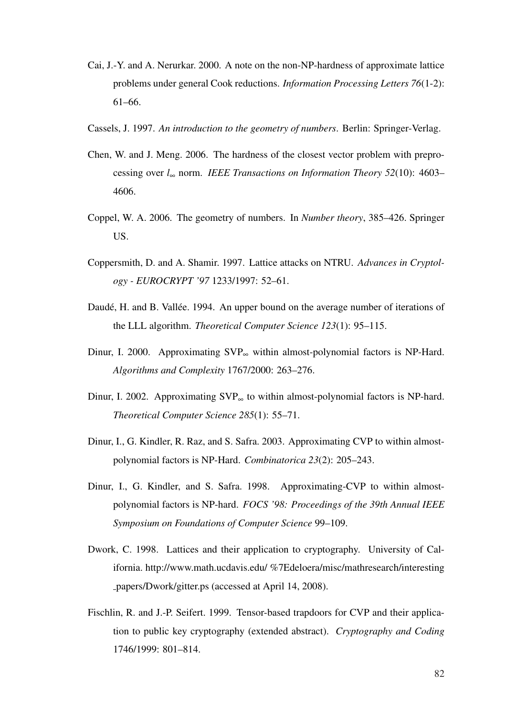- <span id="page-92-0"></span>Cai, J.-Y. and A. Nerurkar. 2000. A note on the non-NP-hardness of approximate lattice problems under general Cook reductions. *Information Processing Letters 76*(1-2): 61–66.
- Cassels, J. 1997. *An introduction to the geometry of numbers*. Berlin: Springer-Verlag.
- Chen, W. and J. Meng. 2006. The hardness of the closest vector problem with preprocessing over *l*<sup>∞</sup> norm. *IEEE Transactions on Information Theory 52*(10): 4603– 4606.
- Coppel, W. A. 2006. The geometry of numbers. In *Number theory*, 385–426. Springer US.
- Coppersmith, D. and A. Shamir. 1997. Lattice attacks on NTRU. *Advances in Cryptology - EUROCRYPT '97* 1233/1997: 52–61.
- Daudé, H. and B. Vallée. 1994. An upper bound on the average number of iterations of the LLL algorithm. *Theoretical Computer Science 123*(1): 95–115.
- Dinur, I. 2000. Approximating SVP<sup>∞</sup> within almost-polynomial factors is NP-Hard. *Algorithms and Complexity* 1767/2000: 263–276.
- Dinur, I. 2002. Approximating SVP<sup>∞</sup> to within almost-polynomial factors is NP-hard. *Theoretical Computer Science 285*(1): 55–71.
- Dinur, I., G. Kindler, R. Raz, and S. Safra. 2003. Approximating CVP to within almostpolynomial factors is NP-Hard. *Combinatorica 23*(2): 205–243.
- Dinur, I., G. Kindler, and S. Safra. 1998. Approximating-CVP to within almostpolynomial factors is NP-hard. *FOCS '98: Proceedings of the 39th Annual IEEE Symposium on Foundations of Computer Science* 99–109.
- Dwork, C. 1998. Lattices and their application to cryptography. University of California. http://www.math.ucdavis.edu/ %7Edeloera/misc/mathresearch/interesting papers/Dwork/gitter.ps (accessed at April 14, 2008).
- Fischlin, R. and J.-P. Seifert. 1999. Tensor-based trapdoors for CVP and their application to public key cryptography (extended abstract). *Cryptography and Coding* 1746/1999: 801–814.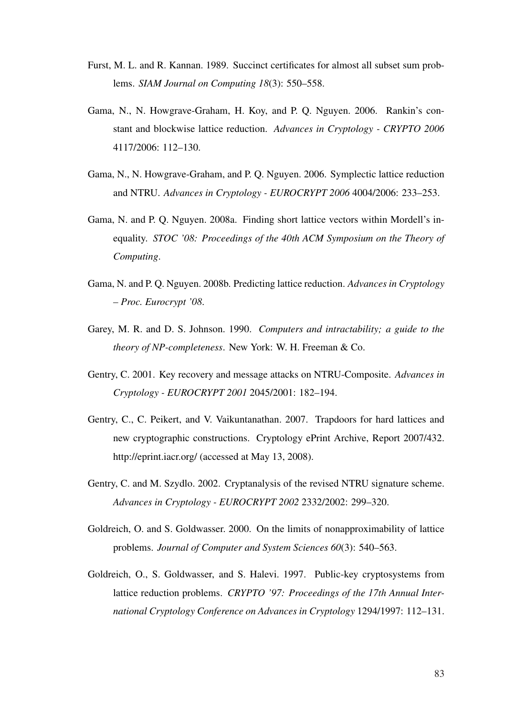- <span id="page-93-0"></span>Furst, M. L. and R. Kannan. 1989. Succinct certificates for almost all subset sum problems. *SIAM Journal on Computing 18*(3): 550–558.
- Gama, N., N. Howgrave-Graham, H. Koy, and P. Q. Nguyen. 2006. Rankin's constant and blockwise lattice reduction. *Advances in Cryptology - CRYPTO 2006* 4117/2006: 112–130.
- Gama, N., N. Howgrave-Graham, and P. Q. Nguyen. 2006. Symplectic lattice reduction and NTRU. *Advances in Cryptology - EUROCRYPT 2006* 4004/2006: 233–253.
- Gama, N. and P. Q. Nguyen. 2008a. Finding short lattice vectors within Mordell's inequality. *STOC '08: Proceedings of the 40th ACM Symposium on the Theory of Computing*.
- Gama, N. and P. Q. Nguyen. 2008b. Predicting lattice reduction. *Advances in Cryptology – Proc. Eurocrypt '08*.
- Garey, M. R. and D. S. Johnson. 1990. *Computers and intractability; a guide to the theory of NP-completeness*. New York: W. H. Freeman & Co.
- Gentry, C. 2001. Key recovery and message attacks on NTRU-Composite. *Advances in Cryptology - EUROCRYPT 2001* 2045/2001: 182–194.
- Gentry, C., C. Peikert, and V. Vaikuntanathan. 2007. Trapdoors for hard lattices and new cryptographic constructions. Cryptology ePrint Archive, Report 2007/432. http://eprint.iacr.org/ (accessed at May 13, 2008).
- Gentry, C. and M. Szydlo. 2002. Cryptanalysis of the revised NTRU signature scheme. *Advances in Cryptology - EUROCRYPT 2002* 2332/2002: 299–320.
- Goldreich, O. and S. Goldwasser. 2000. On the limits of nonapproximability of lattice problems. *Journal of Computer and System Sciences 60*(3): 540–563.
- Goldreich, O., S. Goldwasser, and S. Halevi. 1997. Public-key cryptosystems from lattice reduction problems. *CRYPTO '97: Proceedings of the 17th Annual International Cryptology Conference on Advances in Cryptology* 1294/1997: 112–131.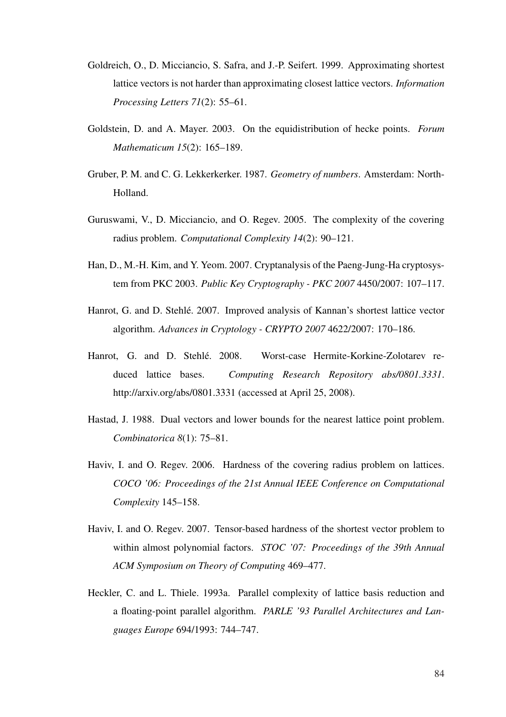- <span id="page-94-0"></span>Goldreich, O., D. Micciancio, S. Safra, and J.-P. Seifert. 1999. Approximating shortest lattice vectors is not harder than approximating closest lattice vectors. *Information Processing Letters 71*(2): 55–61.
- Goldstein, D. and A. Mayer. 2003. On the equidistribution of hecke points. *Forum Mathematicum 15*(2): 165–189.
- Gruber, P. M. and C. G. Lekkerkerker. 1987. *Geometry of numbers*. Amsterdam: North-Holland.
- Guruswami, V., D. Micciancio, and O. Regev. 2005. The complexity of the covering radius problem. *Computational Complexity 14*(2): 90–121.
- Han, D., M.-H. Kim, and Y. Yeom. 2007. Cryptanalysis of the Paeng-Jung-Ha cryptosystem from PKC 2003. *Public Key Cryptography - PKC 2007* 4450/2007: 107–117.
- Hanrot, G. and D. Stehle. 2007. Improved analysis of Kannan's shortest lattice vector ´ algorithm. *Advances in Cryptology - CRYPTO 2007* 4622/2007: 170–186.
- Hanrot, G. and D. Stehlé. 2008. Worst-case Hermite-Korkine-Zolotarev reduced lattice bases. *Computing Research Repository abs/0801.3331*. http://arxiv.org/abs/0801.3331 (accessed at April 25, 2008).
- Hastad, J. 1988. Dual vectors and lower bounds for the nearest lattice point problem. *Combinatorica 8*(1): 75–81.
- Haviv, I. and O. Regev. 2006. Hardness of the covering radius problem on lattices. *COCO '06: Proceedings of the 21st Annual IEEE Conference on Computational Complexity* 145–158.
- Haviv, I. and O. Regev. 2007. Tensor-based hardness of the shortest vector problem to within almost polynomial factors. *STOC '07: Proceedings of the 39th Annual ACM Symposium on Theory of Computing* 469–477.
- Heckler, C. and L. Thiele. 1993a. Parallel complexity of lattice basis reduction and a floating-point parallel algorithm. *PARLE '93 Parallel Architectures and Languages Europe* 694/1993: 744–747.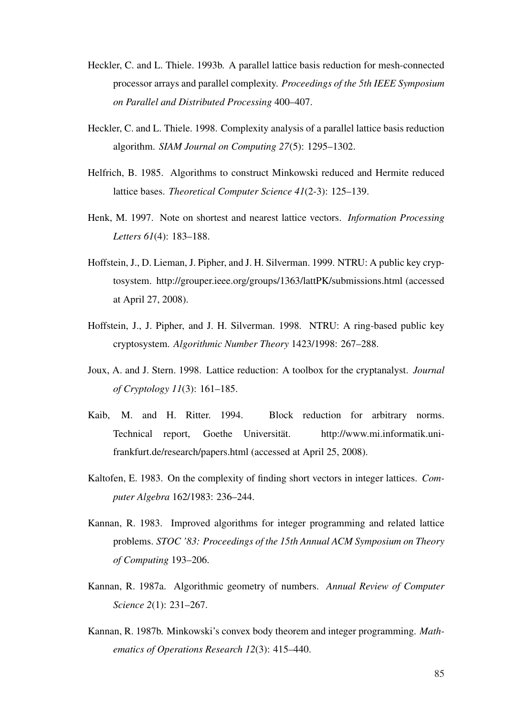- <span id="page-95-0"></span>Heckler, C. and L. Thiele. 1993b. A parallel lattice basis reduction for mesh-connected processor arrays and parallel complexity. *Proceedings of the 5th IEEE Symposium on Parallel and Distributed Processing* 400–407.
- Heckler, C. and L. Thiele. 1998. Complexity analysis of a parallel lattice basis reduction algorithm. *SIAM Journal on Computing 27*(5): 1295–1302.
- Helfrich, B. 1985. Algorithms to construct Minkowski reduced and Hermite reduced lattice bases. *Theoretical Computer Science 41*(2-3): 125–139.
- Henk, M. 1997. Note on shortest and nearest lattice vectors. *Information Processing Letters 61*(4): 183–188.
- Hoffstein, J., D. Lieman, J. Pipher, and J. H. Silverman. 1999. NTRU: A public key cryptosystem. http://grouper.ieee.org/groups/1363/lattPK/submissions.html (accessed at April 27, 2008).
- Hoffstein, J., J. Pipher, and J. H. Silverman. 1998. NTRU: A ring-based public key cryptosystem. *Algorithmic Number Theory* 1423/1998: 267–288.
- Joux, A. and J. Stern. 1998. Lattice reduction: A toolbox for the cryptanalyst. *Journal of Cryptology 11*(3): 161–185.
- Kaib, M. and H. Ritter. 1994. Block reduction for arbitrary norms. Technical report, Goethe Universität. http://www.mi.informatik.unifrankfurt.de/research/papers.html (accessed at April 25, 2008).
- Kaltofen, E. 1983. On the complexity of finding short vectors in integer lattices. *Computer Algebra* 162/1983: 236–244.
- Kannan, R. 1983. Improved algorithms for integer programming and related lattice problems. *STOC '83: Proceedings of the 15th Annual ACM Symposium on Theory of Computing* 193–206.
- Kannan, R. 1987a. Algorithmic geometry of numbers. *Annual Review of Computer Science 2*(1): 231–267.
- Kannan, R. 1987b. Minkowski's convex body theorem and integer programming. *Mathematics of Operations Research 12*(3): 415–440.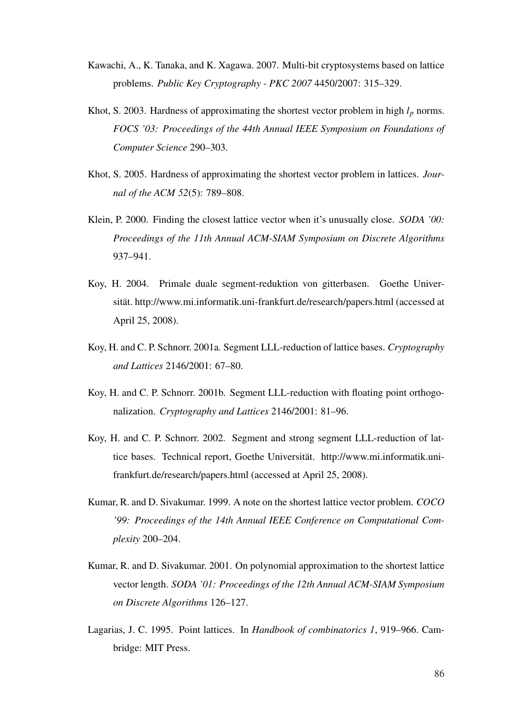- <span id="page-96-0"></span>Kawachi, A., K. Tanaka, and K. Xagawa. 2007. Multi-bit cryptosystems based on lattice problems. *Public Key Cryptography - PKC 2007* 4450/2007: 315–329.
- Khot, S. 2003. Hardness of approximating the shortest vector problem in high  $l_p$  norms. *FOCS '03: Proceedings of the 44th Annual IEEE Symposium on Foundations of Computer Science* 290–303.
- Khot, S. 2005. Hardness of approximating the shortest vector problem in lattices. *Journal of the ACM 52*(5): 789–808.
- Klein, P. 2000. Finding the closest lattice vector when it's unusually close. *SODA '00: Proceedings of the 11th Annual ACM-SIAM Symposium on Discrete Algorithms* 937–941.
- Koy, H. 2004. Primale duale segment-reduktion von gitterbasen. Goethe Universität. http://www.mi.informatik.uni-frankfurt.de/research/papers.html (accessed at April 25, 2008).
- Koy, H. and C. P. Schnorr. 2001a. Segment LLL-reduction of lattice bases. *Cryptography and Lattices* 2146/2001: 67–80.
- Koy, H. and C. P. Schnorr. 2001b. Segment LLL-reduction with floating point orthogonalization. *Cryptography and Lattices* 2146/2001: 81–96.
- Koy, H. and C. P. Schnorr. 2002. Segment and strong segment LLL-reduction of lattice bases. Technical report, Goethe Universität. http://www.mi.informatik.unifrankfurt.de/research/papers.html (accessed at April 25, 2008).
- Kumar, R. and D. Sivakumar. 1999. A note on the shortest lattice vector problem. *COCO '99: Proceedings of the 14th Annual IEEE Conference on Computational Complexity* 200–204.
- Kumar, R. and D. Sivakumar. 2001. On polynomial approximation to the shortest lattice vector length. *SODA '01: Proceedings of the 12th Annual ACM-SIAM Symposium on Discrete Algorithms* 126–127.
- Lagarias, J. C. 1995. Point lattices. In *Handbook of combinatorics 1*, 919–966. Cambridge: MIT Press.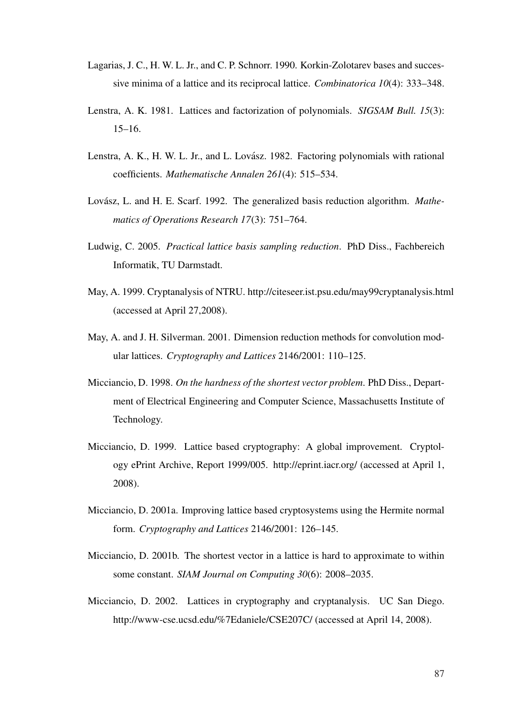- <span id="page-97-0"></span>Lagarias, J. C., H. W. L. Jr., and C. P. Schnorr. 1990. Korkin-Zolotarev bases and successive minima of a lattice and its reciprocal lattice. *Combinatorica 10*(4): 333–348.
- Lenstra, A. K. 1981. Lattices and factorization of polynomials. *SIGSAM Bull. 15*(3): 15–16.
- Lenstra, A. K., H. W. L. Jr., and L. Lovász. 1982. Factoring polynomials with rational coefficients. *Mathematische Annalen 261*(4): 515–534.
- Lovász, L. and H. E. Scarf. 1992. The generalized basis reduction algorithm. *Mathematics of Operations Research 17*(3): 751–764.
- Ludwig, C. 2005. *Practical lattice basis sampling reduction*. PhD Diss., Fachbereich Informatik, TU Darmstadt.
- May, A. 1999. Cryptanalysis of NTRU. http://citeseer.ist.psu.edu/may99cryptanalysis.html (accessed at April 27,2008).
- May, A. and J. H. Silverman. 2001. Dimension reduction methods for convolution modular lattices. *Cryptography and Lattices* 2146/2001: 110–125.
- Micciancio, D. 1998. *On the hardness of the shortest vector problem*. PhD Diss., Department of Electrical Engineering and Computer Science, Massachusetts Institute of Technology.
- Micciancio, D. 1999. Lattice based cryptography: A global improvement. Cryptology ePrint Archive, Report 1999/005. http://eprint.iacr.org/ (accessed at April 1, 2008).
- Micciancio, D. 2001a. Improving lattice based cryptosystems using the Hermite normal form. *Cryptography and Lattices* 2146/2001: 126–145.
- Micciancio, D. 2001b. The shortest vector in a lattice is hard to approximate to within some constant. *SIAM Journal on Computing 30*(6): 2008–2035.
- Micciancio, D. 2002. Lattices in cryptography and cryptanalysis. UC San Diego. http://www-cse.ucsd.edu/%7Edaniele/CSE207C/ (accessed at April 14, 2008).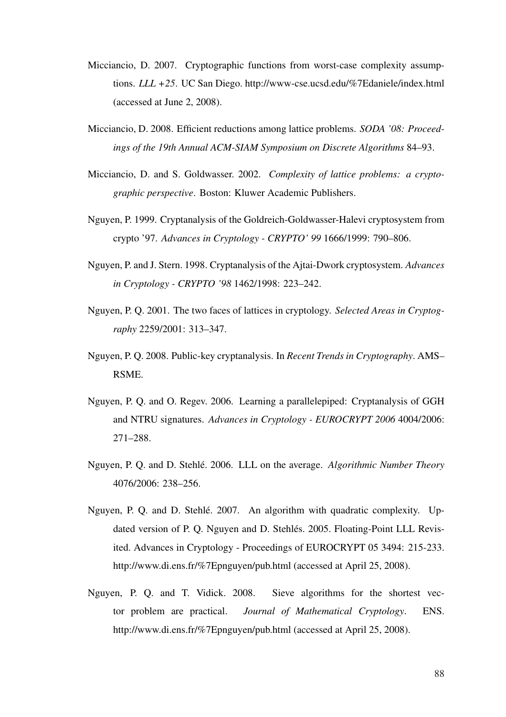- <span id="page-98-0"></span>Micciancio, D. 2007. Cryptographic functions from worst-case complexity assumptions. *LLL +25*. UC San Diego. http://www-cse.ucsd.edu/%7Edaniele/index.html (accessed at June 2, 2008).
- Micciancio, D. 2008. Efficient reductions among lattice problems. *SODA '08: Proceedings of the 19th Annual ACM-SIAM Symposium on Discrete Algorithms* 84–93.
- Micciancio, D. and S. Goldwasser. 2002. *Complexity of lattice problems: a cryptographic perspective*. Boston: Kluwer Academic Publishers.
- Nguyen, P. 1999. Cryptanalysis of the Goldreich-Goldwasser-Halevi cryptosystem from crypto '97. *Advances in Cryptology - CRYPTO' 99* 1666/1999: 790–806.
- Nguyen, P. and J. Stern. 1998. Cryptanalysis of the Ajtai-Dwork cryptosystem. *Advances in Cryptology - CRYPTO '98* 1462/1998: 223–242.
- Nguyen, P. Q. 2001. The two faces of lattices in cryptology. *Selected Areas in Cryptography* 2259/2001: 313–347.
- Nguyen, P. Q. 2008. Public-key cryptanalysis. In *Recent Trends in Cryptography*. AMS– RSME.
- Nguyen, P. Q. and O. Regev. 2006. Learning a parallelepiped: Cryptanalysis of GGH and NTRU signatures. *Advances in Cryptology - EUROCRYPT 2006* 4004/2006: 271–288.
- Nguyen, P. Q. and D. Stehlé. 2006. LLL on the average. *Algorithmic Number Theory* 4076/2006: 238–256.
- Nguyen, P. Q. and D. Stehlé. 2007. An algorithm with quadratic complexity. Updated version of P. Q. Nguyen and D. Stehlés. 2005. Floating-Point LLL Revisited. Advances in Cryptology - Proceedings of EUROCRYPT 05 3494: 215-233. http://www.di.ens.fr/%7Epnguyen/pub.html (accessed at April 25, 2008).
- Nguyen, P. Q. and T. Vidick. 2008. Sieve algorithms for the shortest vector problem are practical. *Journal of Mathematical Cryptology*. ENS. http://www.di.ens.fr/%7Epnguyen/pub.html (accessed at April 25, 2008).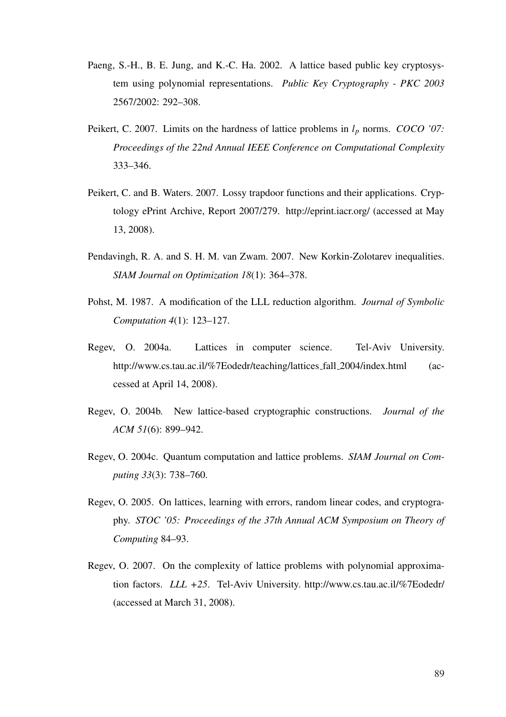- <span id="page-99-0"></span>Paeng, S.-H., B. E. Jung, and K.-C. Ha. 2002. A lattice based public key cryptosystem using polynomial representations. *Public Key Cryptography - PKC 2003* 2567/2002: 292–308.
- Peikert, C. 2007. Limits on the hardness of lattice problems in *l<sup>p</sup>* norms. *COCO '07: Proceedings of the 22nd Annual IEEE Conference on Computational Complexity* 333–346.
- Peikert, C. and B. Waters. 2007. Lossy trapdoor functions and their applications. Cryptology ePrint Archive, Report 2007/279. http://eprint.iacr.org/ (accessed at May 13, 2008).
- Pendavingh, R. A. and S. H. M. van Zwam. 2007. New Korkin-Zolotarev inequalities. *SIAM Journal on Optimization 18*(1): 364–378.
- Pohst, M. 1987. A modification of the LLL reduction algorithm. *Journal of Symbolic Computation 4*(1): 123–127.
- Regev, O. 2004a. Lattices in computer science. Tel-Aviv University. http://www.cs.tau.ac.il/%7Eodedr/teaching/lattices\_fall\_2004/index.html (accessed at April 14, 2008).
- Regev, O. 2004b. New lattice-based cryptographic constructions. *Journal of the ACM 51*(6): 899–942.
- Regev, O. 2004c. Quantum computation and lattice problems. *SIAM Journal on Computing 33*(3): 738–760.
- Regev, O. 2005. On lattices, learning with errors, random linear codes, and cryptography. *STOC '05: Proceedings of the 37th Annual ACM Symposium on Theory of Computing* 84–93.
- Regev, O. 2007. On the complexity of lattice problems with polynomial approximation factors. *LLL +25*. Tel-Aviv University. http://www.cs.tau.ac.il/%7Eodedr/ (accessed at March 31, 2008).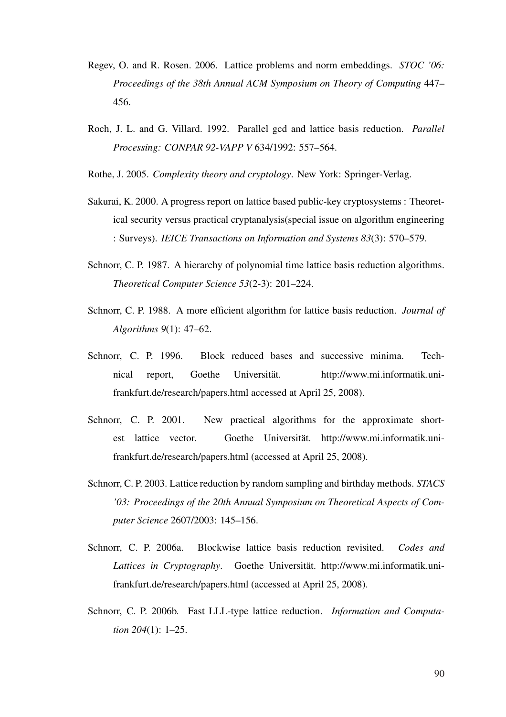- <span id="page-100-0"></span>Regev, O. and R. Rosen. 2006. Lattice problems and norm embeddings. *STOC '06: Proceedings of the 38th Annual ACM Symposium on Theory of Computing* 447– 456.
- Roch, J. L. and G. Villard. 1992. Parallel gcd and lattice basis reduction. *Parallel Processing: CONPAR 92-VAPP V* 634/1992: 557–564.
- Rothe, J. 2005. *Complexity theory and cryptology*. New York: Springer-Verlag.
- Sakurai, K. 2000. A progress report on lattice based public-key cryptosystems : Theoretical security versus practical cryptanalysis(special issue on algorithm engineering : Surveys). *IEICE Transactions on Information and Systems 83*(3): 570–579.
- Schnorr, C. P. 1987. A hierarchy of polynomial time lattice basis reduction algorithms. *Theoretical Computer Science 53*(2-3): 201–224.
- Schnorr, C. P. 1988. A more efficient algorithm for lattice basis reduction. *Journal of Algorithms 9*(1): 47–62.
- Schnorr, C. P. 1996. Block reduced bases and successive minima. Technical report, Goethe Universität. http://www.mi.informatik.unifrankfurt.de/research/papers.html accessed at April 25, 2008).
- Schnorr, C. P. 2001. New practical algorithms for the approximate shortest lattice vector. Goethe Universität. http://www.mi.informatik.unifrankfurt.de/research/papers.html (accessed at April 25, 2008).
- Schnorr, C. P. 2003. Lattice reduction by random sampling and birthday methods. *STACS '03: Proceedings of the 20th Annual Symposium on Theoretical Aspects of Computer Science* 2607/2003: 145–156.
- Schnorr, C. P. 2006a. Blockwise lattice basis reduction revisited. *Codes and Lattices in Cryptography*. Goethe Universitat. http://www.mi.informatik.uni- ¨ frankfurt.de/research/papers.html (accessed at April 25, 2008).
- Schnorr, C. P. 2006b. Fast LLL-type lattice reduction. *Information and Computation 204*(1): 1–25.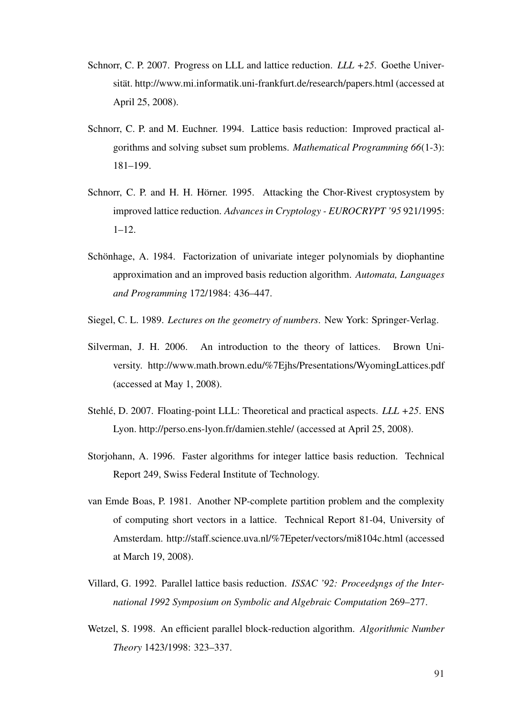- <span id="page-101-0"></span>Schnorr, C. P. 2007. Progress on LLL and lattice reduction. *LLL +25*. Goethe Universität. http://www.mi.informatik.uni-frankfurt.de/research/papers.html (accessed at April 25, 2008).
- Schnorr, C. P. and M. Euchner. 1994. Lattice basis reduction: Improved practical algorithms and solving subset sum problems. *Mathematical Programming 66*(1-3): 181–199.
- Schnorr, C. P. and H. H. Hörner. 1995. Attacking the Chor-Rivest cryptosystem by improved lattice reduction. *Advances in Cryptology - EUROCRYPT '95* 921/1995:  $1 - 12$ .
- Schönhage, A. 1984. Factorization of univariate integer polynomials by diophantine approximation and an improved basis reduction algorithm. *Automata, Languages and Programming* 172/1984: 436–447.
- Siegel, C. L. 1989. *Lectures on the geometry of numbers*. New York: Springer-Verlag.
- Silverman, J. H. 2006. An introduction to the theory of lattices. Brown University. http://www.math.brown.edu/%7Ejhs/Presentations/WyomingLattices.pdf (accessed at May 1, 2008).
- Stehlé, D. 2007. Floating-point LLL: Theoretical and practical aspects. *LLL* +25. ENS Lyon. http://perso.ens-lyon.fr/damien.stehle/ (accessed at April 25, 2008).
- Storjohann, A. 1996. Faster algorithms for integer lattice basis reduction. Technical Report 249, Swiss Federal Institute of Technology.
- van Emde Boas, P. 1981. Another NP-complete partition problem and the complexity of computing short vectors in a lattice. Technical Report 81-04, University of Amsterdam. http://staff.science.uva.nl/%7Epeter/vectors/mi8104c.html (accessed at March 19, 2008).
- Villard, G. 1992. Parallel lattice basis reduction. *ISSAC '92: Proceedsngs of the International 1992 Symposium on Symbolic and Algebraic Computation* 269–277.
- Wetzel, S. 1998. An efficient parallel block-reduction algorithm. *Algorithmic Number Theory* 1423/1998: 323–337.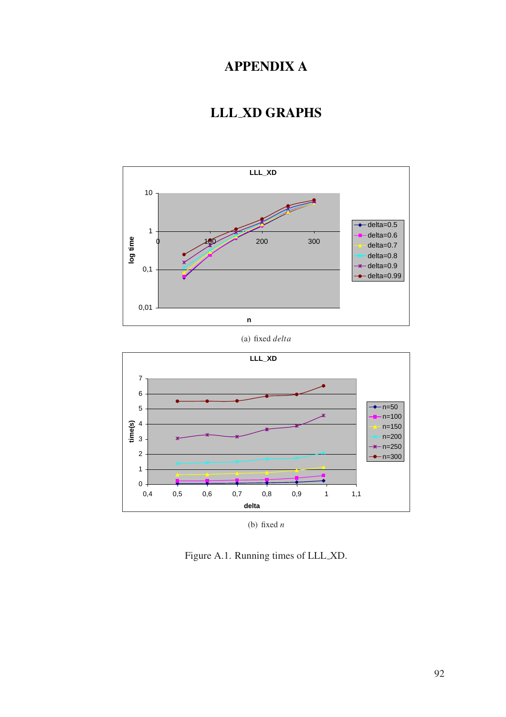# APPENDIX A

# LLL XD GRAPHS

<span id="page-102-0"></span>



Figure A.1. Running times of LLL XD.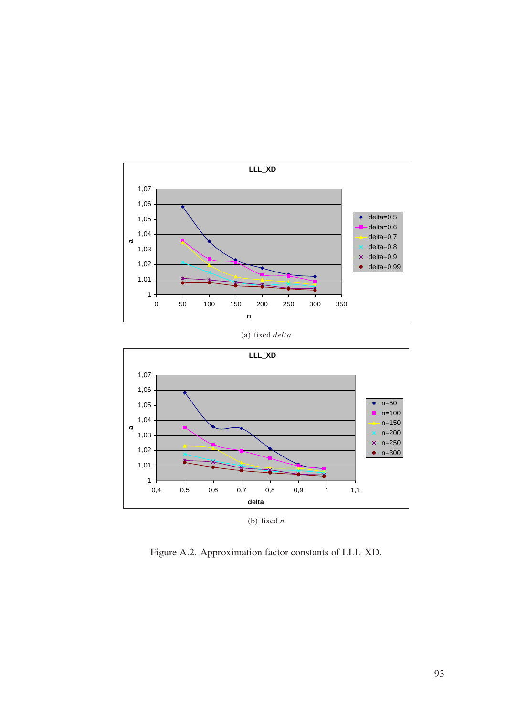<span id="page-103-0"></span>

(a) fixed *delta*



Figure A.2. Approximation factor constants of LLL XD.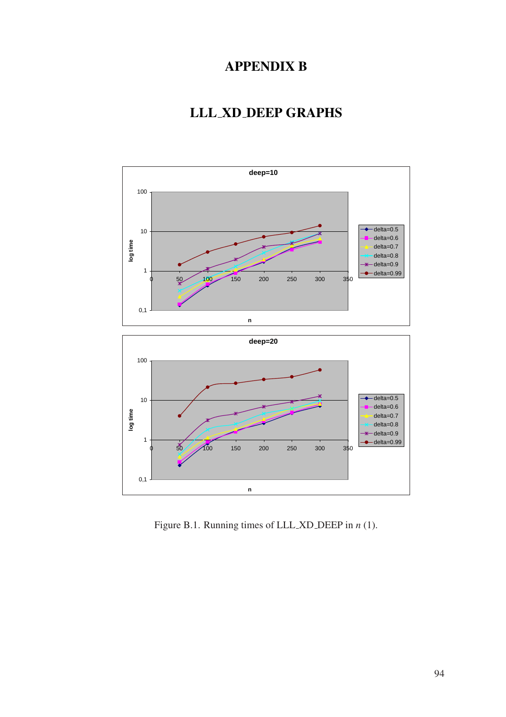# APPENDIX B

# LLL XD DEEP GRAPHS

<span id="page-104-0"></span>

Figure B.1. Running times of LLL XD DEEP in *n* (1).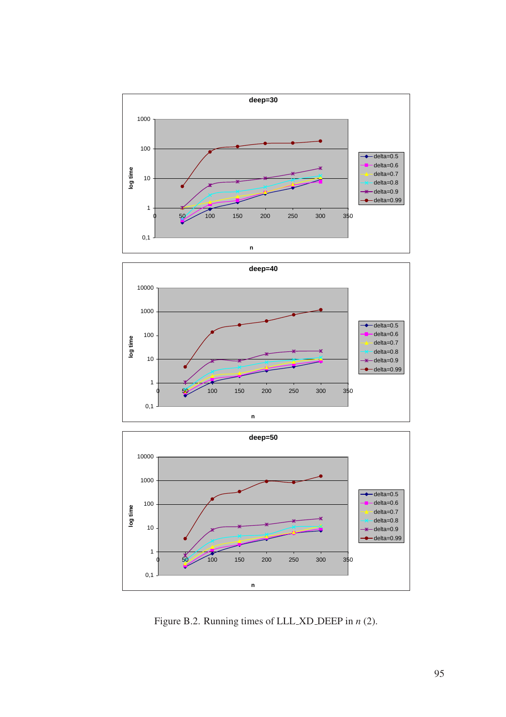<span id="page-105-0"></span>





Figure B.2. Running times of LLL XD DEEP in *n* (2).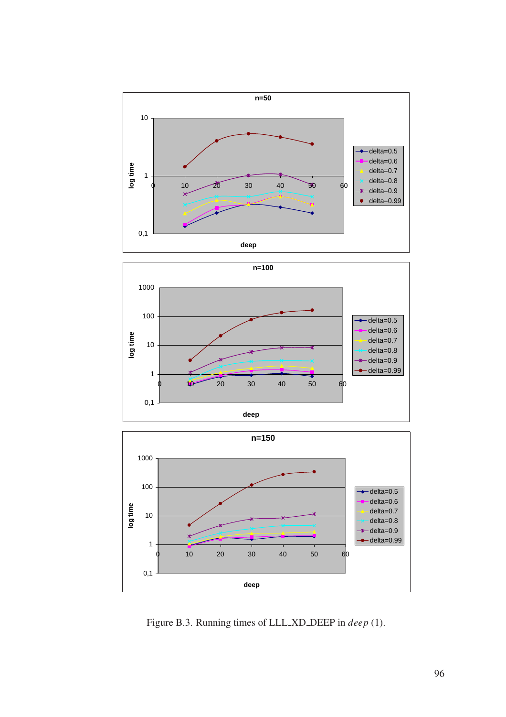<span id="page-106-0"></span>





Figure B.3. Running times of LLL XD DEEP in *deep* (1).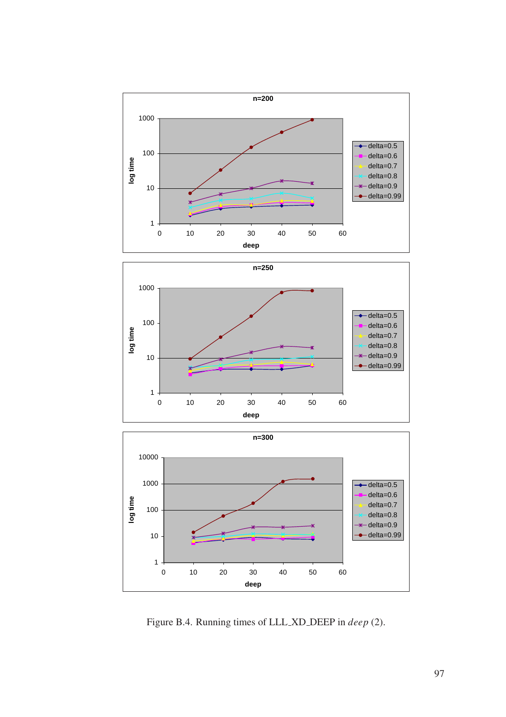<span id="page-107-0"></span>





Figure B.4. Running times of LLL XD DEEP in *deep* (2).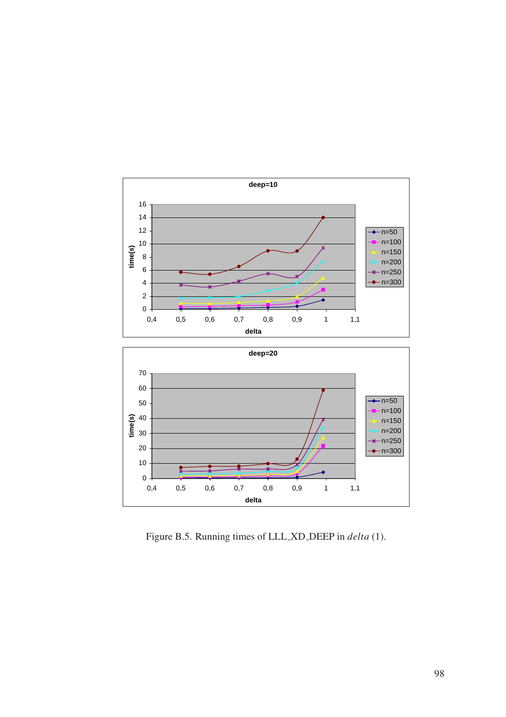

Figure B.5. Running times of LLL XD DEEP in *delta* (1).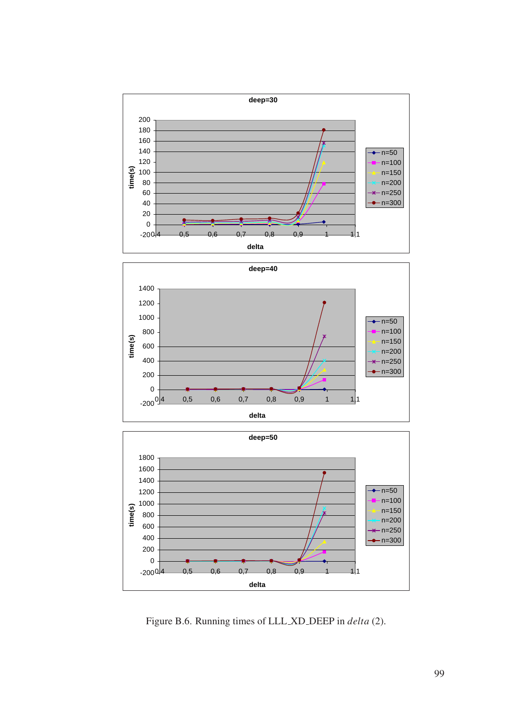





Figure B.6. Running times of LLL XD DEEP in *delta* (2).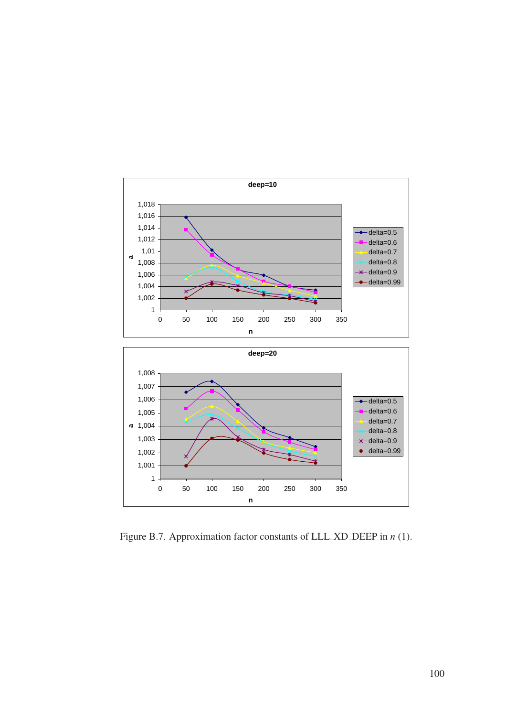

Figure B.7. Approximation factor constants of LLL XD DEEP in *n* (1).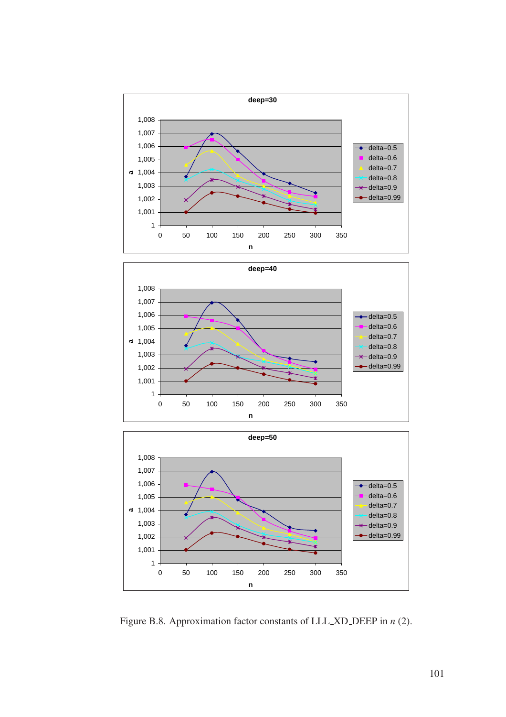





Figure B.8. Approximation factor constants of LLL XD DEEP in *n* (2).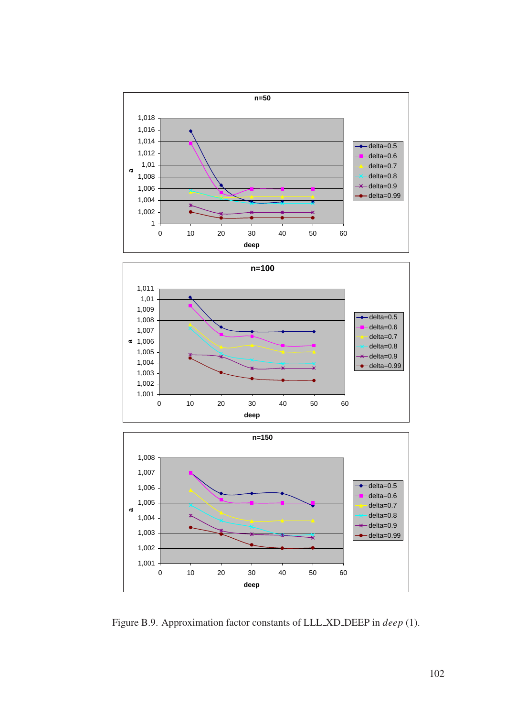





Figure B.9. Approximation factor constants of LLL XD DEEP in *deep* (1).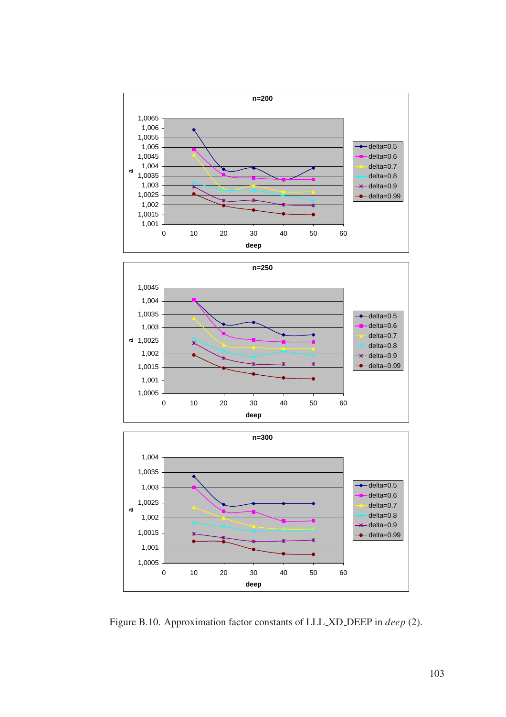





Figure B.10. Approximation factor constants of LLL XD DEEP in *deep* (2).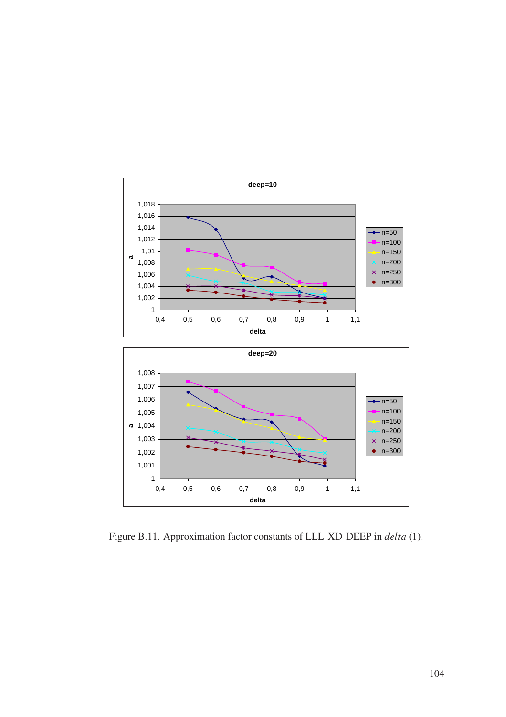

Figure B.11. Approximation factor constants of LLL XD DEEP in *delta* (1).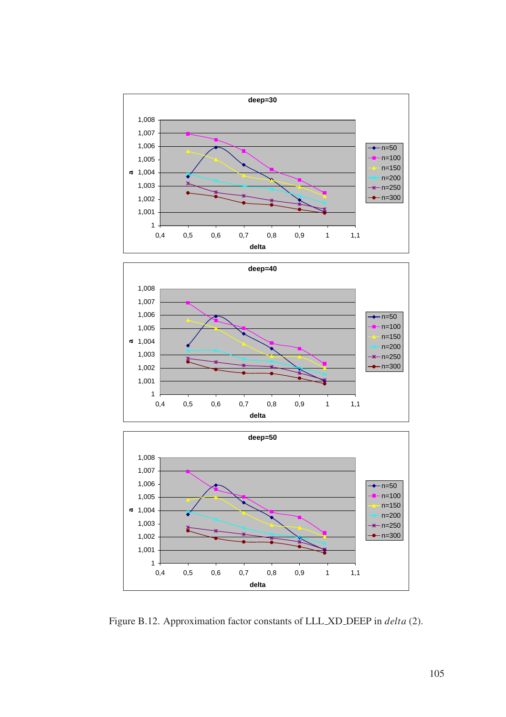





Figure B.12. Approximation factor constants of LLL XD DEEP in *delta* (2).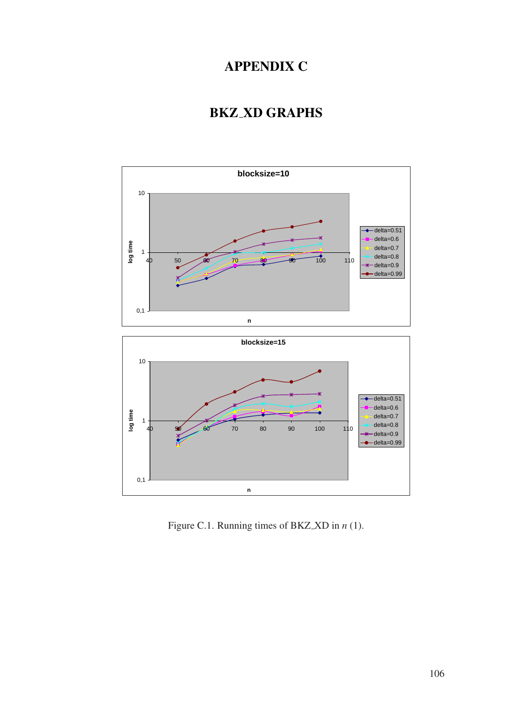## APPENDIX C

## BKZ XD GRAPHS



Figure C.1. Running times of BKZ XD in *n* (1).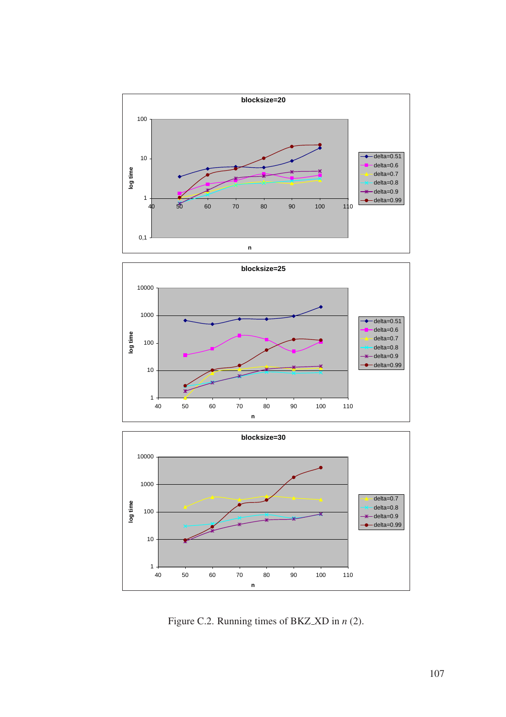





Figure C.2. Running times of BKZ XD in *n* (2).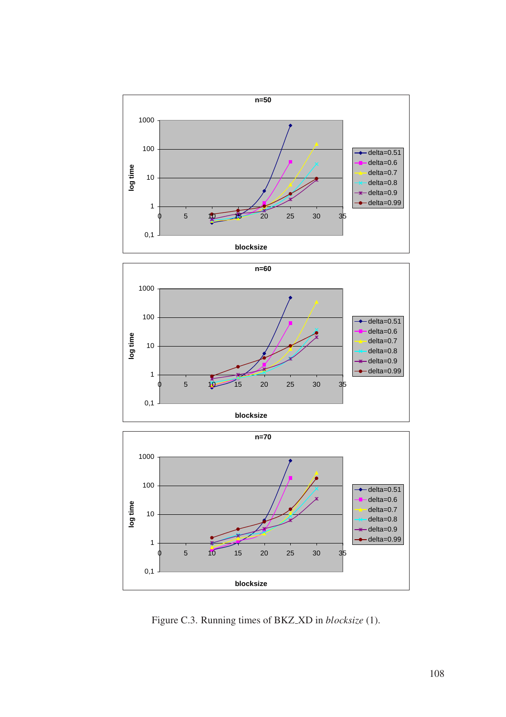





Figure C.3. Running times of BKZ XD in *blocksize* (1).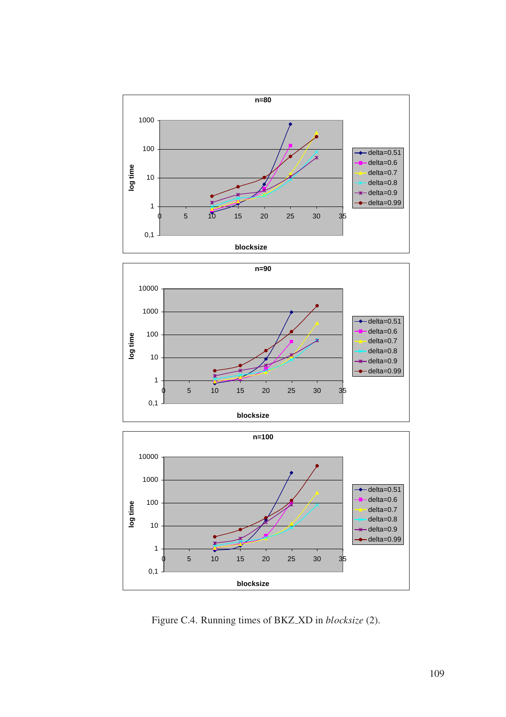





Figure C.4. Running times of BKZ XD in *blocksize* (2).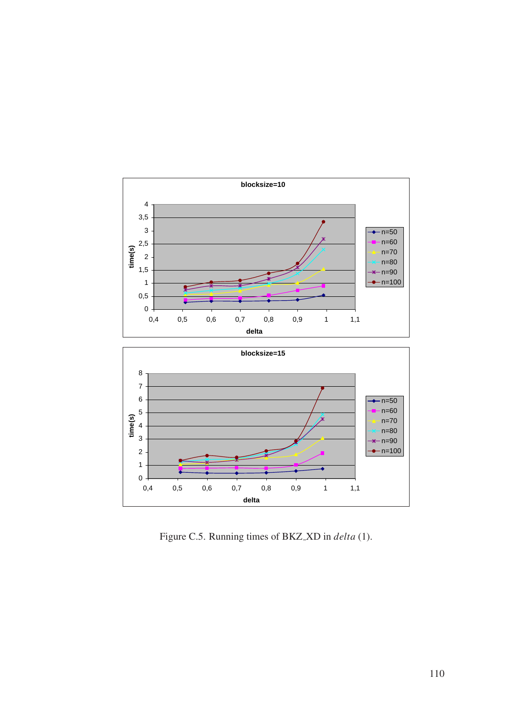

Figure C.5. Running times of BKZ XD in *delta* (1).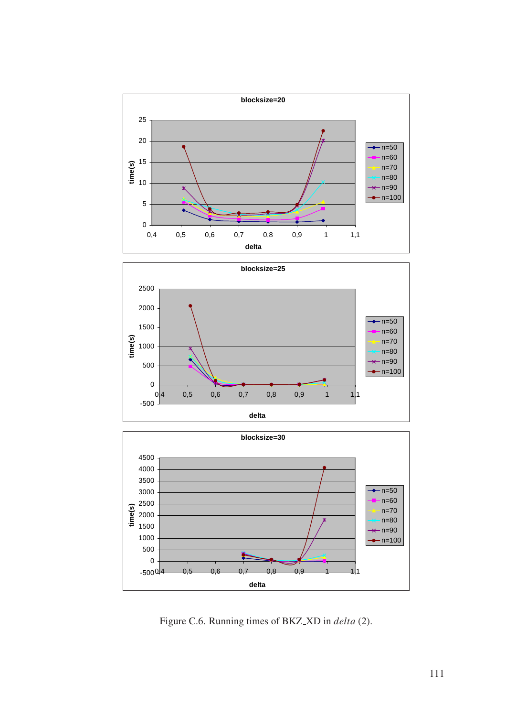





Figure C.6. Running times of BKZ XD in *delta* (2).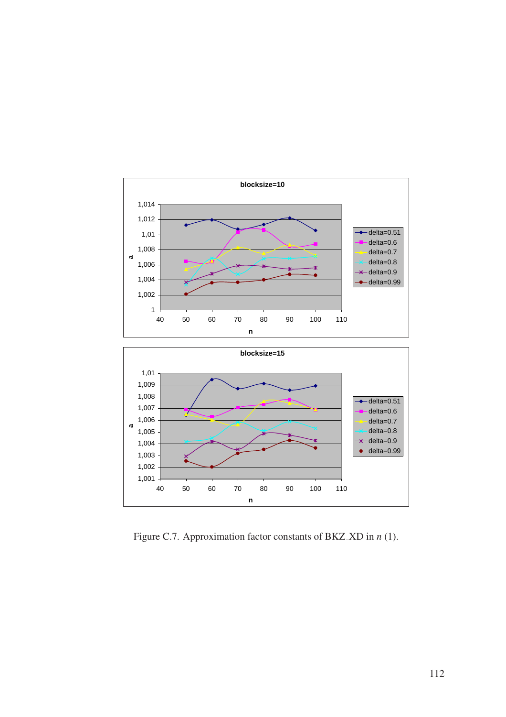



Figure C.7. Approximation factor constants of BKZ XD in *n* (1).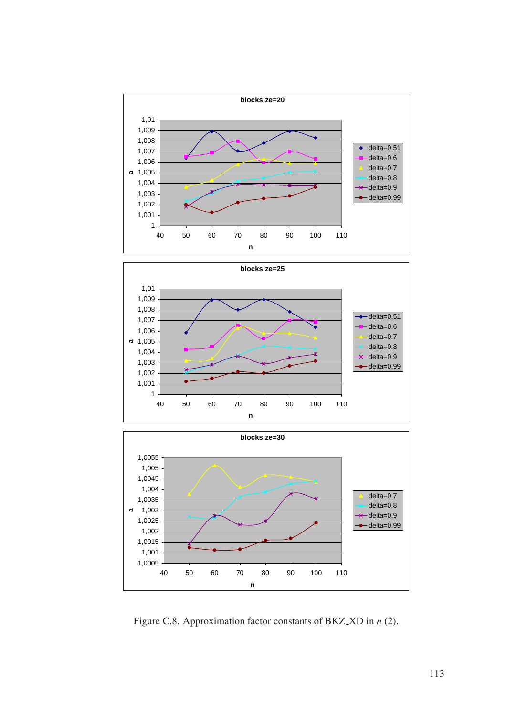





Figure C.8. Approximation factor constants of BKZ XD in *n* (2).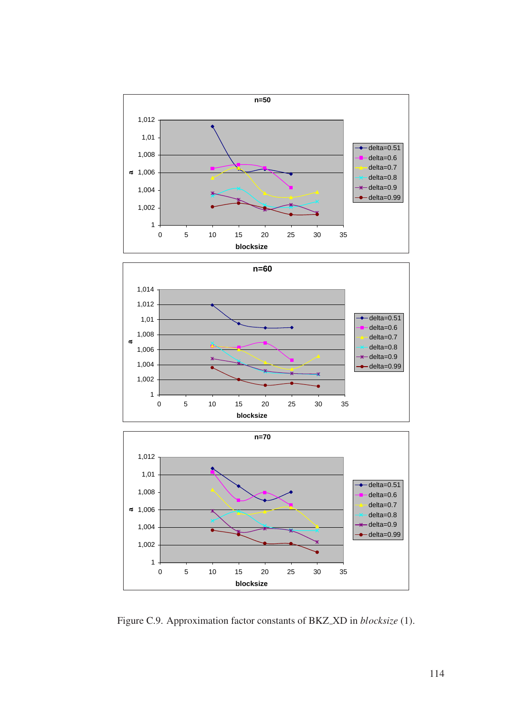





Figure C.9. Approximation factor constants of BKZ XD in *blocksize* (1).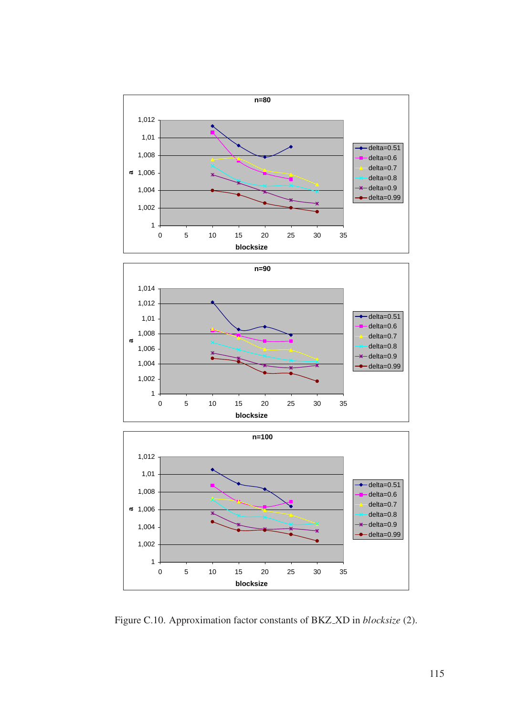





Figure C.10. Approximation factor constants of BKZ XD in *blocksize* (2).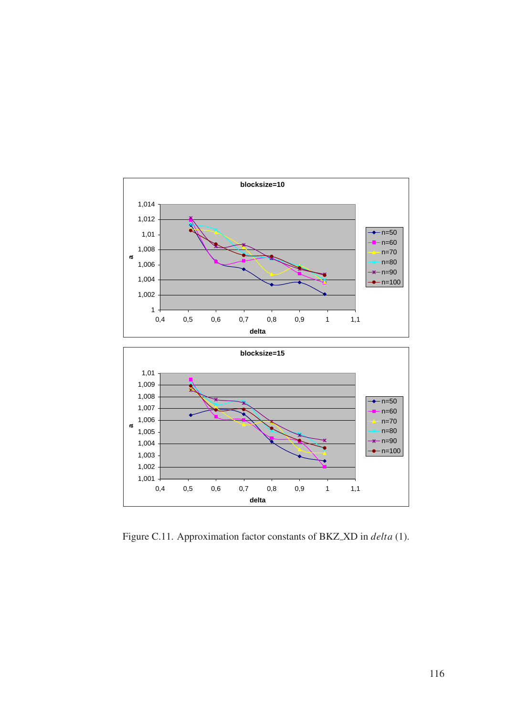

Figure C.11. Approximation factor constants of BKZ XD in *delta* (1).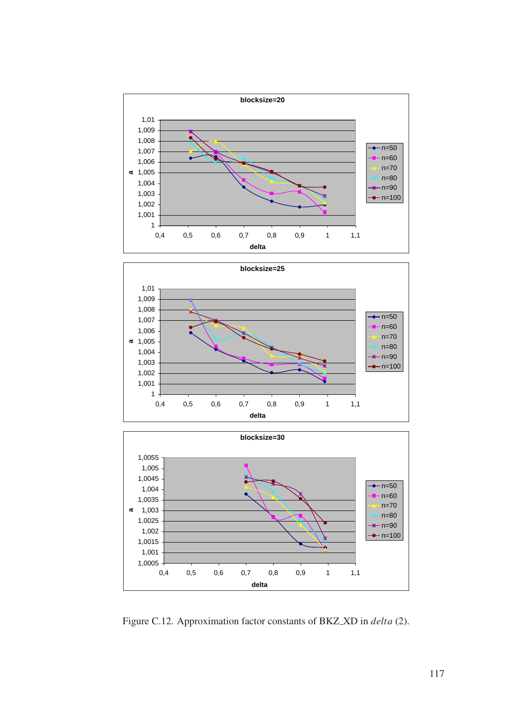





Figure C.12. Approximation factor constants of BKZ XD in *delta* (2).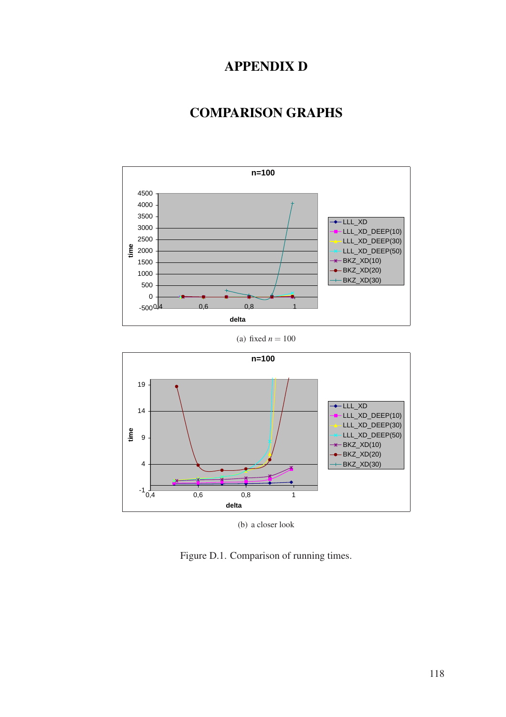## APPENDIX D

## COMPARISON GRAPHS



(a) fixed  $n = 100$ 



(b) a closer look

Figure D.1. Comparison of running times.